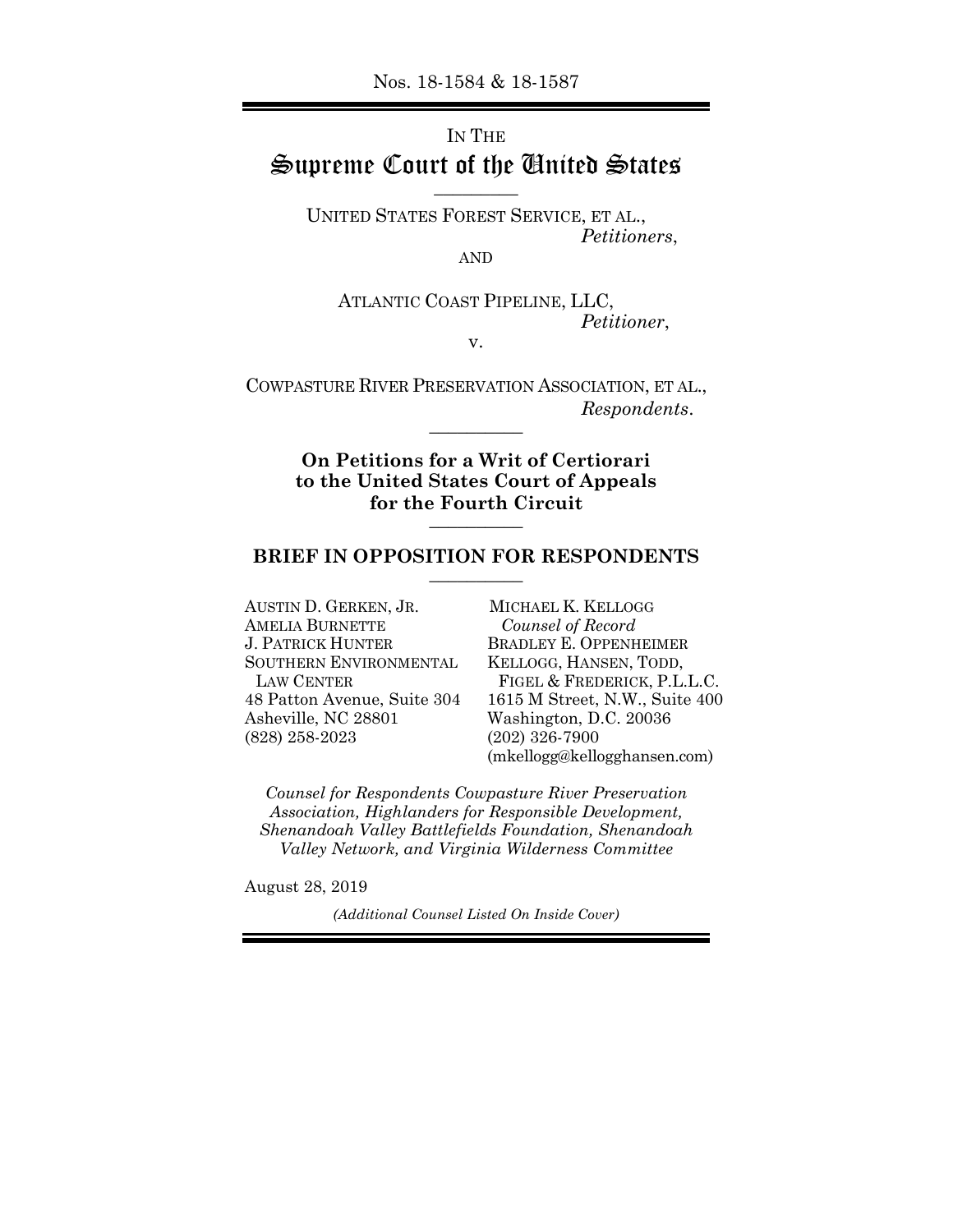## IN THE Supreme Court of the United States \_\_\_\_\_\_\_\_\_

UNITED STATES FOREST SERVICE, ET AL., *Petitioners*,

AND

ATLANTIC COAST PIPELINE, LLC, *Petitioner*,

v.

COWPASTURE RIVER PRESERVATION ASSOCIATION, ET AL., *Respondents*. \_\_\_\_\_\_\_\_\_\_

> **On Petitions for a Writ of Certiorari to the United States Court of Appeals for the Fourth Circuit** \_\_\_\_\_\_\_\_\_\_

### **BRIEF IN OPPOSITION FOR RESPONDENTS** \_\_\_\_\_\_\_\_\_\_

AUSTIN D. GERKEN, JR. AMELIA BURNETTE J. PATRICK HUNTER SOUTHERN ENVIRONMENTAL LAW CENTER 48 Patton Avenue, Suite 304 Asheville, NC 28801 (828) 258-2023

MICHAEL K. KELLOGG *Counsel of Record*  BRADLEY E. OPPENHEIMER KELLOGG, HANSEN, TODD, FIGEL & FREDERICK, P.L.L.C. 1615 M Street, N.W., Suite 400 Washington, D.C. 20036 (202) 326-7900 (mkellogg@kellogghansen.com)

*Counsel for Respondents Cowpasture River Preservation Association, Highlanders for Responsible Development, Shenandoah Valley Battlefields Foundation, Shenandoah Valley Network, and Virginia Wilderness Committee*

August 28, 2019

*(Additional Counsel Listed On Inside Cover)*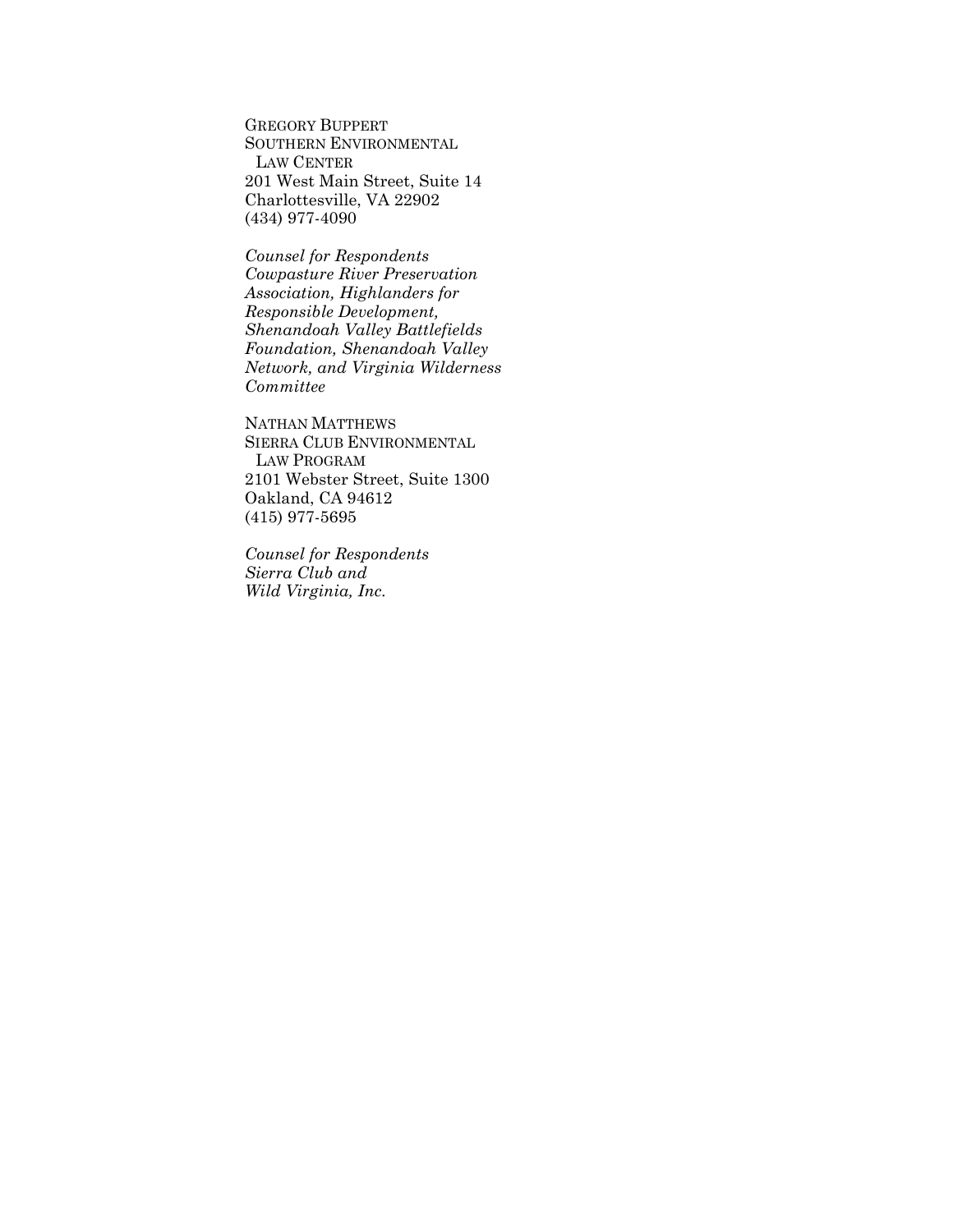GREGORY BUPPERT SOUTHERN ENVIRONMENTAL LAW CENTER 201 West Main Street, Suite 14 Charlottesville, VA 22902 (434) 977-4090

*Counsel for Respondents Cowpasture River Preservation Association, Highlanders for Responsible Development, Shenandoah Valley Battlefields Foundation, Shenandoah Valley Network, and Virginia Wilderness Committee*

NATHAN MATTHEWS SIERRA CLUB ENVIRONMENTAL LAW PROGRAM 2101 Webster Street, Suite 1300 Oakland, CA 94612 (415) 977-5695

*Counsel for Respondents Sierra Club and Wild Virginia, Inc.*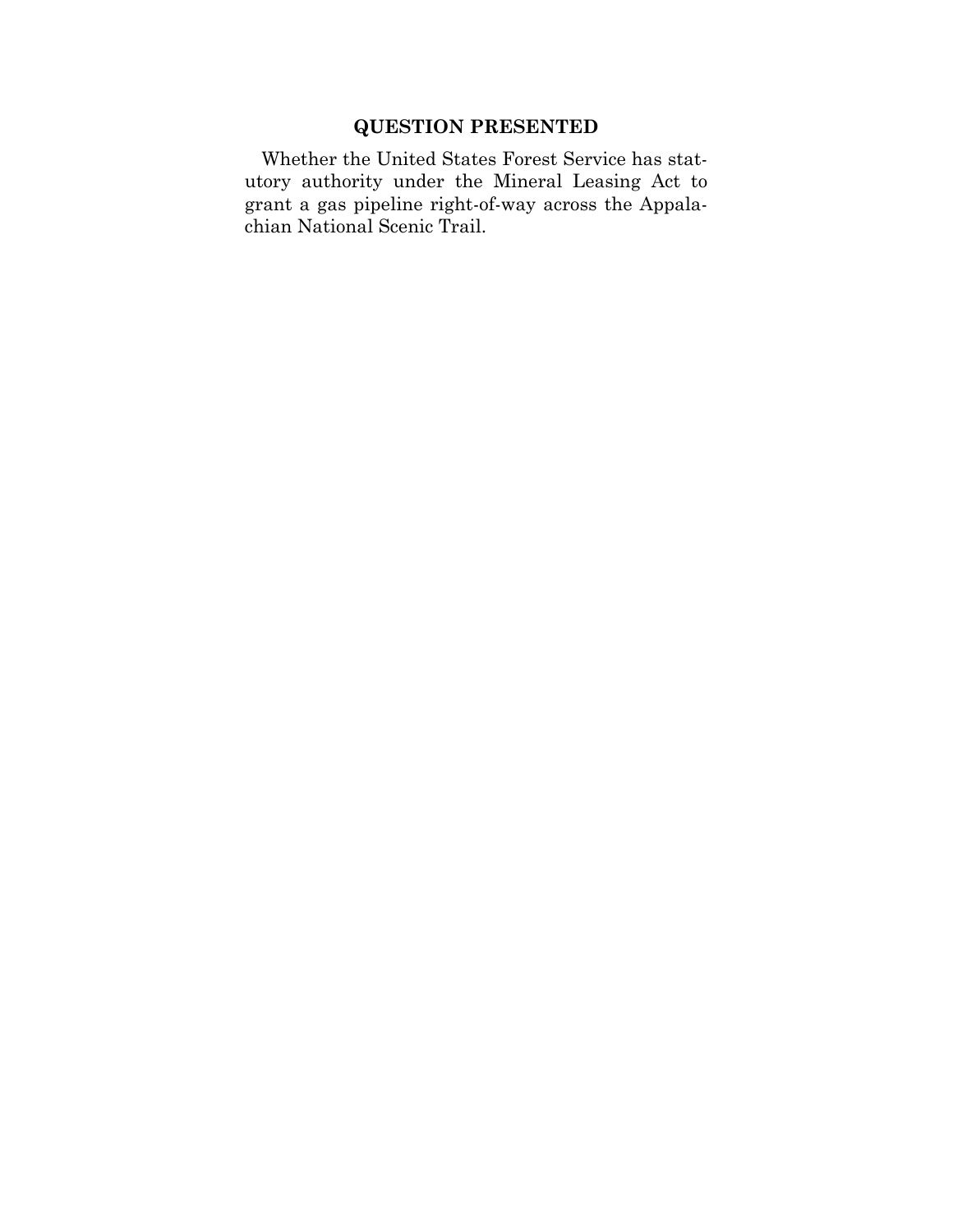## **QUESTION PRESENTED**

Whether the United States Forest Service has statutory authority under the Mineral Leasing Act to grant a gas pipeline right-of-way across the Appalachian National Scenic Trail.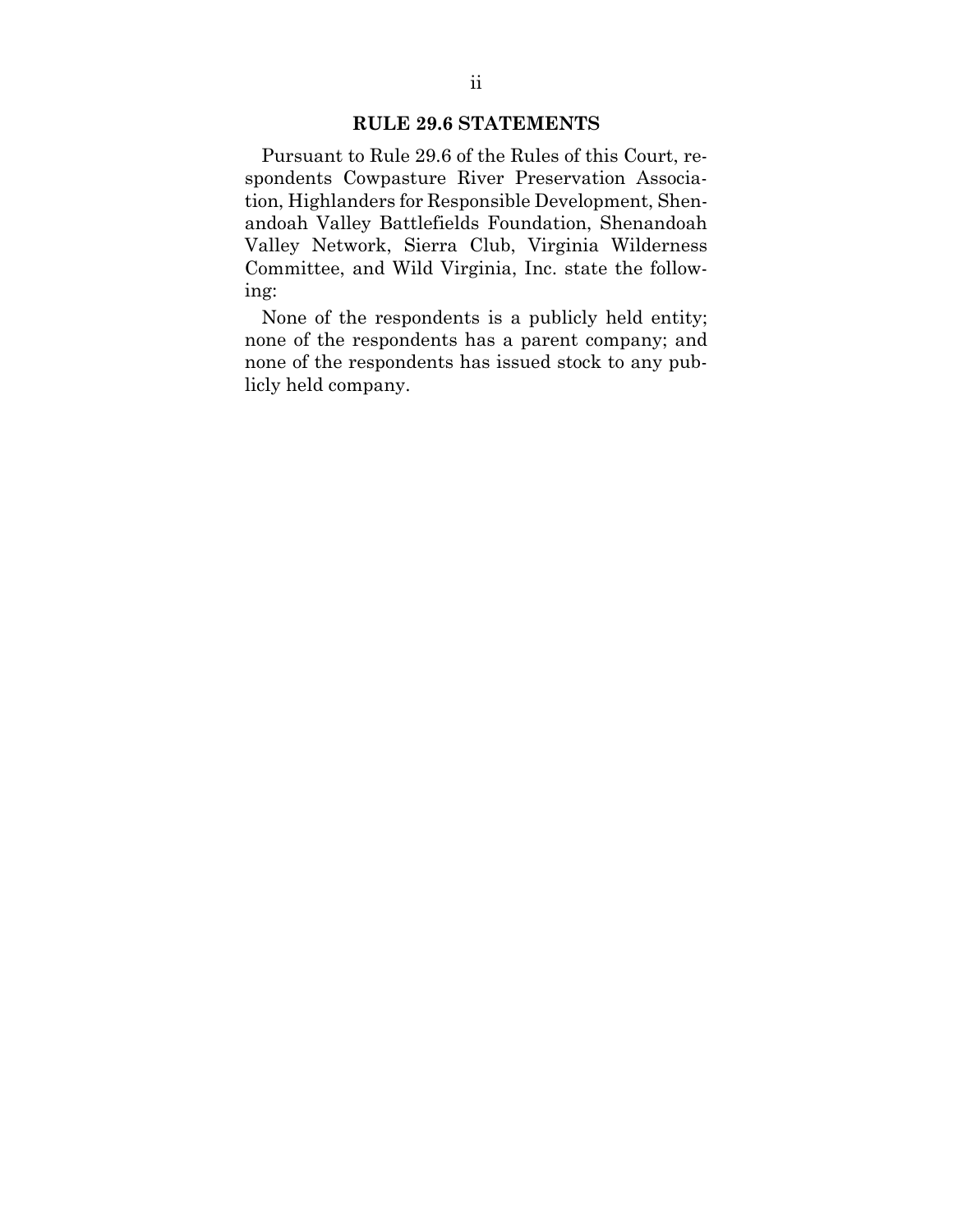### **RULE 29.6 STATEMENTS**

Pursuant to Rule 29.6 of the Rules of this Court, respondents Cowpasture River Preservation Association, Highlanders for Responsible Development, Shenandoah Valley Battlefields Foundation, Shenandoah Valley Network, Sierra Club, Virginia Wilderness Committee, and Wild Virginia, Inc. state the following:

None of the respondents is a publicly held entity; none of the respondents has a parent company; and none of the respondents has issued stock to any publicly held company.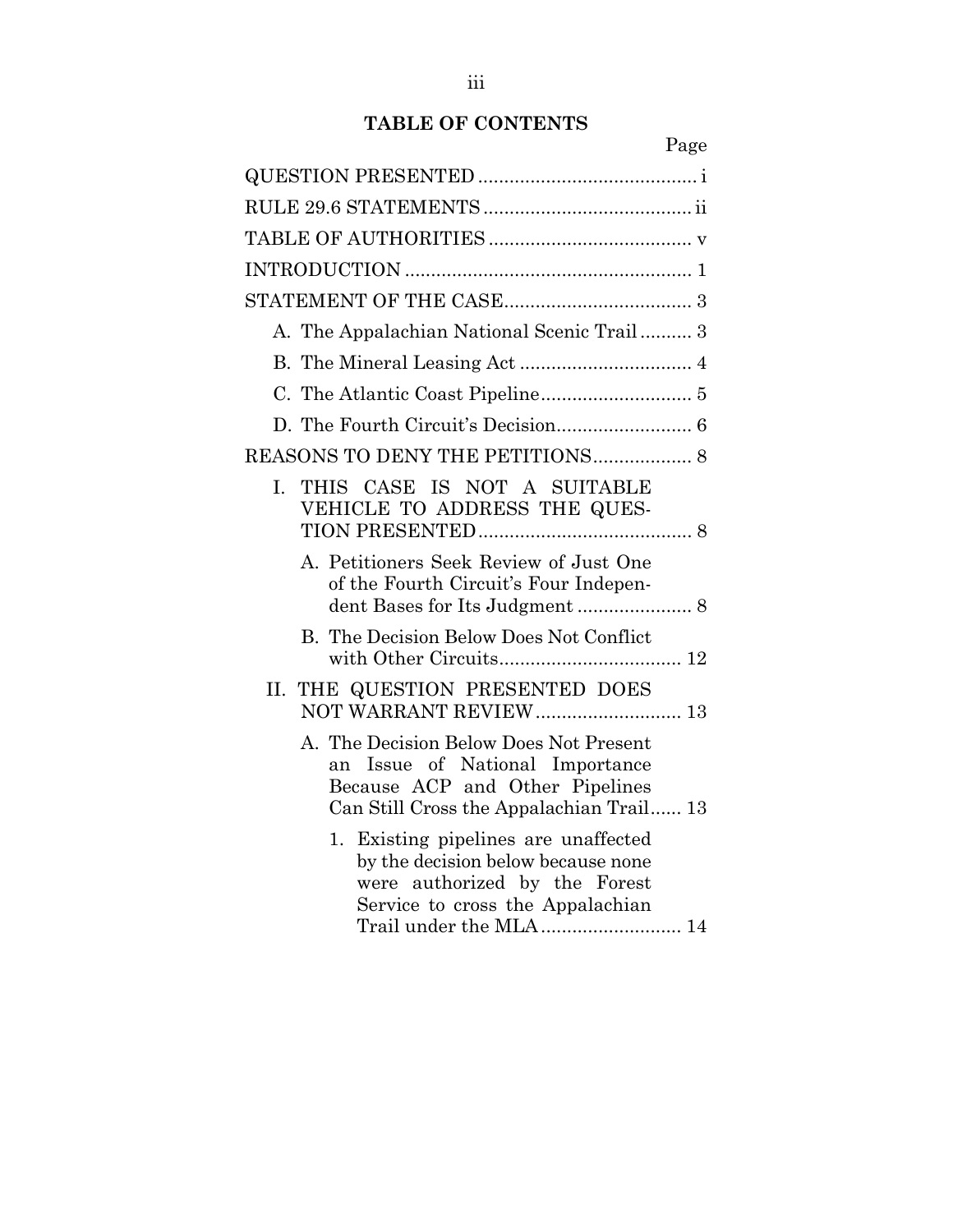# **TABLE OF CONTENTS**

Page

| A. The Appalachian National Scenic Trail 3                                                                                                                                |
|---------------------------------------------------------------------------------------------------------------------------------------------------------------------------|
|                                                                                                                                                                           |
|                                                                                                                                                                           |
|                                                                                                                                                                           |
| REASONS TO DENY THE PETITIONS 8                                                                                                                                           |
| I. THIS CASE IS NOT A SUITABLE<br>VEHICLE TO ADDRESS THE QUES-                                                                                                            |
| A. Petitioners Seek Review of Just One<br>of the Fourth Circuit's Four Indepen-                                                                                           |
| B. The Decision Below Does Not Conflict                                                                                                                                   |
| II. THE QUESTION PRESENTED DOES<br>NOT WARRANT REVIEW 13                                                                                                                  |
| A. The Decision Below Does Not Present<br>Issue of National Importance<br>an<br>Because ACP and Other Pipelines<br>Can Still Cross the Appalachian Trail 13               |
| 1. Existing pipelines are unaffected<br>by the decision below because none<br>were authorized by the Forest<br>Service to cross the Appalachian<br>Trail under the MLA 14 |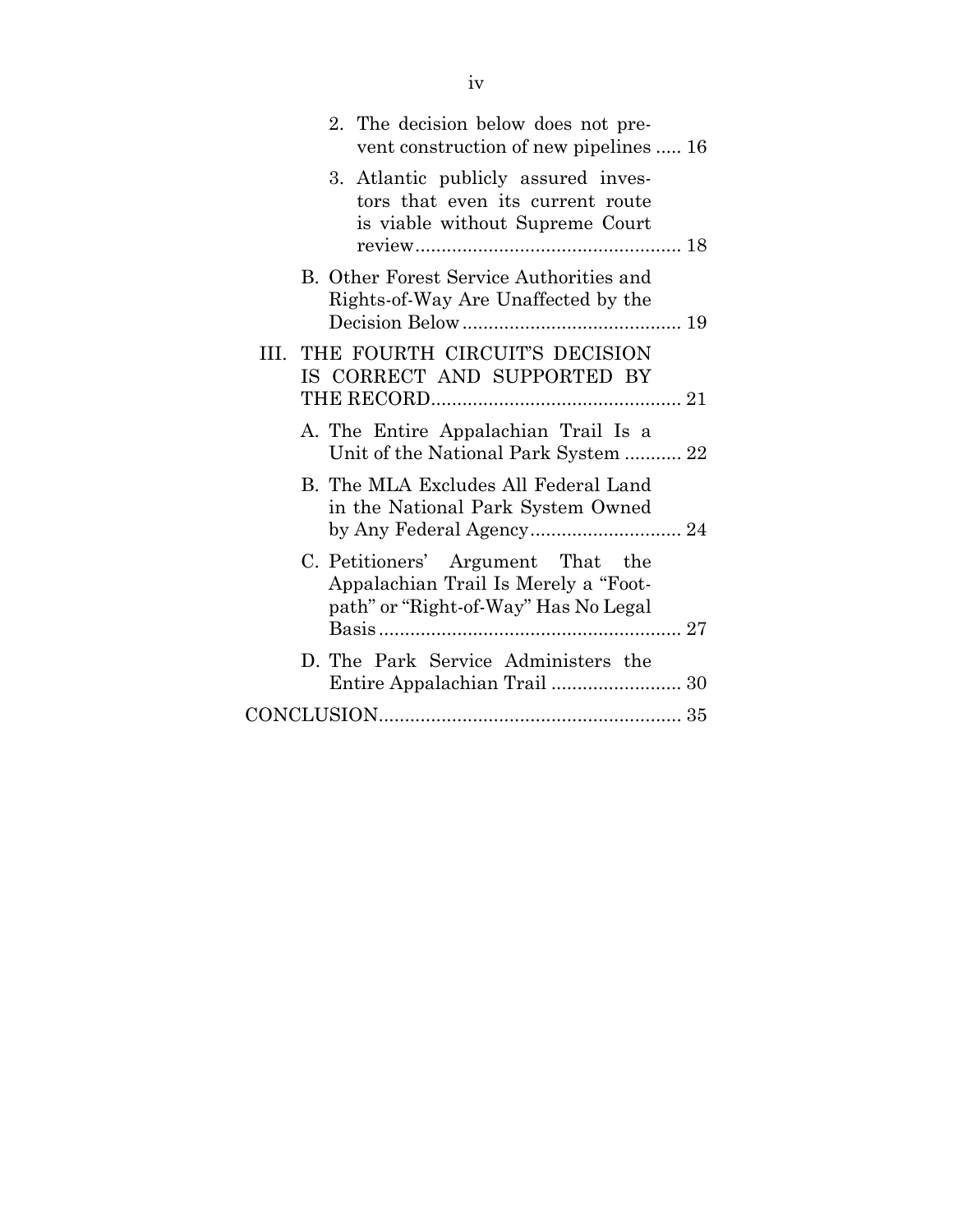|    | 2. The decision below does not pre-<br>vent construction of new pipelines  16                                     |
|----|-------------------------------------------------------------------------------------------------------------------|
|    | 3. Atlantic publicly assured inves-<br>tors that even its current route<br>is viable without Supreme Court        |
|    | B. Other Forest Service Authorities and<br>Rights-of-Way Are Unaffected by the                                    |
| Ш. | THE FOURTH CIRCUIT'S DECISION<br>IS CORRECT AND SUPPORTED BY                                                      |
|    | A. The Entire Appalachian Trail Is a<br>Unit of the National Park System  22                                      |
|    | B. The MLA Excludes All Federal Land<br>in the National Park System Owned                                         |
|    | C. Petitioners' Argument That the<br>Appalachian Trail Is Merely a "Foot-<br>path" or "Right-of-Way" Has No Legal |
|    | D. The Park Service Administers the                                                                               |
|    |                                                                                                                   |
|    |                                                                                                                   |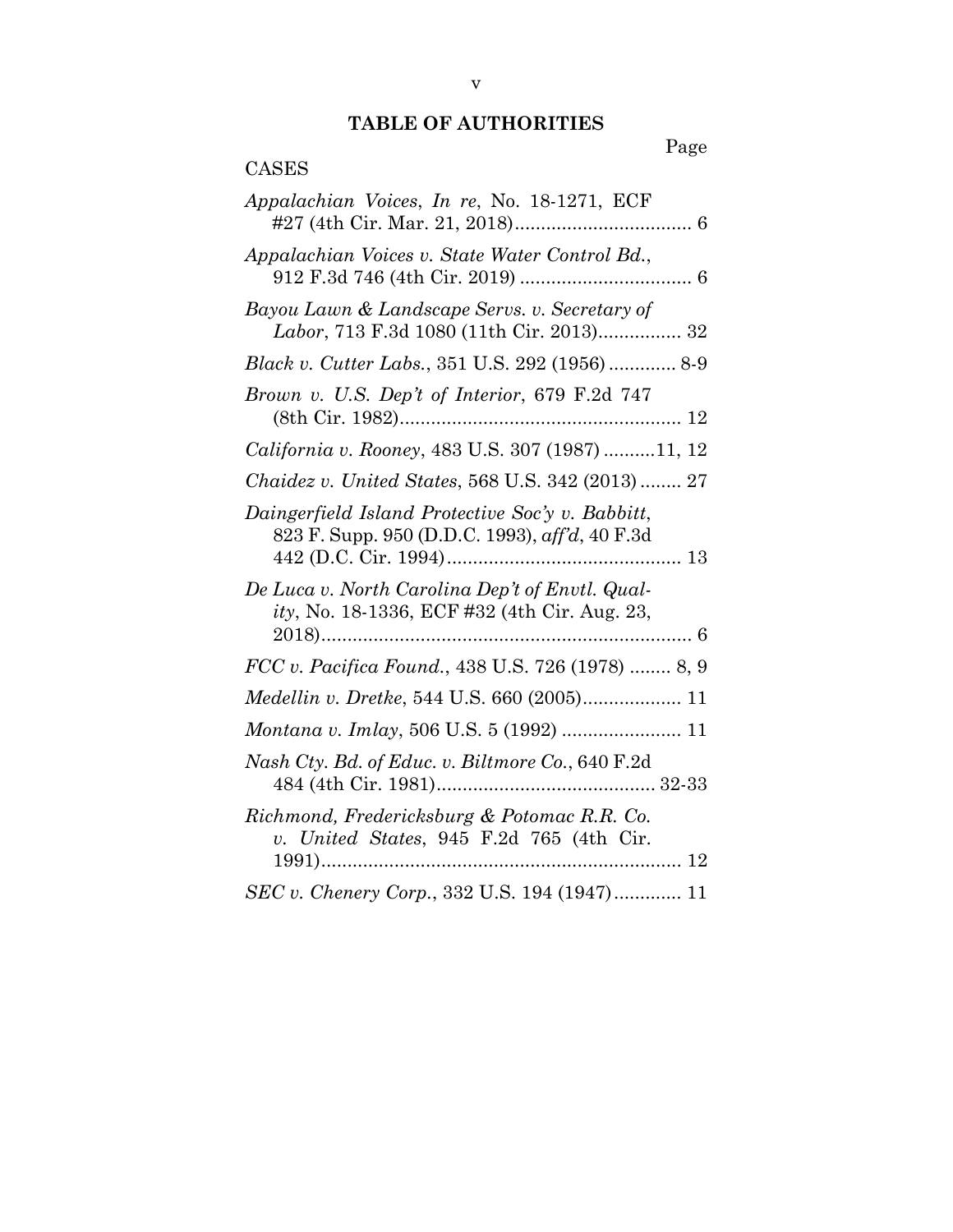## **TABLE OF AUTHORITIES**

## Page

| <b>CASES</b>                                                                                       |
|----------------------------------------------------------------------------------------------------|
| Appalachian Voices, In re, No. 18-1271, ECF                                                        |
| Appalachian Voices v. State Water Control Bd.,                                                     |
| Bayou Lawn & Landscape Servs. v. Secretary of<br>Labor, 713 F.3d 1080 (11th Cir. 2013) 32          |
| Black v. Cutter Labs., 351 U.S. 292 (1956) 8-9                                                     |
| Brown v. U.S. Dep't of Interior, 679 F.2d 747                                                      |
| California v. Rooney, 483 U.S. 307 (1987)11, 12                                                    |
| Chaidez v. United States, 568 U.S. 342 (2013)  27                                                  |
| Daingerfield Island Protective Soc'y v. Babbitt,<br>823 F. Supp. 950 (D.D.C. 1993), aff'd, 40 F.3d |
| De Luca v. North Carolina Dep't of Envtl. Qual-<br>ity, No. 18-1336, ECF #32 (4th Cir. Aug. 23,    |
| FCC v. Pacifica Found., 438 U.S. 726 (1978)  8, 9                                                  |
| Medellin v. Dretke, 544 U.S. 660 (2005) 11                                                         |
| Montana v. Imlay, 506 U.S. 5 (1992)  11                                                            |
| Nash Cty. Bd. of Educ. v. Biltmore Co., 640 F.2d                                                   |
| Richmond, Fredericksburg & Potomac R.R. Co.<br>v. United States, 945 F.2d 765 (4th Cir.            |
| SEC v. Chenery Corp., 332 U.S. 194 (1947) 11                                                       |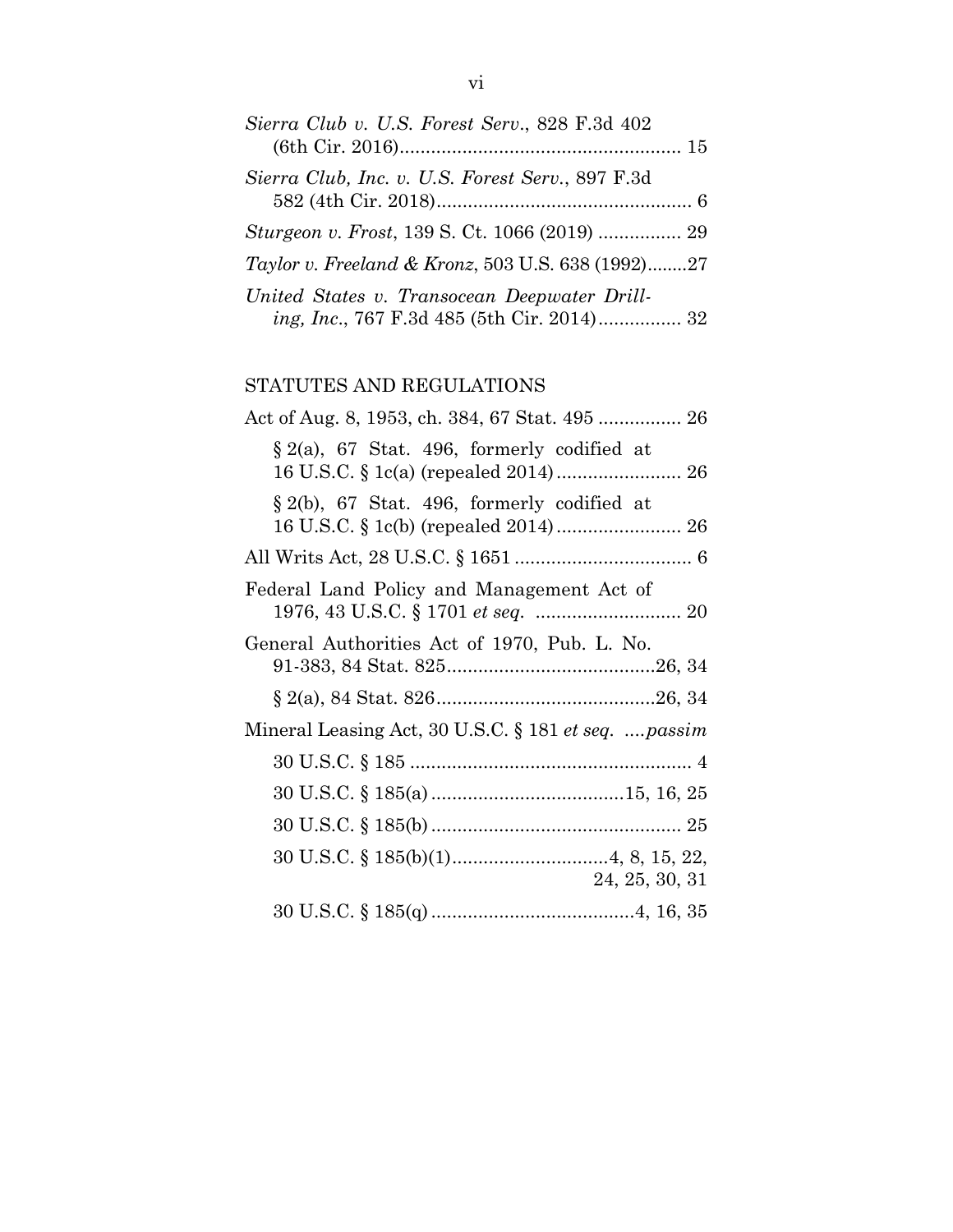| Sierra Club v. U.S. Forest Serv., 828 F.3d 402                                             |  |
|--------------------------------------------------------------------------------------------|--|
| Sierra Club, Inc. v. U.S. Forest Serv., 897 F.3d                                           |  |
|                                                                                            |  |
| Taylor v. Freeland & Kronz, 503 U.S. 638 (1992)27                                          |  |
| United States v. Transocean Deepwater Drill-<br>ing, Inc., 767 F.3d 485 (5th Cir. 2014) 32 |  |

## STATUTES AND REGULATIONS

| Act of Aug. 8, 1953, ch. 384, 67 Stat. 495  26      |
|-----------------------------------------------------|
| $\S 2(a)$ , 67 Stat. 496, formerly codified at      |
| $\S 2(b)$ , 67 Stat. 496, formerly codified at      |
|                                                     |
| Federal Land Policy and Management Act of           |
| General Authorities Act of 1970, Pub. L. No.        |
|                                                     |
| Mineral Leasing Act, 30 U.S.C. § 181 et seq. passim |
|                                                     |
|                                                     |
|                                                     |
| 24, 25, 30, 31                                      |
|                                                     |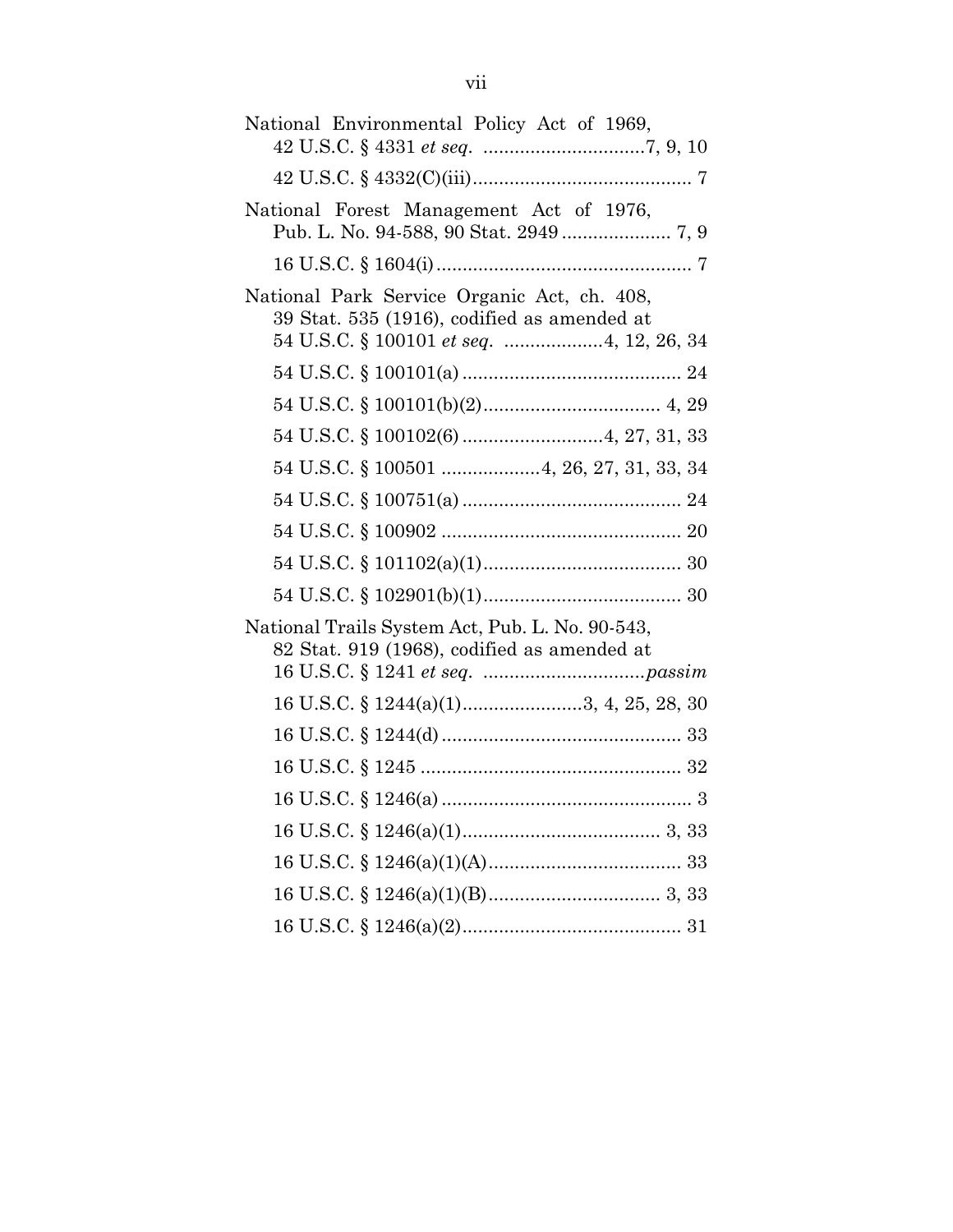| National Environmental Policy Act of 1969,                                                                                                     |
|------------------------------------------------------------------------------------------------------------------------------------------------|
|                                                                                                                                                |
| National Forest Management Act of 1976,                                                                                                        |
|                                                                                                                                                |
| National Park Service Organic Act, ch. 408,<br>39 Stat. 535 (1916), codified as amended at<br>54 U.S.C. § 100101 <i>et seq. </i> 4, 12, 26, 34 |
|                                                                                                                                                |
|                                                                                                                                                |
|                                                                                                                                                |
| 54 U.S.C. § 100501  4, 26, 27, 31, 33, 34                                                                                                      |
|                                                                                                                                                |
|                                                                                                                                                |
|                                                                                                                                                |
|                                                                                                                                                |
| National Trails System Act, Pub. L. No. 90-543,<br>82 Stat. 919 (1968), codified as amended at                                                 |
| 16 U.S.C. § 1244(a)(1)3, 4, 25, 28, 30                                                                                                         |
|                                                                                                                                                |
|                                                                                                                                                |
|                                                                                                                                                |
|                                                                                                                                                |
|                                                                                                                                                |
|                                                                                                                                                |
|                                                                                                                                                |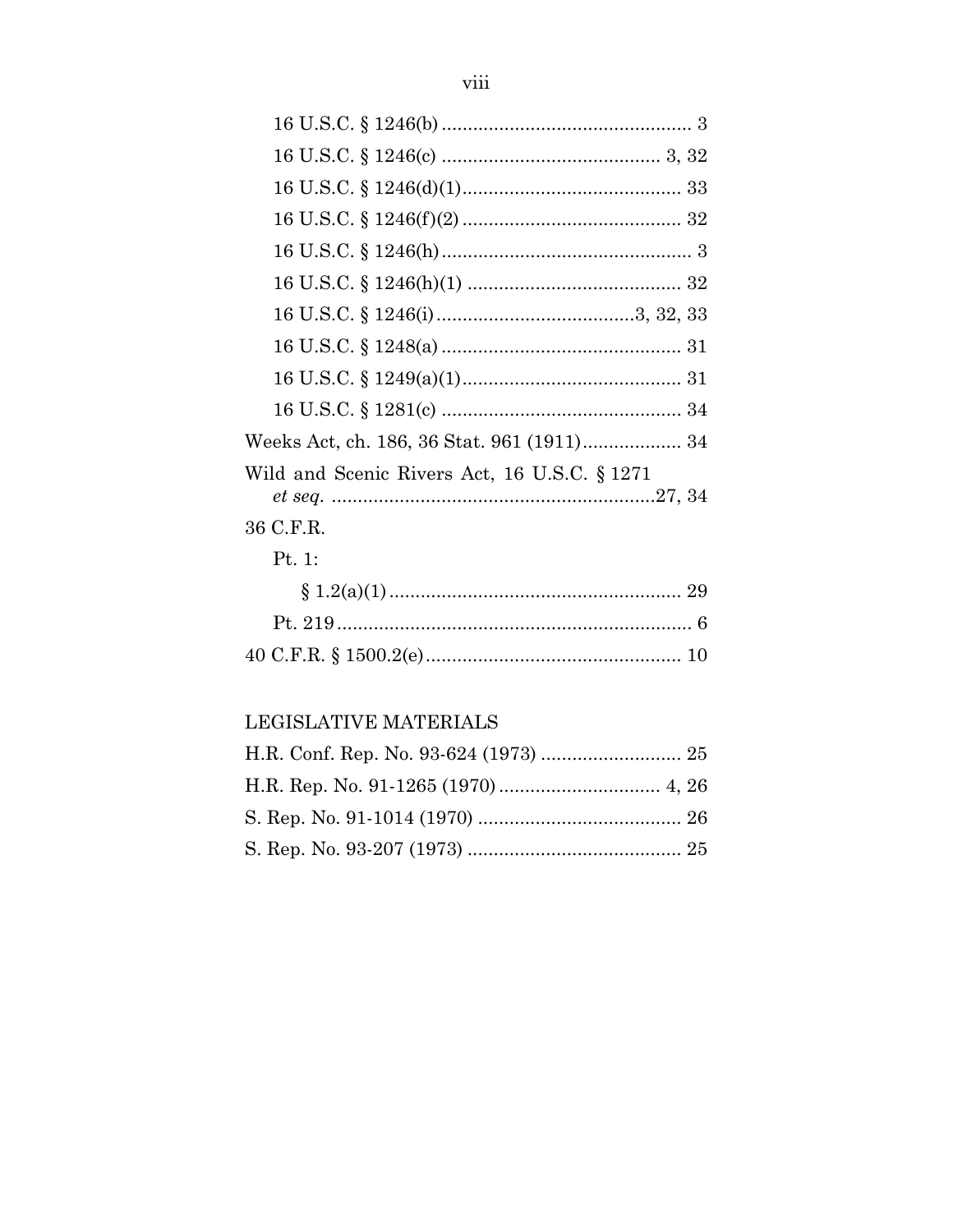| Wild and Scenic Rivers Act, 16 U.S.C. § 1271 |
|----------------------------------------------|
| 36 C.F.R.                                    |
| Pt. 1:                                       |
|                                              |
|                                              |
|                                              |

## LEGISLATIVE MATERIALS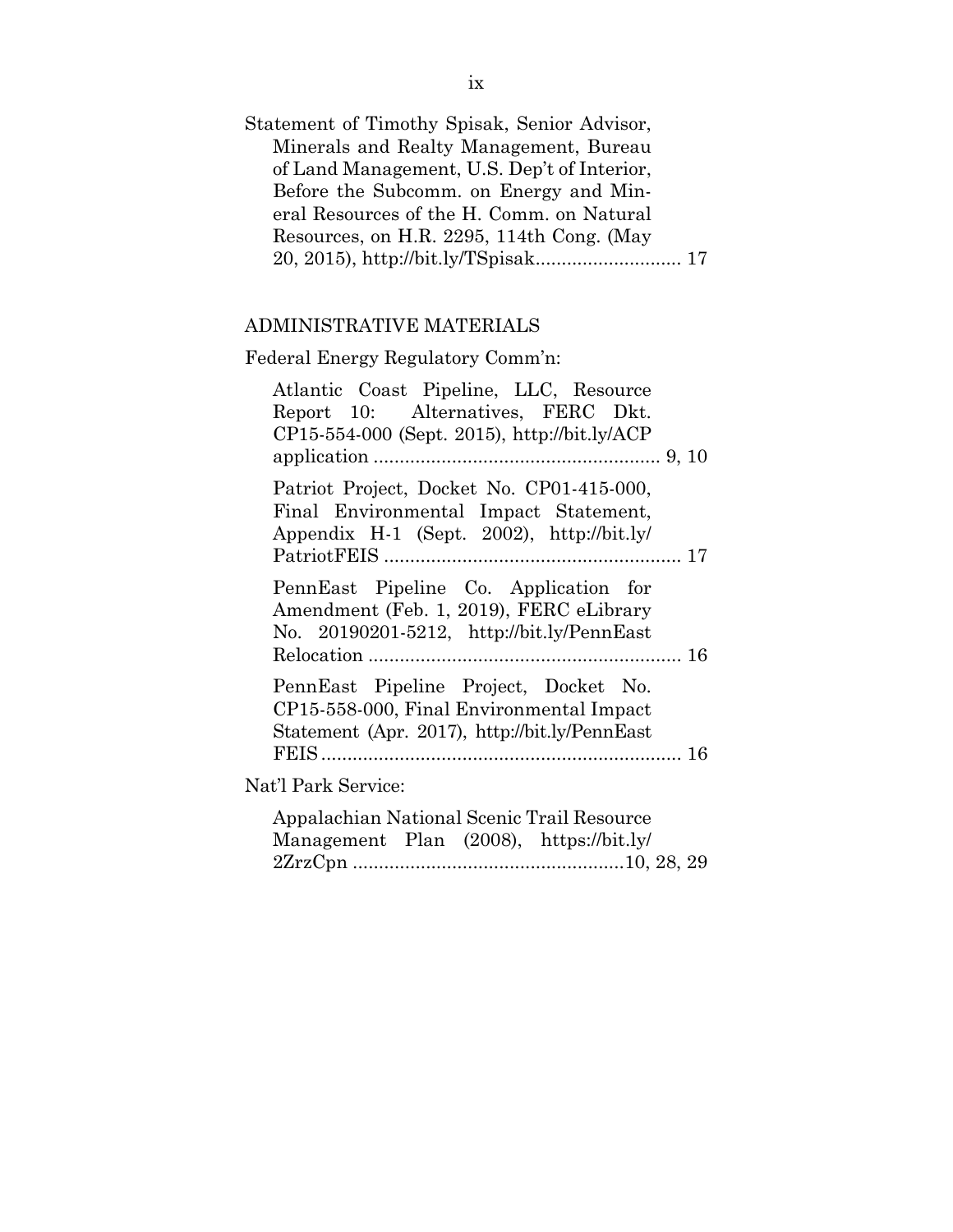| Statement of Timothy Spisak, Senior Advisor, |  |
|----------------------------------------------|--|
| Minerals and Realty Management, Bureau       |  |
| of Land Management, U.S. Dep't of Interior,  |  |
| Before the Subcomm. on Energy and Min-       |  |
| eral Resources of the H. Comm. on Natural    |  |
| Resources, on H.R. 2295, 114th Cong. (May    |  |
|                                              |  |

## ADMINISTRATIVE MATERIALS

# Federal Energy Regulatory Comm'n:

| Atlantic Coast Pipeline, LLC, Resource<br>Report 10: Alternatives, FERC Dkt.<br>$CP15-554-000$ (Sept. 2015), http://bit.ly/ACP     |
|------------------------------------------------------------------------------------------------------------------------------------|
|                                                                                                                                    |
| Patriot Project, Docket No. CP01-415-000,<br>Final Environmental Impact Statement,<br>Appendix H-1 (Sept. 2002), http://bit.ly/    |
| PennEast Pipeline Co. Application for<br>Amendment (Feb. 1, 2019), FERC eLibrary<br>No. 20190201-5212, http://bit.ly/PennEast      |
| PennEast Pipeline Project, Docket No.<br>CP15-558-000, Final Environmental Impact<br>Statement (Apr. 2017), http://bit.ly/PennEast |
| Nat'l Park Service:                                                                                                                |
| Appalachian National Scenic Trail Resource<br>Management Plan (2008), https://bit.ly/                                              |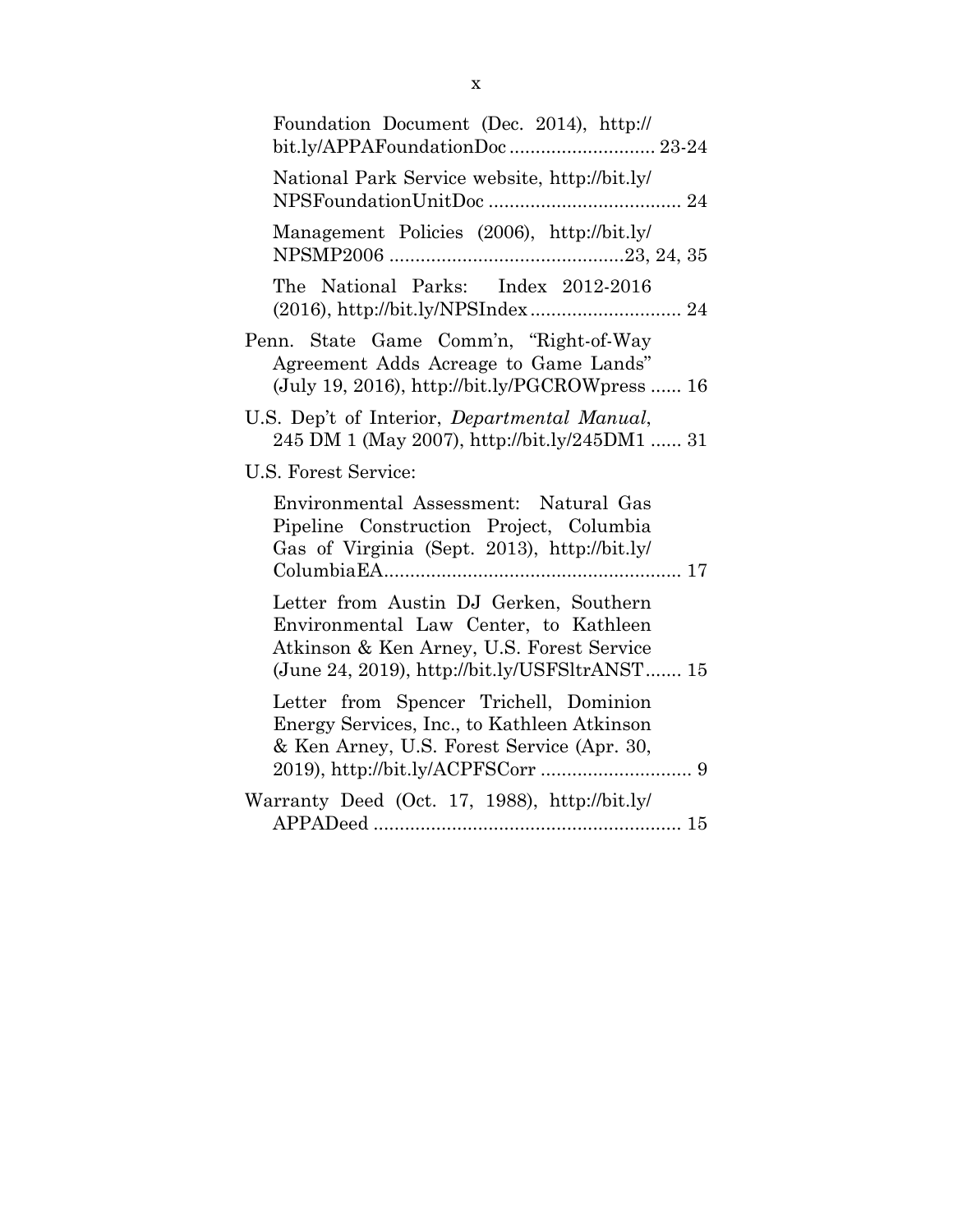| Foundation Document (Dec. 2014), http://<br>bit.ly/APPAFoundationDoc 23-24                                                                                                    |
|-------------------------------------------------------------------------------------------------------------------------------------------------------------------------------|
| National Park Service website, http://bit.ly/                                                                                                                                 |
| Management Policies (2006), http://bit.ly/                                                                                                                                    |
| The National Parks: Index 2012-2016                                                                                                                                           |
| Penn. State Game Comm'n, "Right-of-Way<br>Agreement Adds Acreage to Game Lands"<br>$(July 19, 2016), http://bit.ly/PGCROWpress  16$                                           |
| U.S. Dep't of Interior, Departmental Manual,<br>245 DM 1 (May 2007), http://bit.ly/245DM1  31                                                                                 |
| U.S. Forest Service:                                                                                                                                                          |
| Environmental Assessment: Natural Gas<br>Pipeline Construction Project, Columbia<br>Gas of Virginia (Sept. 2013), http://bit.ly/                                              |
| Letter from Austin DJ Gerken, Southern<br>Environmental Law Center, to Kathleen<br>Atkinson & Ken Arney, U.S. Forest Service<br>(June 24, 2019), http://bit.ly/USFSltrANST 15 |
| Letter from Spencer Trichell, Dominion<br>Energy Services, Inc., to Kathleen Atkinson<br>& Ken Arney, U.S. Forest Service (Apr. 30,                                           |
| Warranty Deed (Oct. 17, 1988), http://bit.ly/                                                                                                                                 |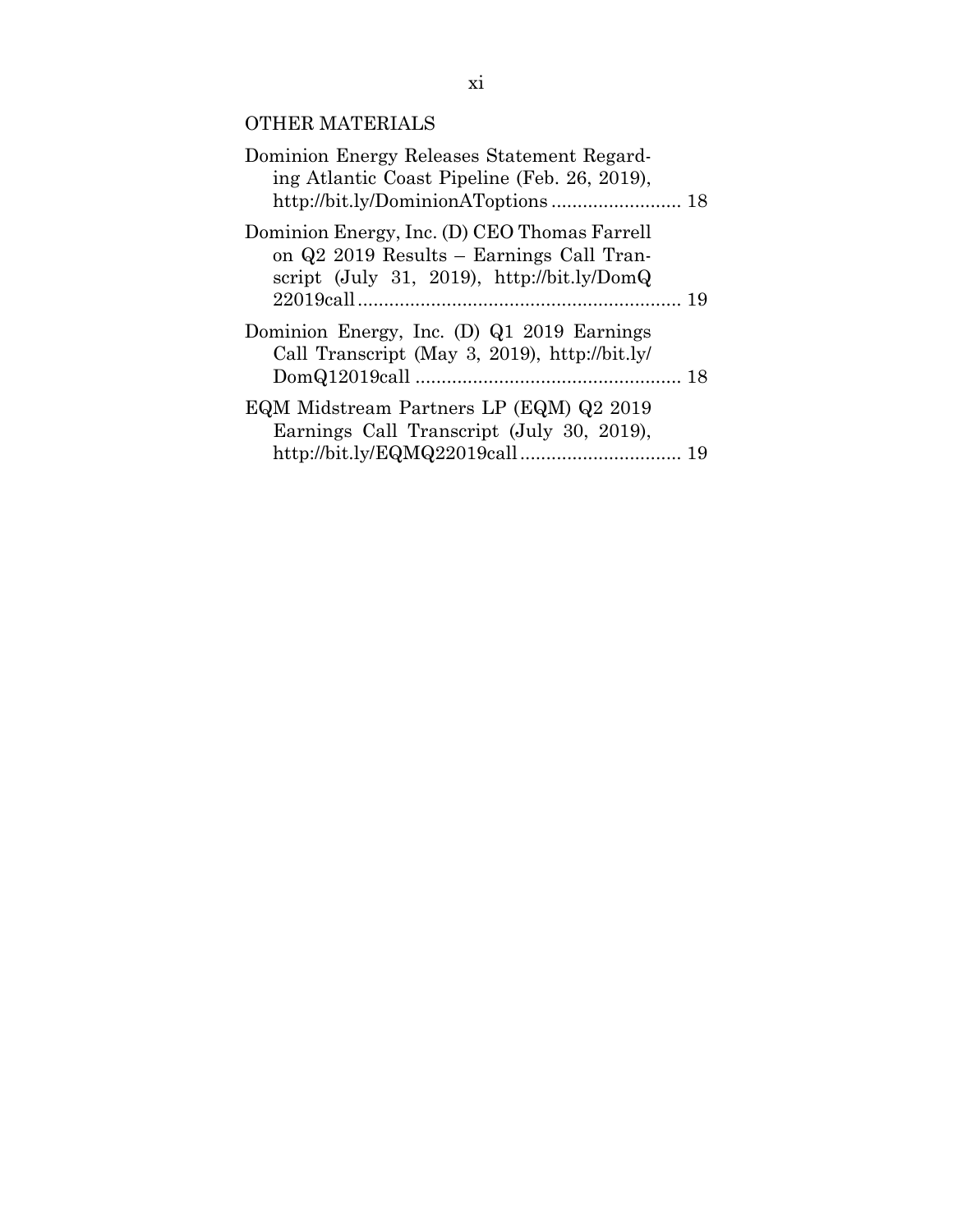## OTHER MATERIALS

| Dominion Energy Releases Statement Regard-<br>ing Atlantic Coast Pipeline (Feb. 26, 2019),                                               |  |
|------------------------------------------------------------------------------------------------------------------------------------------|--|
| Dominion Energy, Inc. (D) CEO Thomas Farrell<br>on Q2 2019 Results – Earnings Call Tran-<br>script (July 31, 2019), $http://bit.ly/DomQ$ |  |
| Dominion Energy, Inc. (D) Q1 2019 Earnings<br>Call Transcript (May 3, 2019), http://bit.ly/                                              |  |
| EQM Midstream Partners LP (EQM) Q2 2019<br>Earnings Call Transcript (July 30, 2019),                                                     |  |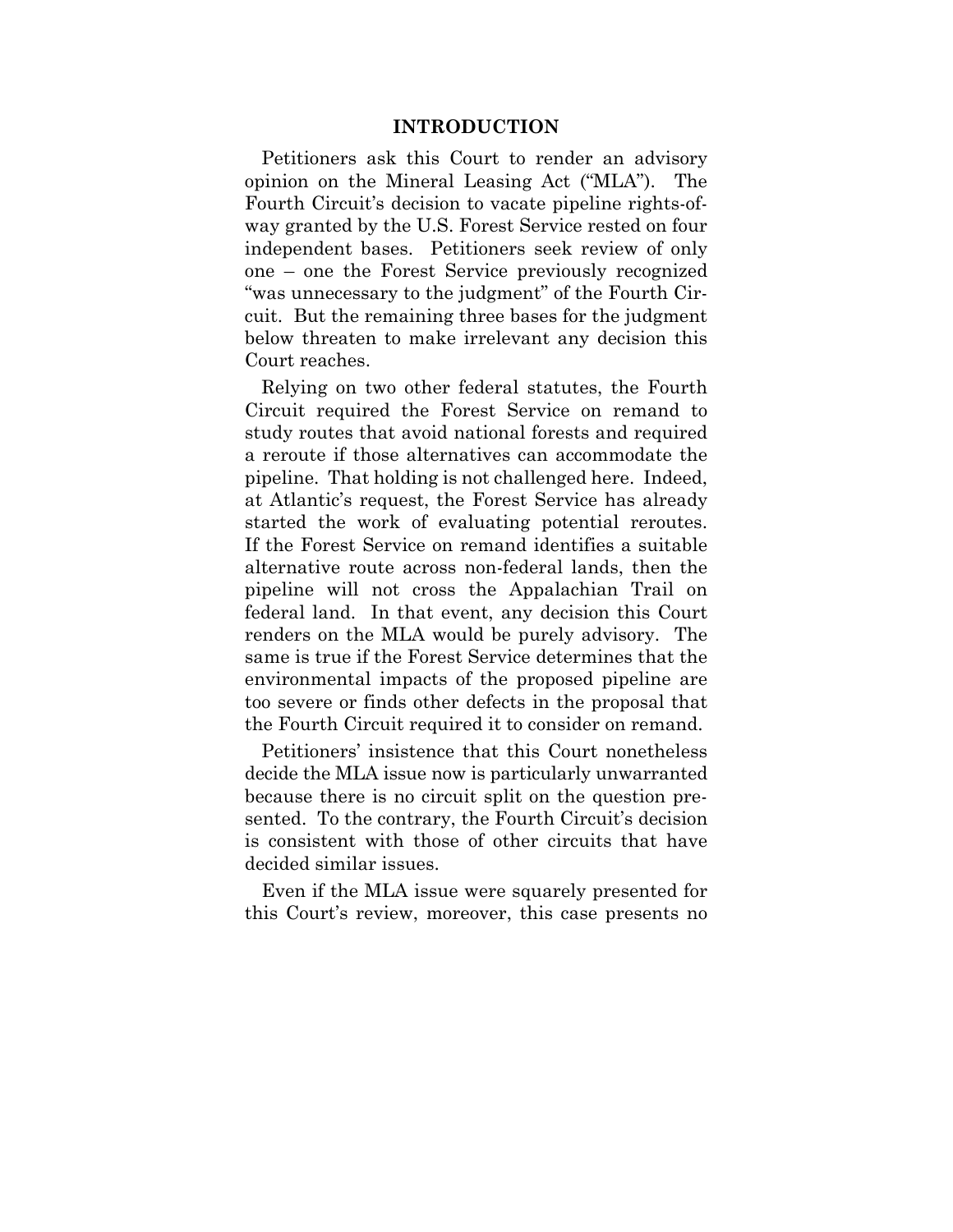#### **INTRODUCTION**

Petitioners ask this Court to render an advisory opinion on the Mineral Leasing Act ("MLA"). The Fourth Circuit's decision to vacate pipeline rights-ofway granted by the U.S. Forest Service rested on four independent bases. Petitioners seek review of only one – one the Forest Service previously recognized "was unnecessary to the judgment" of the Fourth Circuit. But the remaining three bases for the judgment below threaten to make irrelevant any decision this Court reaches.

Relying on two other federal statutes, the Fourth Circuit required the Forest Service on remand to study routes that avoid national forests and required a reroute if those alternatives can accommodate the pipeline. That holding is not challenged here. Indeed, at Atlantic's request, the Forest Service has already started the work of evaluating potential reroutes. If the Forest Service on remand identifies a suitable alternative route across non-federal lands, then the pipeline will not cross the Appalachian Trail on federal land. In that event, any decision this Court renders on the MLA would be purely advisory. The same is true if the Forest Service determines that the environmental impacts of the proposed pipeline are too severe or finds other defects in the proposal that the Fourth Circuit required it to consider on remand.

Petitioners' insistence that this Court nonetheless decide the MLA issue now is particularly unwarranted because there is no circuit split on the question presented. To the contrary, the Fourth Circuit's decision is consistent with those of other circuits that have decided similar issues.

Even if the MLA issue were squarely presented for this Court's review, moreover, this case presents no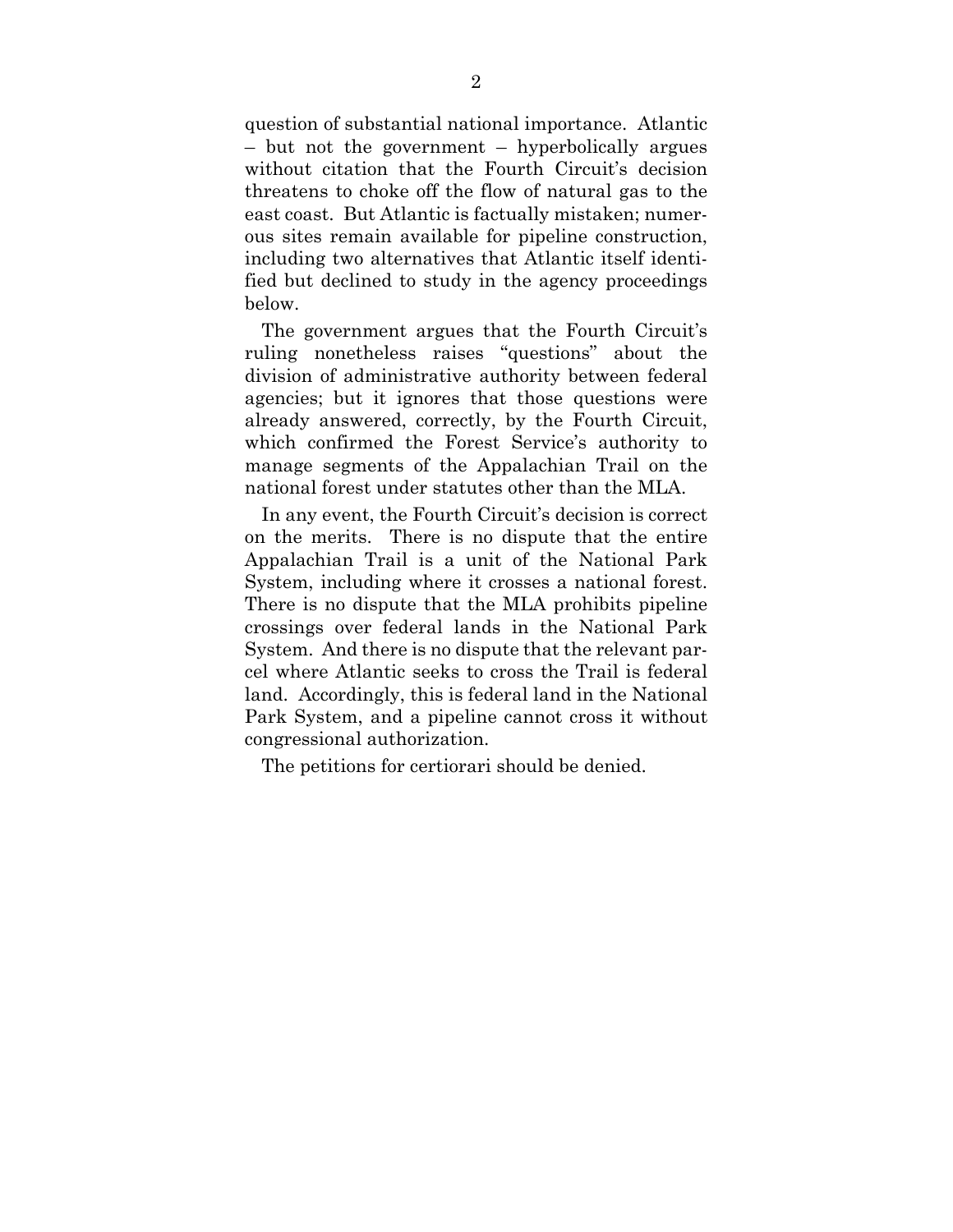question of substantial national importance. Atlantic – but not the government – hyperbolically argues without citation that the Fourth Circuit's decision threatens to choke off the flow of natural gas to the east coast. But Atlantic is factually mistaken; numerous sites remain available for pipeline construction, including two alternatives that Atlantic itself identified but declined to study in the agency proceedings below.

The government argues that the Fourth Circuit's ruling nonetheless raises "questions" about the division of administrative authority between federal agencies; but it ignores that those questions were already answered, correctly, by the Fourth Circuit, which confirmed the Forest Service's authority to manage segments of the Appalachian Trail on the national forest under statutes other than the MLA.

In any event, the Fourth Circuit's decision is correct on the merits. There is no dispute that the entire Appalachian Trail is a unit of the National Park System, including where it crosses a national forest. There is no dispute that the MLA prohibits pipeline crossings over federal lands in the National Park System. And there is no dispute that the relevant parcel where Atlantic seeks to cross the Trail is federal land. Accordingly, this is federal land in the National Park System, and a pipeline cannot cross it without congressional authorization.

The petitions for certiorari should be denied.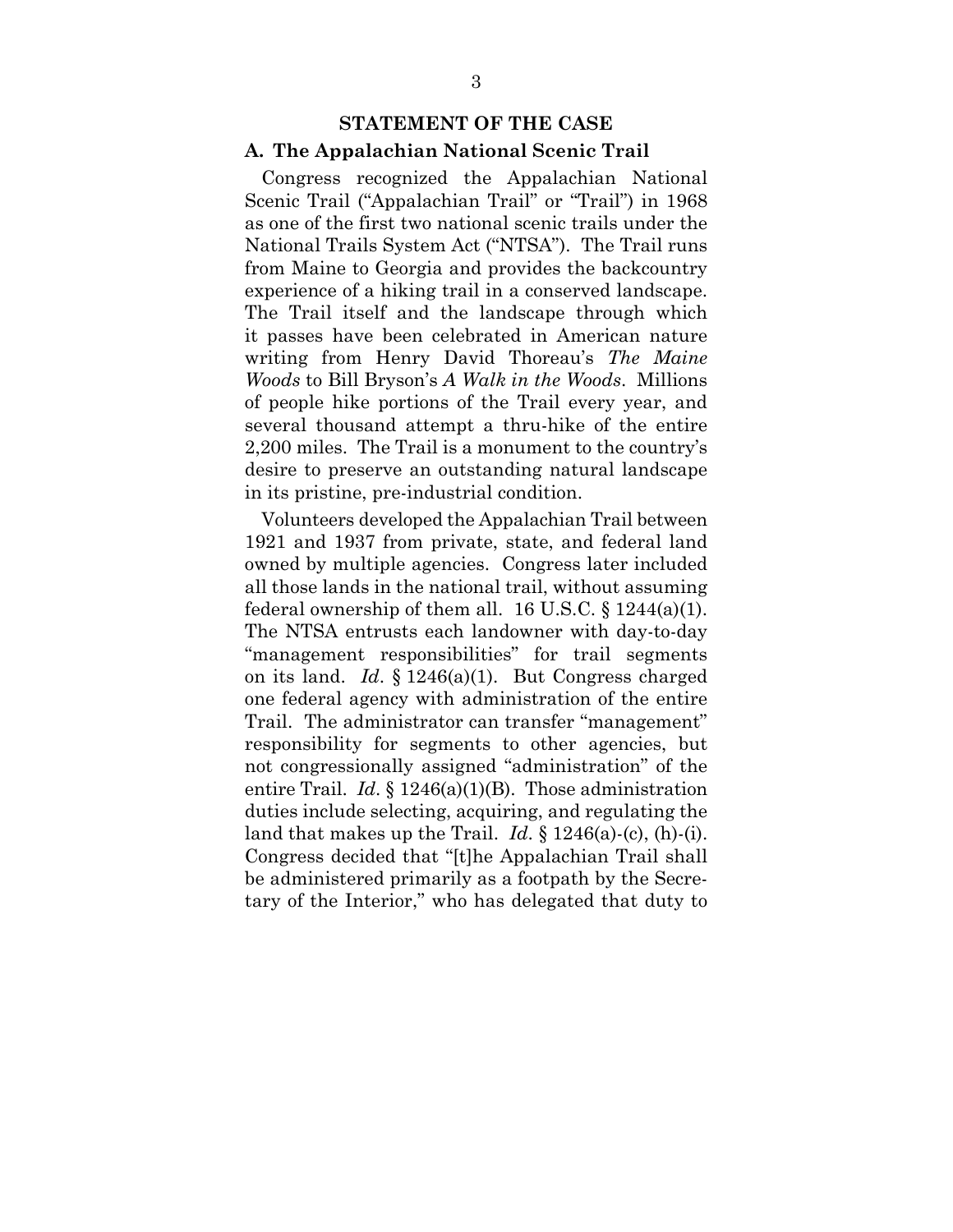#### **STATEMENT OF THE CASE**

#### **A. The Appalachian National Scenic Trail**

Congress recognized the Appalachian National Scenic Trail ("Appalachian Trail" or "Trail") in 1968 as one of the first two national scenic trails under the National Trails System Act ("NTSA"). The Trail runs from Maine to Georgia and provides the backcountry experience of a hiking trail in a conserved landscape. The Trail itself and the landscape through which it passes have been celebrated in American nature writing from Henry David Thoreau's *The Maine Woods* to Bill Bryson's *A Walk in the Woods*. Millions of people hike portions of the Trail every year, and several thousand attempt a thru-hike of the entire 2,200 miles. The Trail is a monument to the country's desire to preserve an outstanding natural landscape in its pristine, pre-industrial condition.

Volunteers developed the Appalachian Trail between 1921 and 1937 from private, state, and federal land owned by multiple agencies. Congress later included all those lands in the national trail, without assuming federal ownership of them all. 16 U.S.C.  $\S 1244(a)(1)$ . The NTSA entrusts each landowner with day-to-day "management responsibilities" for trail segments on its land. *Id*. § 1246(a)(1). But Congress charged one federal agency with administration of the entire Trail. The administrator can transfer "management" responsibility for segments to other agencies, but not congressionally assigned "administration" of the entire Trail. *Id.* § 1246(a)(1)(B). Those administration duties include selecting, acquiring, and regulating the land that makes up the Trail. *Id*. § 1246(a)-(c), (h)-(i). Congress decided that "[t]he Appalachian Trail shall be administered primarily as a footpath by the Secretary of the Interior," who has delegated that duty to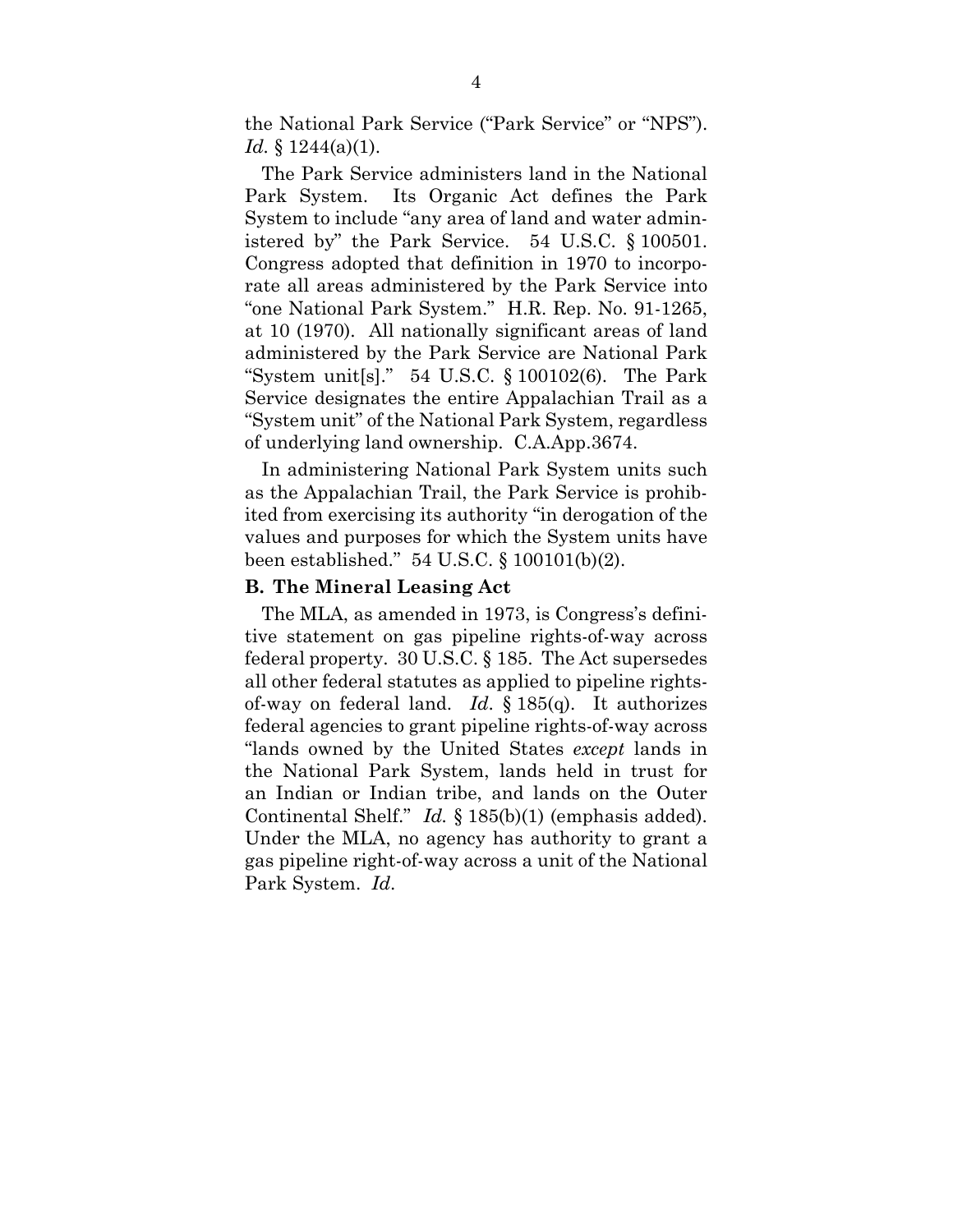the National Park Service ("Park Service" or "NPS"). *Id.* § 1244(a)(1).

The Park Service administers land in the National Park System. Its Organic Act defines the Park System to include "any area of land and water administered by" the Park Service. 54 U.S.C. § 100501. Congress adopted that definition in 1970 to incorporate all areas administered by the Park Service into "one National Park System." H.R. Rep. No. 91-1265, at 10 (1970). All nationally significant areas of land administered by the Park Service are National Park "System unit[s]." 54 U.S.C. § 100102(6). The Park Service designates the entire Appalachian Trail as a "System unit" of the National Park System, regardless of underlying land ownership. C.A.App.3674.

In administering National Park System units such as the Appalachian Trail, the Park Service is prohibited from exercising its authority "in derogation of the values and purposes for which the System units have been established." 54 U.S.C. § 100101(b)(2).

#### **B. The Mineral Leasing Act**

The MLA, as amended in 1973, is Congress's definitive statement on gas pipeline rights-of-way across federal property. 30 U.S.C. § 185. The Act supersedes all other federal statutes as applied to pipeline rightsof-way on federal land. *Id*. § 185(q). It authorizes federal agencies to grant pipeline rights-of-way across "lands owned by the United States *except* lands in the National Park System, lands held in trust for an Indian or Indian tribe, and lands on the Outer Continental Shelf." *Id.* § 185(b)(1) (emphasis added). Under the MLA, no agency has authority to grant a gas pipeline right-of-way across a unit of the National Park System. *Id*.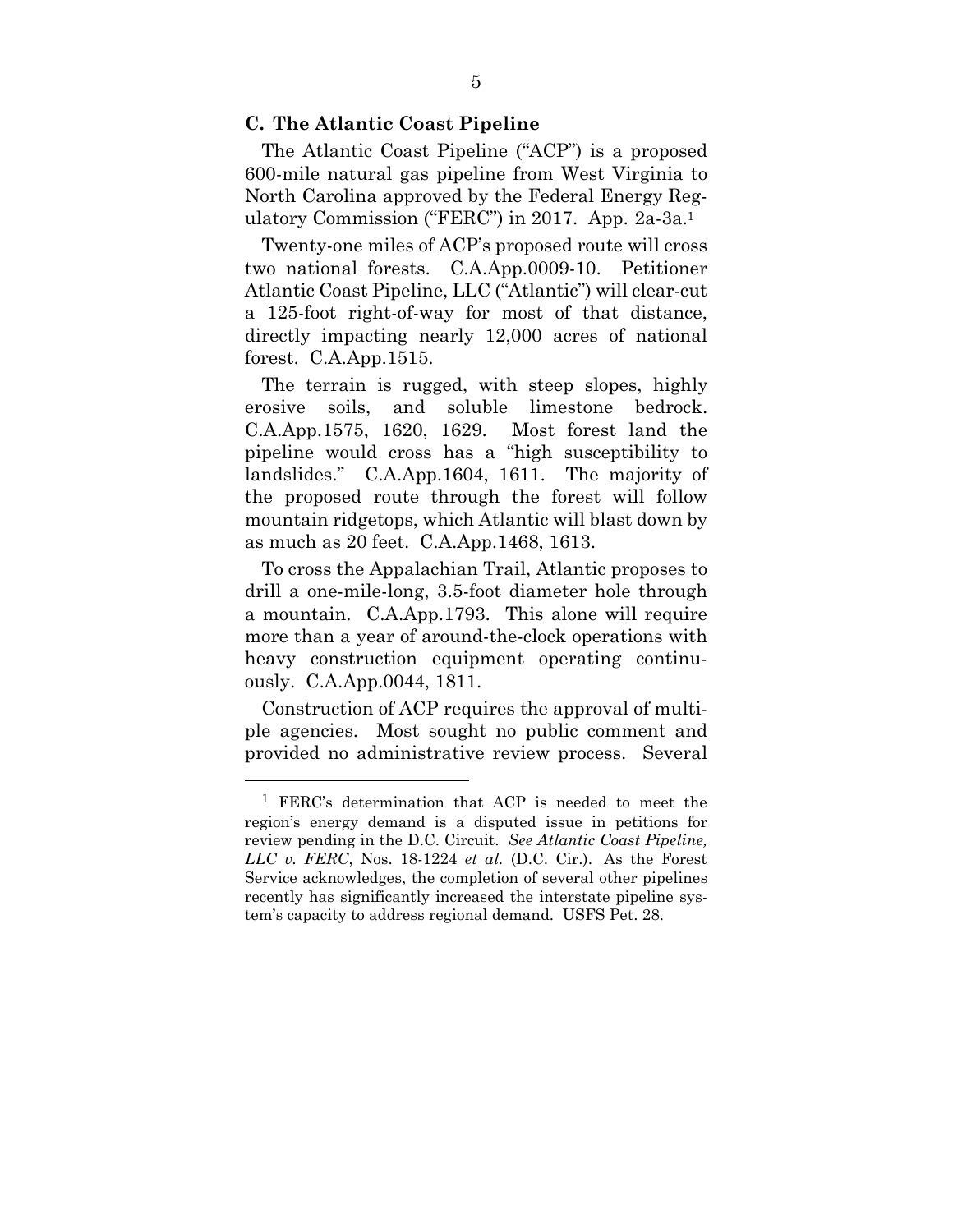#### **C. The Atlantic Coast Pipeline**

The Atlantic Coast Pipeline ("ACP") is a proposed 600-mile natural gas pipeline from West Virginia to North Carolina approved by the Federal Energy Regulatory Commission ("FERC") in 2017. App. 2a-3a.1

Twenty-one miles of ACP's proposed route will cross two national forests. C.A.App.0009-10. Petitioner Atlantic Coast Pipeline, LLC ("Atlantic") will clear-cut a 125-foot right-of-way for most of that distance, directly impacting nearly 12,000 acres of national forest. C.A.App.1515.

The terrain is rugged, with steep slopes, highly erosive soils, and soluble limestone bedrock. C.A.App.1575, 1620, 1629. Most forest land the pipeline would cross has a "high susceptibility to landslides." C.A.App.1604, 1611. The majority of the proposed route through the forest will follow mountain ridgetops, which Atlantic will blast down by as much as 20 feet. C.A.App.1468, 1613.

To cross the Appalachian Trail, Atlantic proposes to drill a one-mile-long, 3.5-foot diameter hole through a mountain. C.A.App.1793. This alone will require more than a year of around-the-clock operations with heavy construction equipment operating continuously. C.A.App.0044, 1811.

Construction of ACP requires the approval of multiple agencies. Most sought no public comment and provided no administrative review process. Several

 $\overline{a}$ 

<sup>1</sup> FERC's determination that ACP is needed to meet the region's energy demand is a disputed issue in petitions for review pending in the D.C. Circuit. *See Atlantic Coast Pipeline, LLC v. FERC*, Nos. 18-1224 *et al.* (D.C. Cir.). As the Forest Service acknowledges, the completion of several other pipelines recently has significantly increased the interstate pipeline system's capacity to address regional demand. USFS Pet. 28.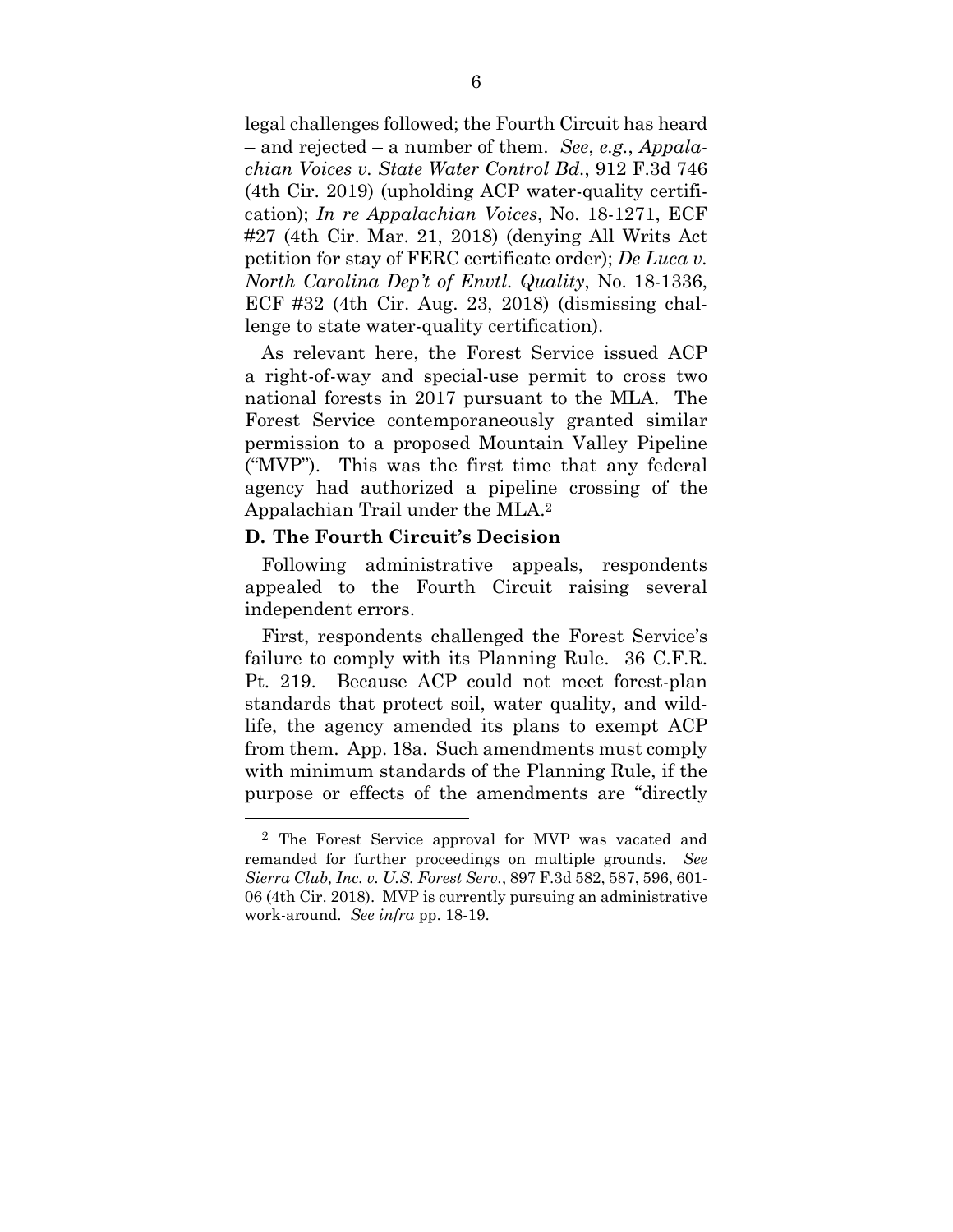legal challenges followed; the Fourth Circuit has heard – and rejected – a number of them. *See*, *e.g.*, *Appalachian Voices v. State Water Control Bd.*, 912 F.3d 746 (4th Cir. 2019) (upholding ACP water-quality certification); *In re Appalachian Voices*, No. 18-1271, ECF #27 (4th Cir. Mar. 21, 2018) (denying All Writs Act petition for stay of FERC certificate order); *De Luca v. North Carolina Dep't of Envtl. Quality*, No. 18-1336, ECF #32 (4th Cir. Aug. 23, 2018) (dismissing challenge to state water-quality certification).

As relevant here, the Forest Service issued ACP a right-of-way and special-use permit to cross two national forests in 2017 pursuant to the MLA. The Forest Service contemporaneously granted similar permission to a proposed Mountain Valley Pipeline ("MVP"). This was the first time that any federal agency had authorized a pipeline crossing of the Appalachian Trail under the MLA.2

#### **D. The Fourth Circuit's Decision**

 $\overline{a}$ 

Following administrative appeals, respondents appealed to the Fourth Circuit raising several independent errors.

First, respondents challenged the Forest Service's failure to comply with its Planning Rule. 36 C.F.R. Pt. 219. Because ACP could not meet forest-plan standards that protect soil, water quality, and wildlife, the agency amended its plans to exempt ACP from them. App. 18a. Such amendments must comply with minimum standards of the Planning Rule, if the purpose or effects of the amendments are "directly

<sup>2</sup> The Forest Service approval for MVP was vacated and remanded for further proceedings on multiple grounds. *See Sierra Club, Inc. v. U.S. Forest Serv.*, 897 F.3d 582, 587, 596, 601- 06 (4th Cir. 2018). MVP is currently pursuing an administrative work-around. *See infra* pp. 18-19.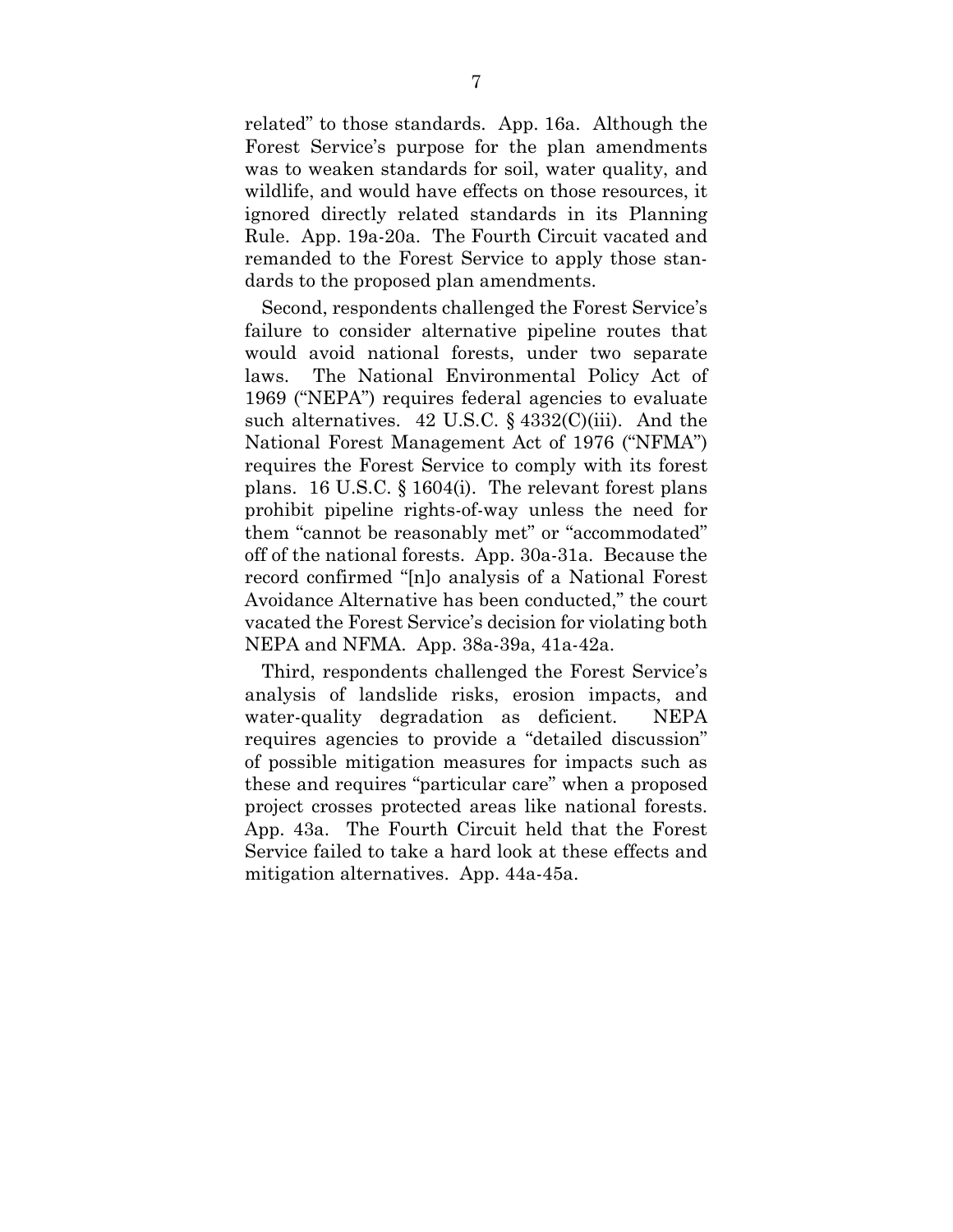related" to those standards. App. 16a. Although the Forest Service's purpose for the plan amendments was to weaken standards for soil, water quality, and wildlife, and would have effects on those resources, it ignored directly related standards in its Planning Rule. App. 19a-20a. The Fourth Circuit vacated and remanded to the Forest Service to apply those standards to the proposed plan amendments.

Second, respondents challenged the Forest Service's failure to consider alternative pipeline routes that would avoid national forests, under two separate laws. The National Environmental Policy Act of 1969 ("NEPA") requires federal agencies to evaluate such alternatives. 42 U.S.C. § 4332(C)(iii). And the National Forest Management Act of 1976 ("NFMA") requires the Forest Service to comply with its forest plans. 16 U.S.C. § 1604(i). The relevant forest plans prohibit pipeline rights-of-way unless the need for them "cannot be reasonably met" or "accommodated" off of the national forests. App. 30a-31a. Because the record confirmed "[n]o analysis of a National Forest Avoidance Alternative has been conducted," the court vacated the Forest Service's decision for violating both NEPA and NFMA. App. 38a-39a, 41a-42a.

Third, respondents challenged the Forest Service's analysis of landslide risks, erosion impacts, and water-quality degradation as deficient. NEPA requires agencies to provide a "detailed discussion" of possible mitigation measures for impacts such as these and requires "particular care" when a proposed project crosses protected areas like national forests. App. 43a. The Fourth Circuit held that the Forest Service failed to take a hard look at these effects and mitigation alternatives. App. 44a-45a.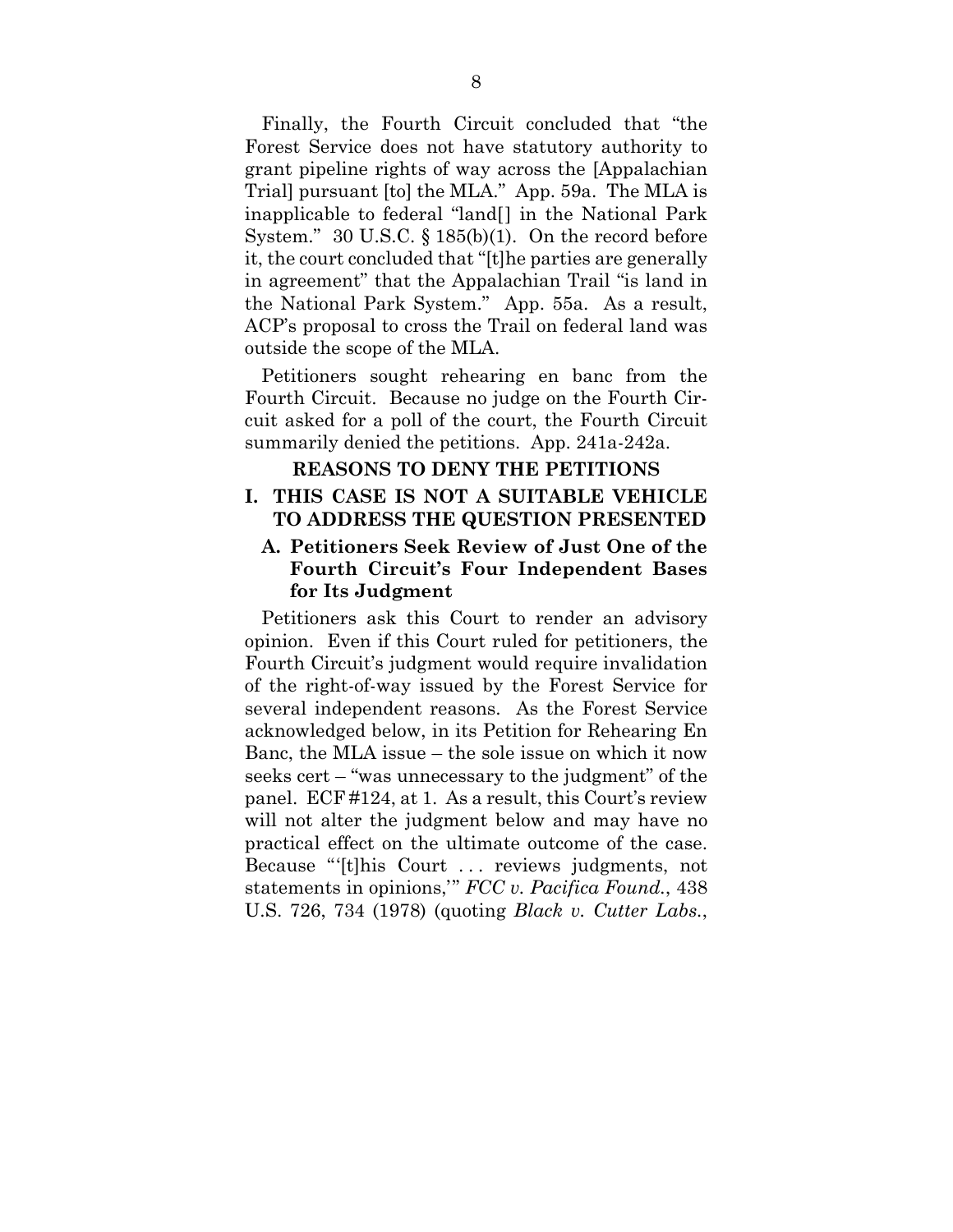Finally, the Fourth Circuit concluded that "the Forest Service does not have statutory authority to grant pipeline rights of way across the [Appalachian Trial] pursuant [to] the MLA." App. 59a. The MLA is inapplicable to federal "land[] in the National Park System." 30 U.S.C. § 185(b)(1). On the record before it, the court concluded that "[t]he parties are generally in agreement" that the Appalachian Trail "is land in the National Park System." App. 55a. As a result, ACP's proposal to cross the Trail on federal land was outside the scope of the MLA.

Petitioners sought rehearing en banc from the Fourth Circuit. Because no judge on the Fourth Circuit asked for a poll of the court, the Fourth Circuit summarily denied the petitions. App. 241a-242a.

#### **REASONS TO DENY THE PETITIONS**

### **I. THIS CASE IS NOT A SUITABLE VEHICLE TO ADDRESS THE QUESTION PRESENTED**

## **A. Petitioners Seek Review of Just One of the Fourth Circuit's Four Independent Bases for Its Judgment**

Petitioners ask this Court to render an advisory opinion. Even if this Court ruled for petitioners, the Fourth Circuit's judgment would require invalidation of the right-of-way issued by the Forest Service for several independent reasons. As the Forest Service acknowledged below, in its Petition for Rehearing En Banc, the MLA issue – the sole issue on which it now seeks cert – "was unnecessary to the judgment" of the panel. ECF #124, at 1. As a result, this Court's review will not alter the judgment below and may have no practical effect on the ultimate outcome of the case. Because "'[t]his Court . . . reviews judgments, not statements in opinions,'" *FCC v. Pacifica Found.*, 438 U.S. 726, 734 (1978) (quoting *Black v. Cutter Labs.*,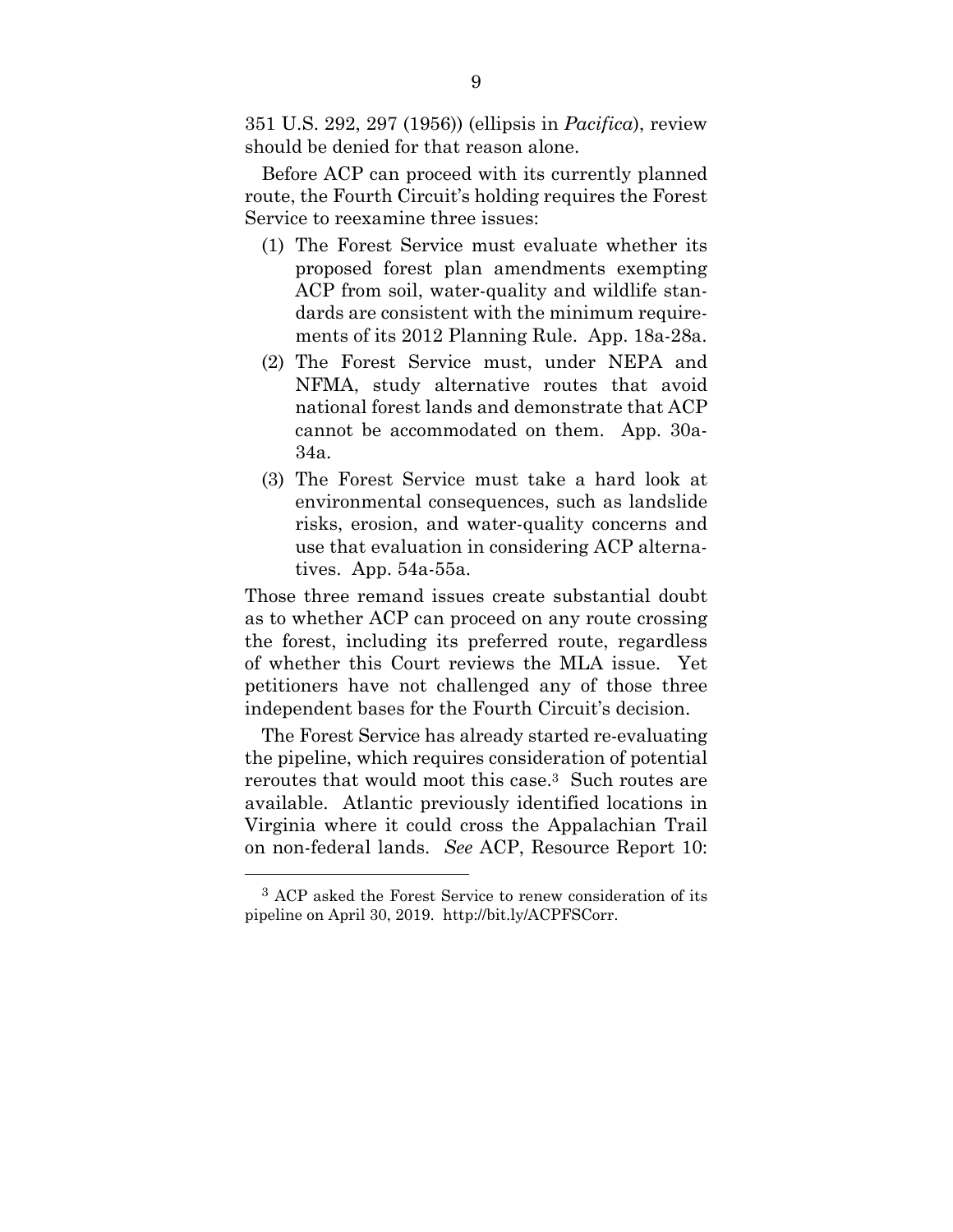351 U.S. 292, 297 (1956)) (ellipsis in *Pacifica*), review should be denied for that reason alone.

Before ACP can proceed with its currently planned route, the Fourth Circuit's holding requires the Forest Service to reexamine three issues:

- (1) The Forest Service must evaluate whether its proposed forest plan amendments exempting ACP from soil, water-quality and wildlife standards are consistent with the minimum requirements of its 2012 Planning Rule. App. 18a-28a.
- (2) The Forest Service must, under NEPA and NFMA, study alternative routes that avoid national forest lands and demonstrate that ACP cannot be accommodated on them. App. 30a-34a.
- (3) The Forest Service must take a hard look at environmental consequences, such as landslide risks, erosion, and water-quality concerns and use that evaluation in considering ACP alternatives. App. 54a-55a.

Those three remand issues create substantial doubt as to whether ACP can proceed on any route crossing the forest, including its preferred route, regardless of whether this Court reviews the MLA issue. Yet petitioners have not challenged any of those three independent bases for the Fourth Circuit's decision.

The Forest Service has already started re-evaluating the pipeline, which requires consideration of potential reroutes that would moot this case.3 Such routes are available. Atlantic previously identified locations in Virginia where it could cross the Appalachian Trail on non-federal lands. *See* ACP, Resource Report 10:

<sup>3</sup> ACP asked the Forest Service to renew consideration of its pipeline on April 30, 2019. http://bit.ly/ACPFSCorr.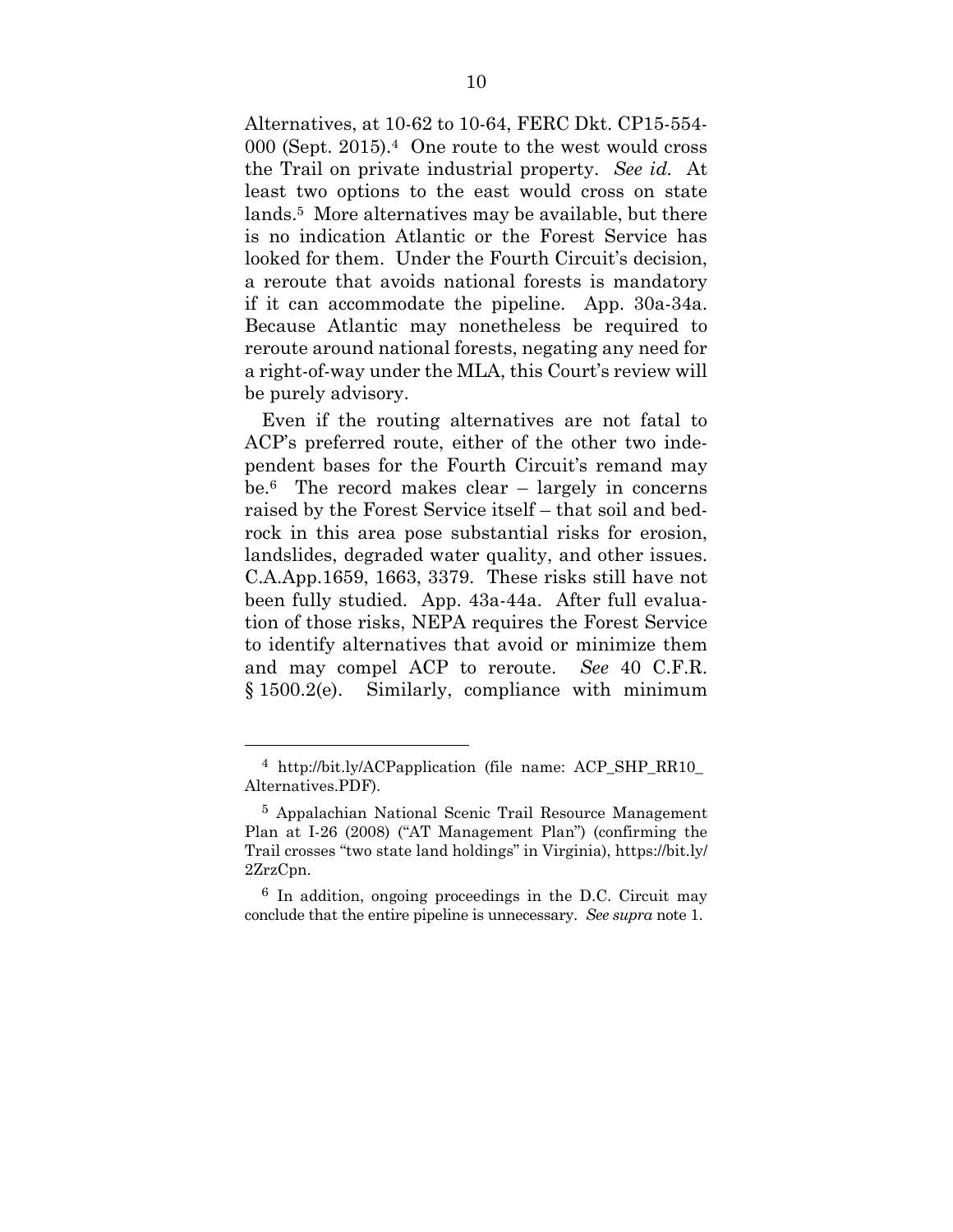Alternatives, at 10-62 to 10-64, FERC Dkt. CP15-554- 000 (Sept. 2015).4 One route to the west would cross the Trail on private industrial property. *See id.* At least two options to the east would cross on state lands.5 More alternatives may be available, but there is no indication Atlantic or the Forest Service has looked for them. Under the Fourth Circuit's decision, a reroute that avoids national forests is mandatory if it can accommodate the pipeline. App. 30a-34a. Because Atlantic may nonetheless be required to reroute around national forests, negating any need for a right-of-way under the MLA, this Court's review will be purely advisory.

Even if the routing alternatives are not fatal to ACP's preferred route, either of the other two independent bases for the Fourth Circuit's remand may be.6 The record makes clear – largely in concerns raised by the Forest Service itself – that soil and bedrock in this area pose substantial risks for erosion, landslides, degraded water quality, and other issues. C.A.App.1659, 1663, 3379. These risks still have not been fully studied. App. 43a-44a. After full evaluation of those risks, NEPA requires the Forest Service to identify alternatives that avoid or minimize them and may compel ACP to reroute. *See* 40 C.F.R. § 1500.2(e). Similarly, compliance with minimum

<sup>&</sup>lt;sup>4</sup> http://bit.ly/ACPapplication (file name: ACP SHP RR10 Alternatives.PDF).

<sup>5</sup> Appalachian National Scenic Trail Resource Management Plan at I-26 (2008) ("AT Management Plan") (confirming the Trail crosses "two state land holdings" in Virginia), https://bit.ly/ 2ZrzCpn.

<sup>6</sup> In addition, ongoing proceedings in the D.C. Circuit may conclude that the entire pipeline is unnecessary. *See supra* note 1.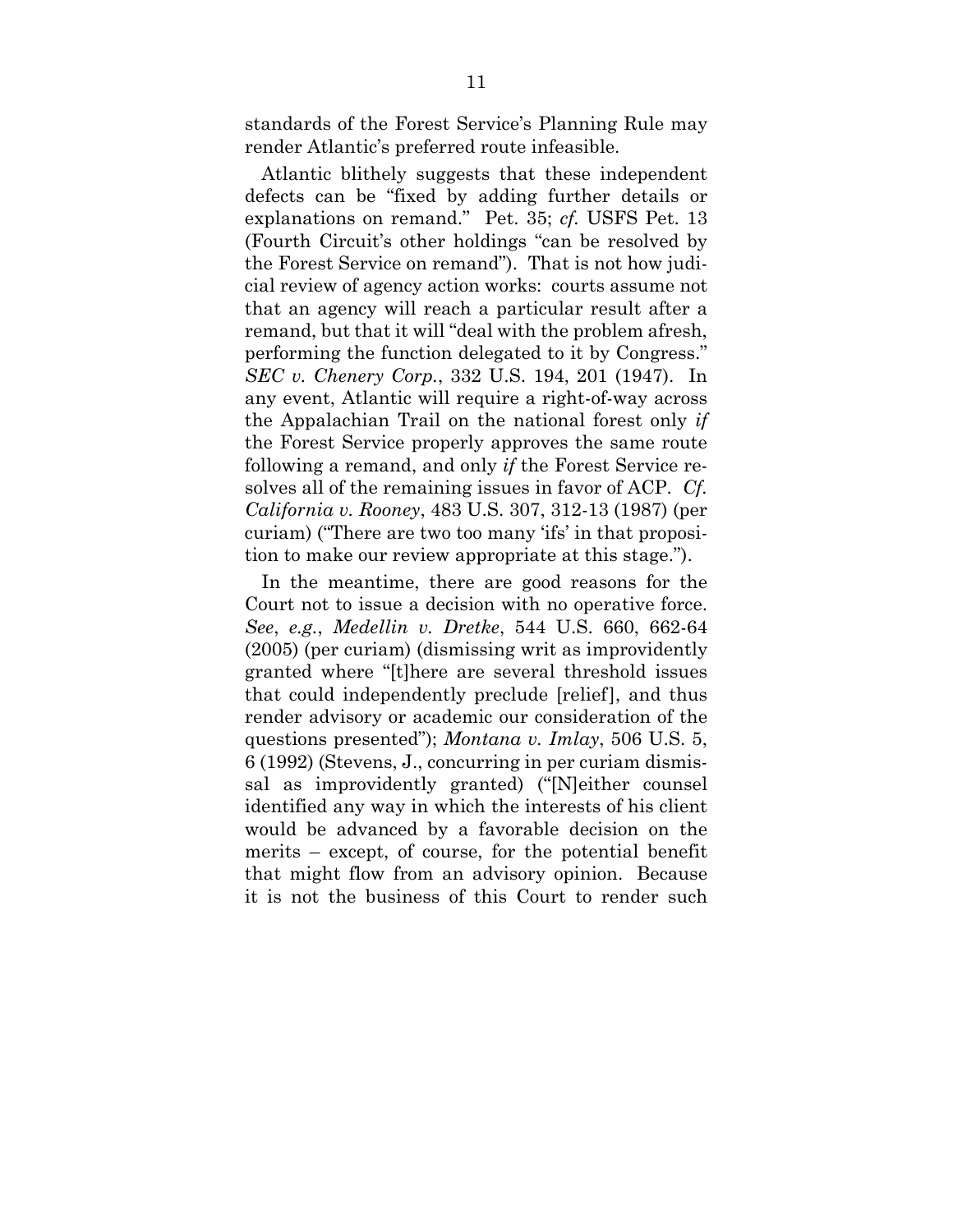standards of the Forest Service's Planning Rule may render Atlantic's preferred route infeasible.

Atlantic blithely suggests that these independent defects can be "fixed by adding further details or explanations on remand." Pet. 35; *cf.* USFS Pet. 13 (Fourth Circuit's other holdings "can be resolved by the Forest Service on remand"). That is not how judicial review of agency action works: courts assume not that an agency will reach a particular result after a remand, but that it will "deal with the problem afresh, performing the function delegated to it by Congress." *SEC v. Chenery Corp.*, 332 U.S. 194, 201 (1947). In any event, Atlantic will require a right-of-way across the Appalachian Trail on the national forest only *if* the Forest Service properly approves the same route following a remand, and only *if* the Forest Service resolves all of the remaining issues in favor of ACP. *Cf. California v. Rooney*, 483 U.S. 307, 312-13 (1987) (per curiam) ("There are two too many 'ifs' in that proposition to make our review appropriate at this stage.").

In the meantime, there are good reasons for the Court not to issue a decision with no operative force. *See*, *e.g.*, *Medellin v. Dretke*, 544 U.S. 660, 662-64 (2005) (per curiam) (dismissing writ as improvidently granted where "[t]here are several threshold issues that could independently preclude [relief], and thus render advisory or academic our consideration of the questions presented"); *Montana v. Imlay*, 506 U.S. 5, 6 (1992) (Stevens, J., concurring in per curiam dismissal as improvidently granted) ("[N]either counsel identified any way in which the interests of his client would be advanced by a favorable decision on the merits – except, of course, for the potential benefit that might flow from an advisory opinion. Because it is not the business of this Court to render such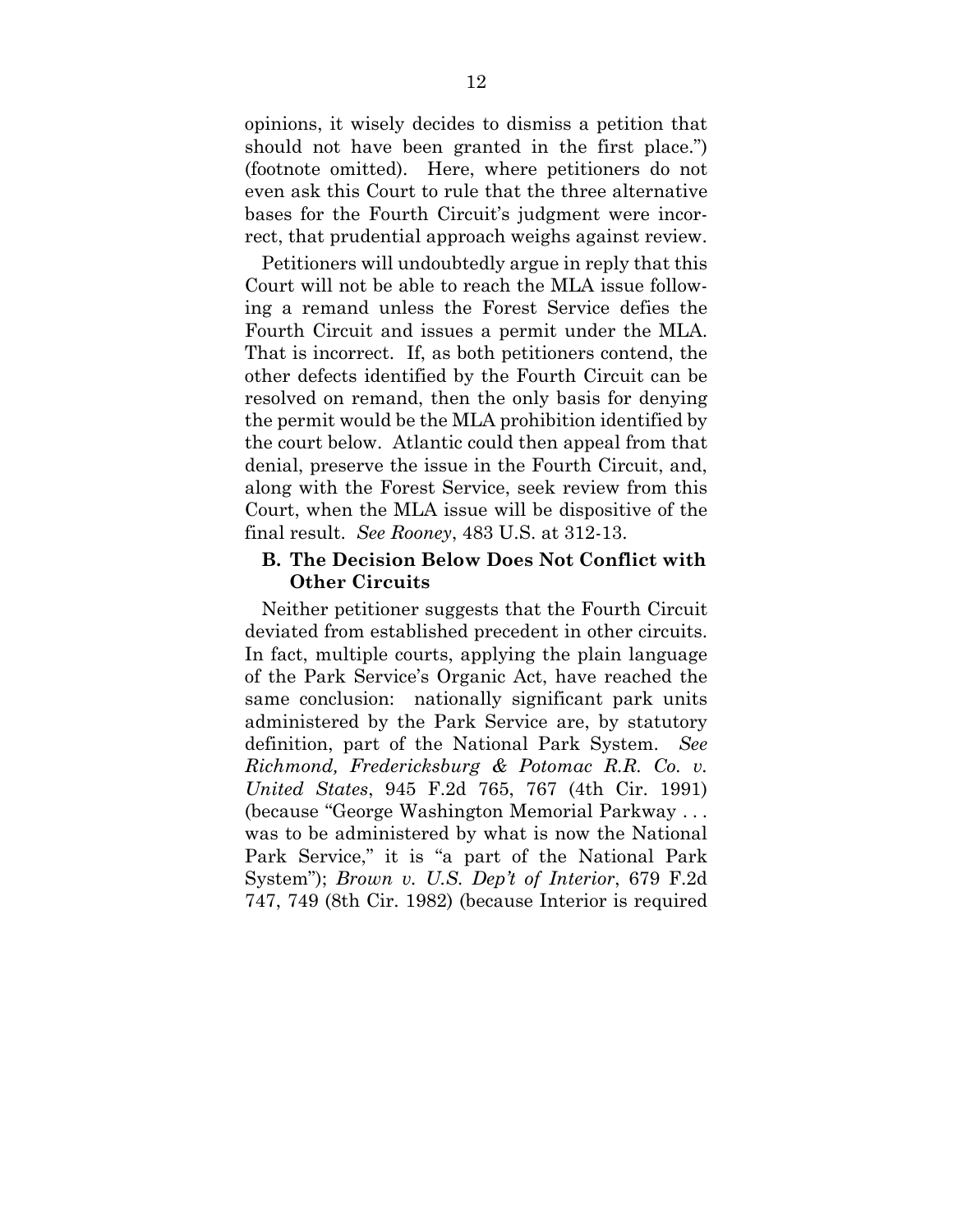opinions, it wisely decides to dismiss a petition that should not have been granted in the first place.") (footnote omitted). Here, where petitioners do not even ask this Court to rule that the three alternative bases for the Fourth Circuit's judgment were incorrect, that prudential approach weighs against review.

Petitioners will undoubtedly argue in reply that this Court will not be able to reach the MLA issue following a remand unless the Forest Service defies the Fourth Circuit and issues a permit under the MLA. That is incorrect. If, as both petitioners contend, the other defects identified by the Fourth Circuit can be resolved on remand, then the only basis for denying the permit would be the MLA prohibition identified by the court below. Atlantic could then appeal from that denial, preserve the issue in the Fourth Circuit, and, along with the Forest Service, seek review from this Court, when the MLA issue will be dispositive of the final result. *See Rooney*, 483 U.S. at 312-13.

#### **B. The Decision Below Does Not Conflict with Other Circuits**

Neither petitioner suggests that the Fourth Circuit deviated from established precedent in other circuits. In fact, multiple courts, applying the plain language of the Park Service's Organic Act, have reached the same conclusion: nationally significant park units administered by the Park Service are, by statutory definition, part of the National Park System. *See Richmond, Fredericksburg & Potomac R.R. Co. v. United States*, 945 F.2d 765, 767 (4th Cir. 1991) (because "George Washington Memorial Parkway . . . was to be administered by what is now the National Park Service," it is "a part of the National Park System"); *Brown v. U.S. Dep't of Interior*, 679 F.2d 747, 749 (8th Cir. 1982) (because Interior is required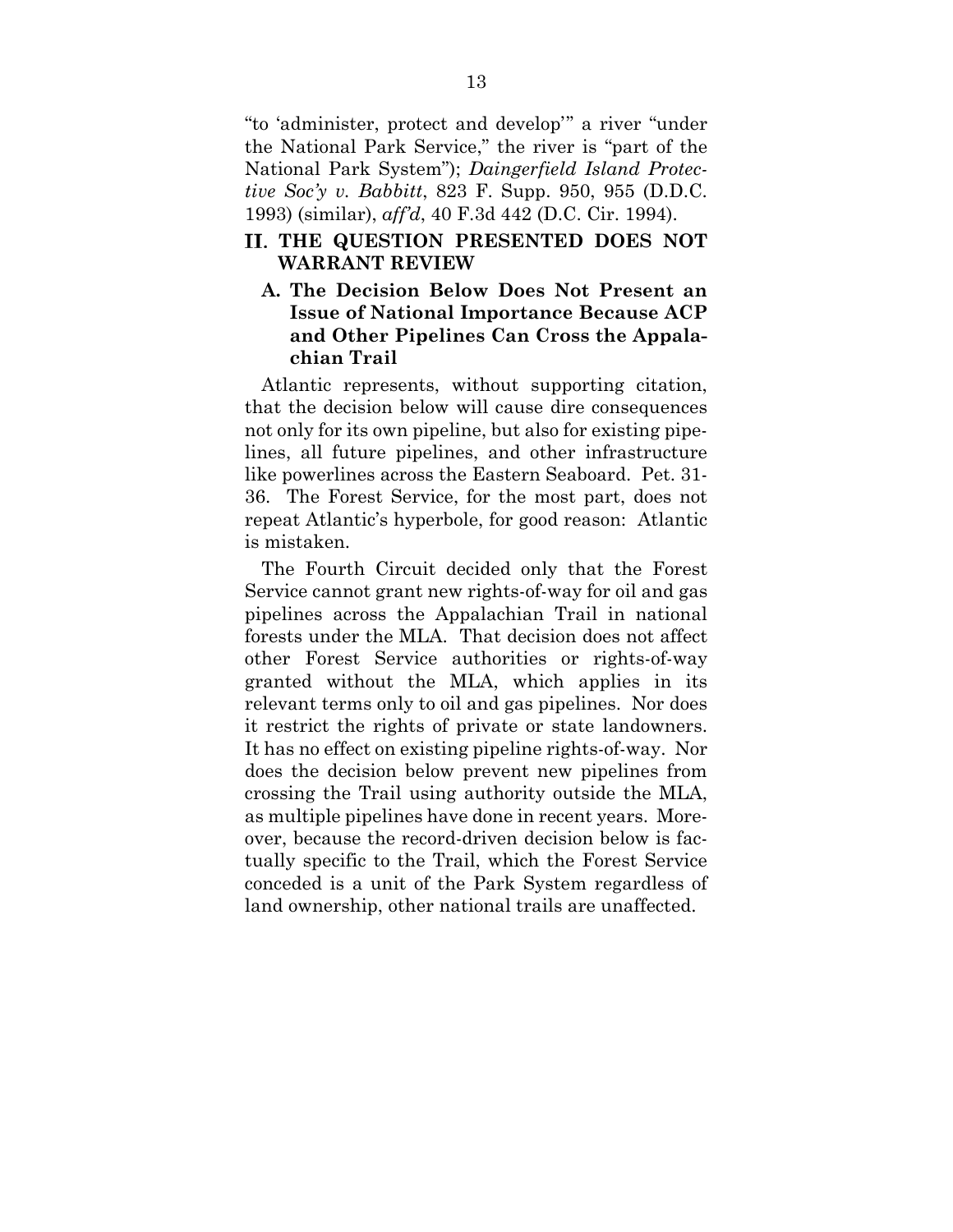"to 'administer, protect and develop'" a river "under the National Park Service," the river is "part of the National Park System"); *Daingerfield Island Protective Soc'y v. Babbitt*, 823 F. Supp. 950, 955 (D.D.C. 1993) (similar), *aff'd*, 40 F.3d 442 (D.C. Cir. 1994).

## **THE QUESTION PRESENTED DOES NOT WARRANT REVIEW**

## **A. The Decision Below Does Not Present an Issue of National Importance Because ACP and Other Pipelines Can Cross the Appalachian Trail**

Atlantic represents, without supporting citation, that the decision below will cause dire consequences not only for its own pipeline, but also for existing pipelines, all future pipelines, and other infrastructure like powerlines across the Eastern Seaboard. Pet. 31- 36. The Forest Service, for the most part, does not repeat Atlantic's hyperbole, for good reason: Atlantic is mistaken.

The Fourth Circuit decided only that the Forest Service cannot grant new rights-of-way for oil and gas pipelines across the Appalachian Trail in national forests under the MLA. That decision does not affect other Forest Service authorities or rights-of-way granted without the MLA, which applies in its relevant terms only to oil and gas pipelines. Nor does it restrict the rights of private or state landowners. It has no effect on existing pipeline rights-of-way. Nor does the decision below prevent new pipelines from crossing the Trail using authority outside the MLA, as multiple pipelines have done in recent years. Moreover, because the record-driven decision below is factually specific to the Trail, which the Forest Service conceded is a unit of the Park System regardless of land ownership, other national trails are unaffected.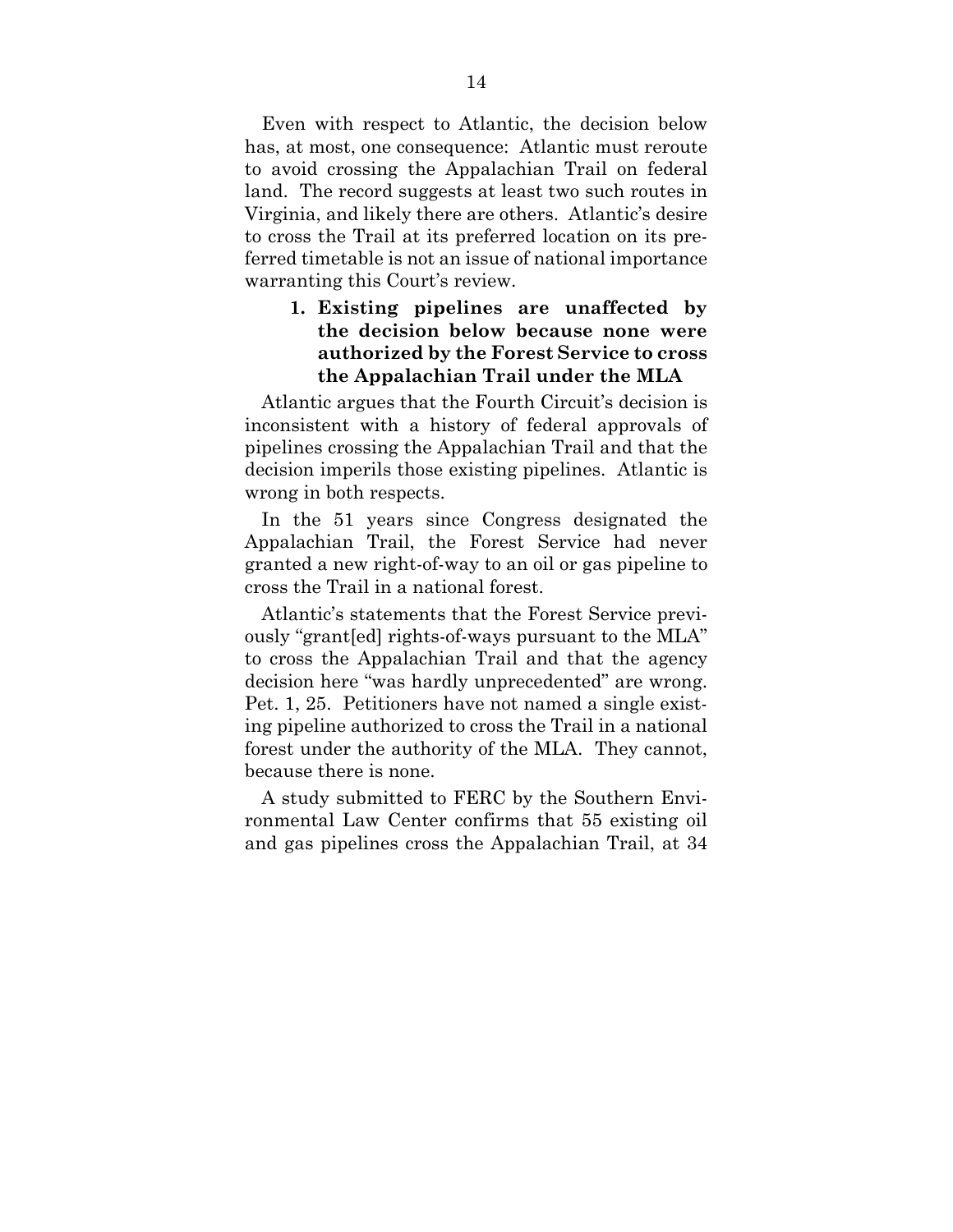Even with respect to Atlantic, the decision below has, at most, one consequence: Atlantic must reroute to avoid crossing the Appalachian Trail on federal land. The record suggests at least two such routes in Virginia, and likely there are others. Atlantic's desire to cross the Trail at its preferred location on its preferred timetable is not an issue of national importance warranting this Court's review.

## **1. Existing pipelines are unaffected by the decision below because none were authorized by the Forest Service to cross the Appalachian Trail under the MLA**

Atlantic argues that the Fourth Circuit's decision is inconsistent with a history of federal approvals of pipelines crossing the Appalachian Trail and that the decision imperils those existing pipelines. Atlantic is wrong in both respects.

In the 51 years since Congress designated the Appalachian Trail, the Forest Service had never granted a new right-of-way to an oil or gas pipeline to cross the Trail in a national forest.

Atlantic's statements that the Forest Service previously "grant[ed] rights-of-ways pursuant to the MLA" to cross the Appalachian Trail and that the agency decision here "was hardly unprecedented" are wrong. Pet. 1, 25. Petitioners have not named a single existing pipeline authorized to cross the Trail in a national forest under the authority of the MLA. They cannot, because there is none.

A study submitted to FERC by the Southern Environmental Law Center confirms that 55 existing oil and gas pipelines cross the Appalachian Trail, at 34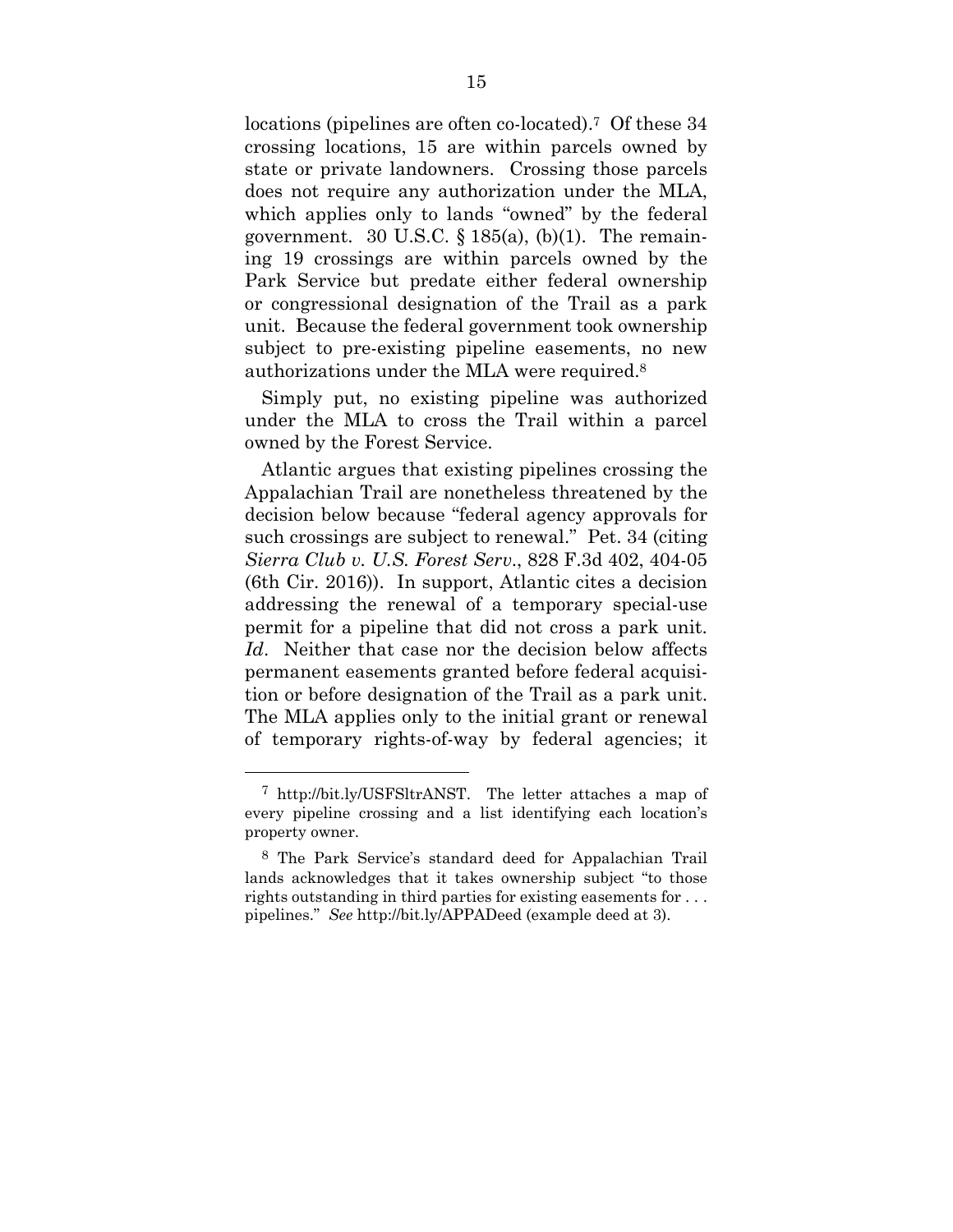locations (pipelines are often co-located).7 Of these 34 crossing locations, 15 are within parcels owned by state or private landowners. Crossing those parcels does not require any authorization under the MLA, which applies only to lands "owned" by the federal government. 30 U.S.C.  $\S$  185(a), (b)(1). The remaining 19 crossings are within parcels owned by the Park Service but predate either federal ownership or congressional designation of the Trail as a park unit. Because the federal government took ownership subject to pre-existing pipeline easements, no new authorizations under the MLA were required.8

Simply put, no existing pipeline was authorized under the MLA to cross the Trail within a parcel owned by the Forest Service.

Atlantic argues that existing pipelines crossing the Appalachian Trail are nonetheless threatened by the decision below because "federal agency approvals for such crossings are subject to renewal." Pet. 34 (citing *Sierra Club v. U.S. Forest Serv*., 828 F.3d 402, 404-05 (6th Cir. 2016)). In support, Atlantic cites a decision addressing the renewal of a temporary special-use permit for a pipeline that did not cross a park unit. *Id*. Neither that case nor the decision below affects permanent easements granted before federal acquisition or before designation of the Trail as a park unit. The MLA applies only to the initial grant or renewal of temporary rights-of-way by federal agencies; it

<sup>7</sup> http://bit.ly/USFSltrANST. The letter attaches a map of every pipeline crossing and a list identifying each location's property owner.

<sup>8</sup> The Park Service's standard deed for Appalachian Trail lands acknowledges that it takes ownership subject "to those rights outstanding in third parties for existing easements for . . . pipelines." *See* http://bit.ly/APPADeed (example deed at 3).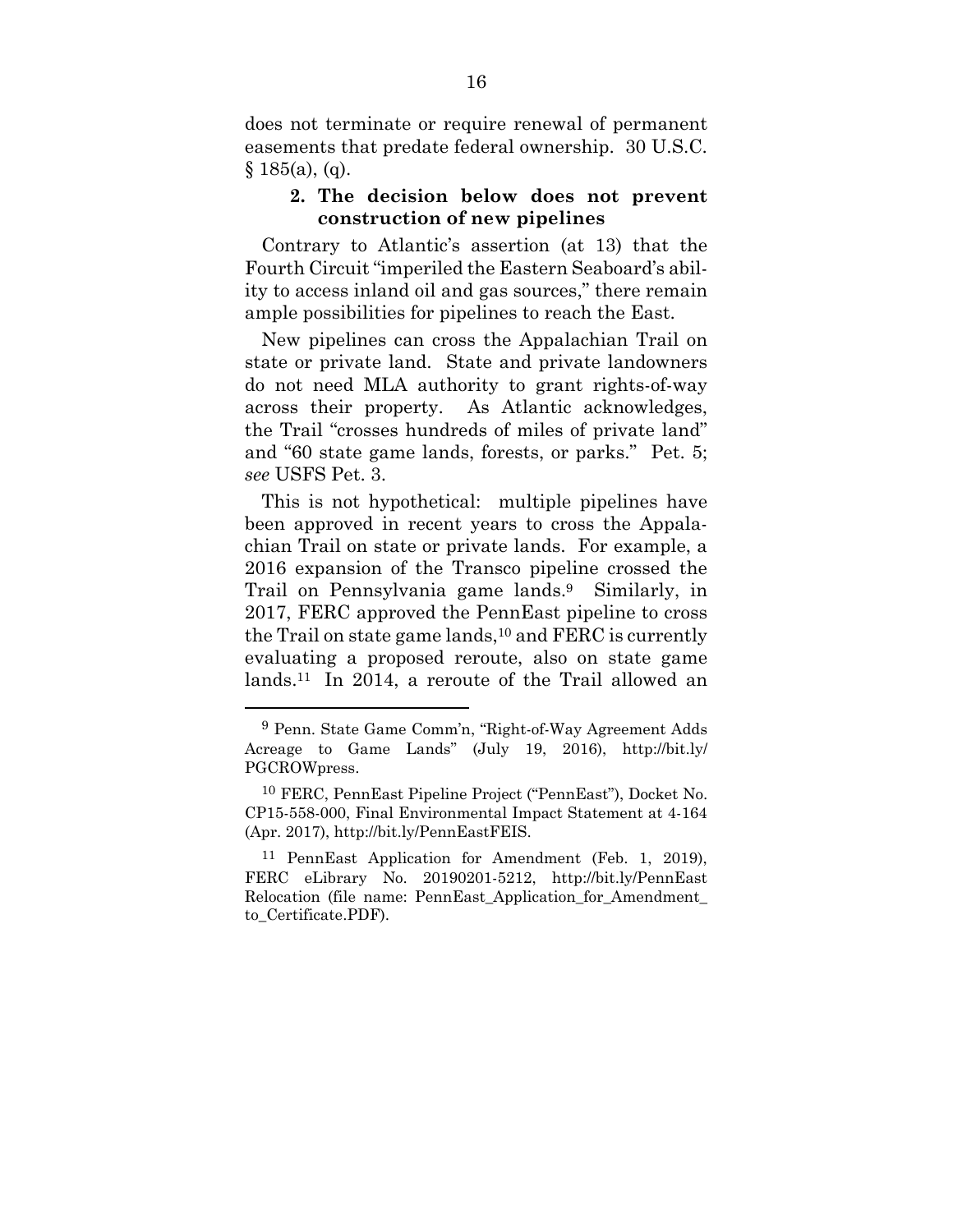does not terminate or require renewal of permanent easements that predate federal ownership. 30 U.S.C.  $§ 185(a), (q).$ 

### **2. The decision below does not prevent construction of new pipelines**

Contrary to Atlantic's assertion (at 13) that the Fourth Circuit "imperiled the Eastern Seaboard's ability to access inland oil and gas sources," there remain ample possibilities for pipelines to reach the East.

New pipelines can cross the Appalachian Trail on state or private land. State and private landowners do not need MLA authority to grant rights-of-way across their property. As Atlantic acknowledges, the Trail "crosses hundreds of miles of private land" and "60 state game lands, forests, or parks." Pet. 5; *see* USFS Pet. 3.

This is not hypothetical: multiple pipelines have been approved in recent years to cross the Appalachian Trail on state or private lands. For example, a 2016 expansion of the Transco pipeline crossed the Trail on Pennsylvania game lands.9 Similarly, in 2017, FERC approved the PennEast pipeline to cross the Trail on state game lands,  $10$  and FERC is currently evaluating a proposed reroute, also on state game lands.11 In 2014, a reroute of the Trail allowed an

<sup>9</sup> Penn. State Game Comm'n, "Right-of-Way Agreement Adds Acreage to Game Lands" (July 19, 2016), http://bit.ly/ PGCROWpress.

<sup>10</sup> FERC, PennEast Pipeline Project ("PennEast"), Docket No. CP15-558-000, Final Environmental Impact Statement at 4-164 (Apr. 2017), http://bit.ly/PennEastFEIS.

<sup>11</sup> PennEast Application for Amendment (Feb. 1, 2019), FERC eLibrary No. 20190201-5212, http://bit.ly/PennEast Relocation (file name: PennEast\_Application\_for\_Amendment\_ to\_Certificate.PDF).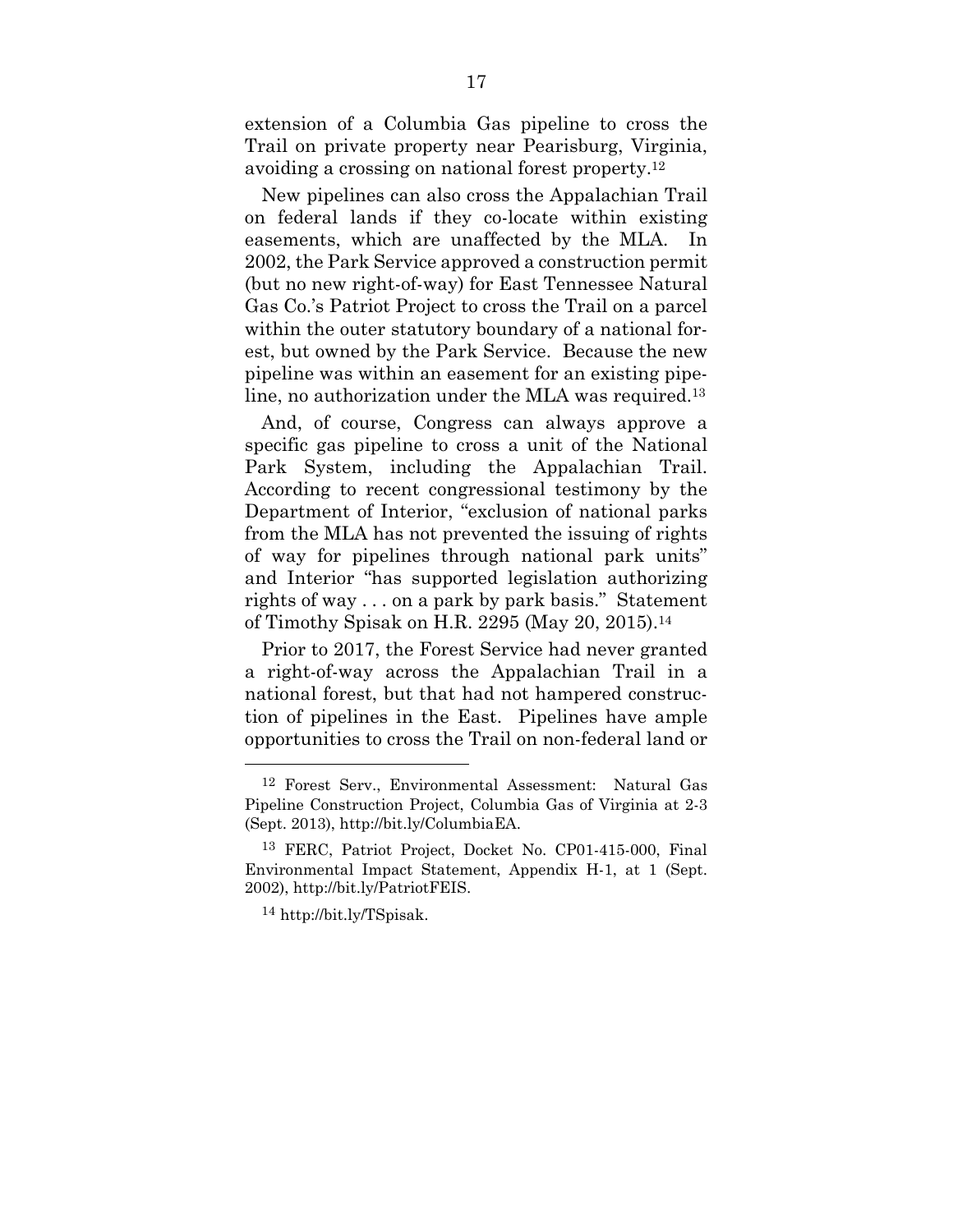extension of a Columbia Gas pipeline to cross the Trail on private property near Pearisburg, Virginia, avoiding a crossing on national forest property.12

New pipelines can also cross the Appalachian Trail on federal lands if they co-locate within existing easements, which are unaffected by the MLA. In 2002, the Park Service approved a construction permit (but no new right-of-way) for East Tennessee Natural Gas Co.'s Patriot Project to cross the Trail on a parcel within the outer statutory boundary of a national forest, but owned by the Park Service. Because the new pipeline was within an easement for an existing pipeline, no authorization under the MLA was required.13

And, of course, Congress can always approve a specific gas pipeline to cross a unit of the National Park System, including the Appalachian Trail. According to recent congressional testimony by the Department of Interior, "exclusion of national parks from the MLA has not prevented the issuing of rights of way for pipelines through national park units" and Interior "has supported legislation authorizing rights of way . . . on a park by park basis." Statement of Timothy Spisak on H.R. 2295 (May 20, 2015).14

Prior to 2017, the Forest Service had never granted a right-of-way across the Appalachian Trail in a national forest, but that had not hampered construction of pipelines in the East. Pipelines have ample opportunities to cross the Trail on non-federal land or

<sup>12</sup> Forest Serv., Environmental Assessment: Natural Gas Pipeline Construction Project, Columbia Gas of Virginia at 2-3 (Sept. 2013), http://bit.ly/ColumbiaEA.

<sup>13</sup> FERC, Patriot Project, Docket No. CP01-415-000, Final Environmental Impact Statement, Appendix H-1, at 1 (Sept. 2002), http://bit.ly/PatriotFEIS.

<sup>14</sup> http://bit.ly/TSpisak.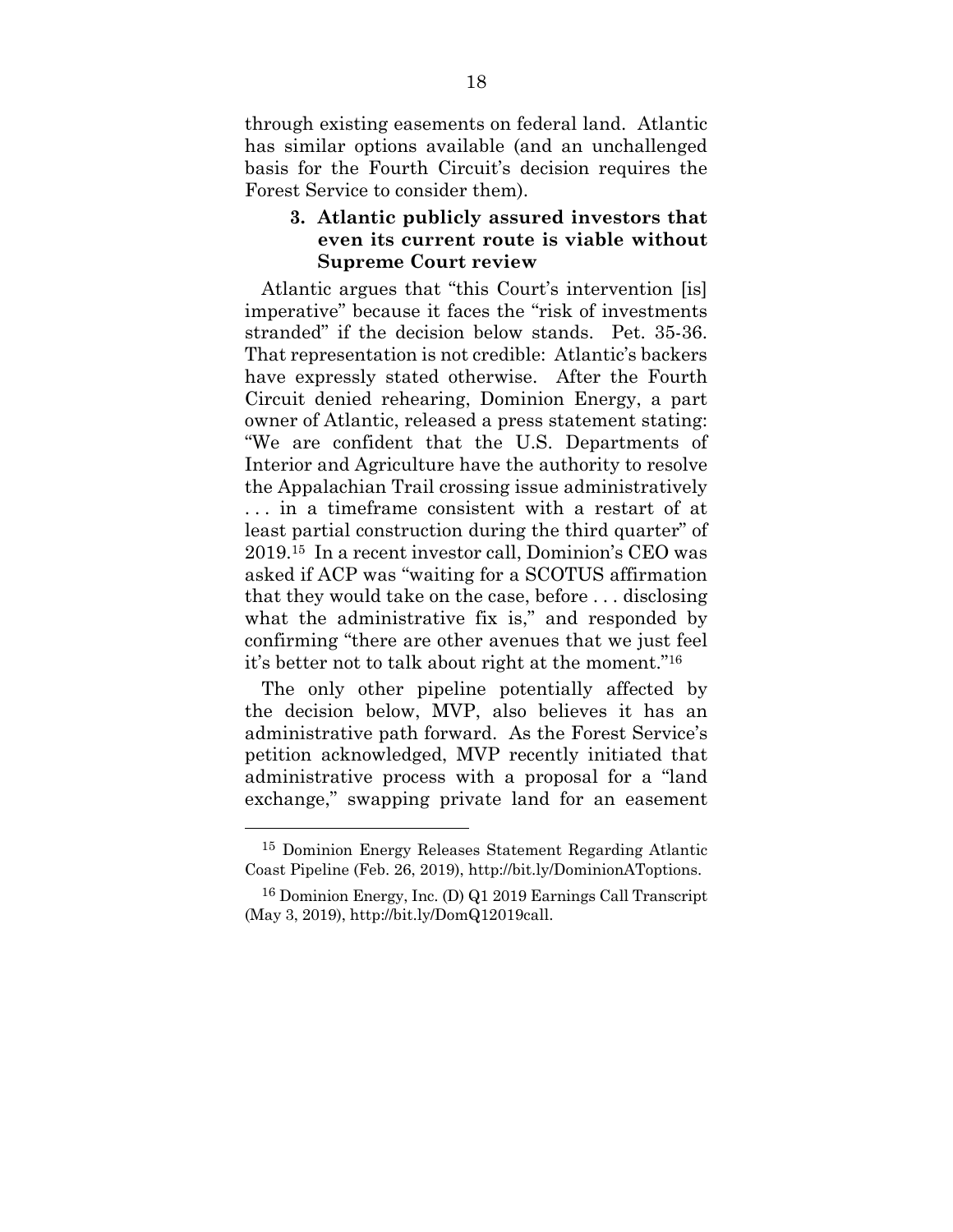through existing easements on federal land. Atlantic has similar options available (and an unchallenged basis for the Fourth Circuit's decision requires the Forest Service to consider them).

## **3. Atlantic publicly assured investors that even its current route is viable without Supreme Court review**

Atlantic argues that "this Court's intervention [is] imperative" because it faces the "risk of investments stranded" if the decision below stands. Pet. 35-36. That representation is not credible: Atlantic's backers have expressly stated otherwise. After the Fourth Circuit denied rehearing, Dominion Energy, a part owner of Atlantic, released a press statement stating: "We are confident that the U.S. Departments of Interior and Agriculture have the authority to resolve the Appalachian Trail crossing issue administratively . . . in a timeframe consistent with a restart of at least partial construction during the third quarter" of 2019.15 In a recent investor call, Dominion's CEO was asked if ACP was "waiting for a SCOTUS affirmation that they would take on the case, before . . . disclosing what the administrative fix is," and responded by confirming "there are other avenues that we just feel it's better not to talk about right at the moment."16

The only other pipeline potentially affected by the decision below, MVP, also believes it has an administrative path forward. As the Forest Service's petition acknowledged, MVP recently initiated that administrative process with a proposal for a "land exchange," swapping private land for an easement

<sup>15</sup> Dominion Energy Releases Statement Regarding Atlantic Coast Pipeline (Feb. 26, 2019), http://bit.ly/DominionAToptions.

<sup>16</sup> Dominion Energy, Inc. (D) Q1 2019 Earnings Call Transcript (May 3, 2019), http://bit.ly/DomQ12019call.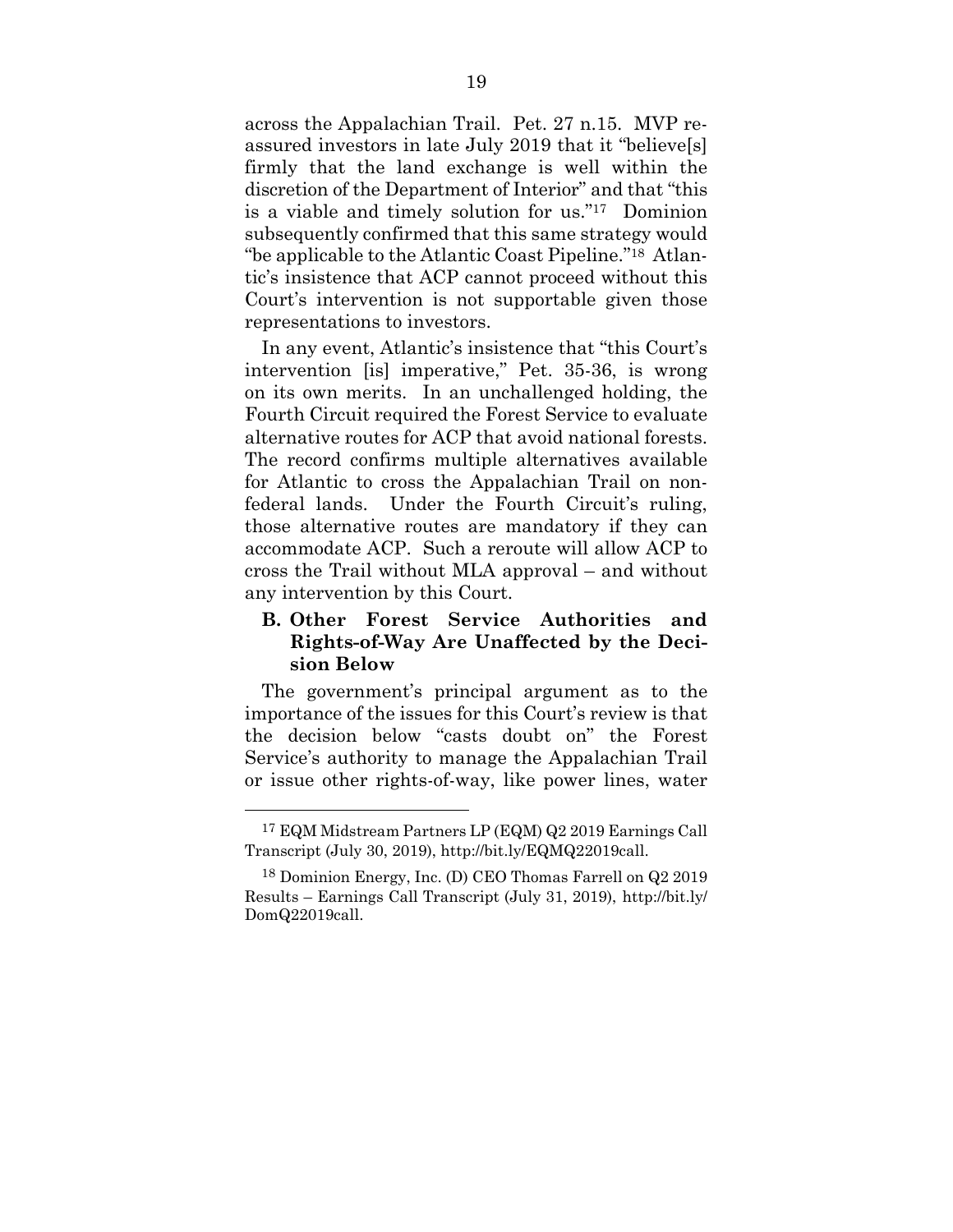across the Appalachian Trail. Pet. 27 n.15. MVP reassured investors in late July 2019 that it "believe[s] firmly that the land exchange is well within the discretion of the Department of Interior" and that "this is a viable and timely solution for us."17 Dominion subsequently confirmed that this same strategy would "be applicable to the Atlantic Coast Pipeline."18 Atlantic's insistence that ACP cannot proceed without this Court's intervention is not supportable given those representations to investors.

In any event, Atlantic's insistence that "this Court's intervention [is] imperative," Pet. 35-36, is wrong on its own merits. In an unchallenged holding, the Fourth Circuit required the Forest Service to evaluate alternative routes for ACP that avoid national forests. The record confirms multiple alternatives available for Atlantic to cross the Appalachian Trail on nonfederal lands. Under the Fourth Circuit's ruling, those alternative routes are mandatory if they can accommodate ACP. Such a reroute will allow ACP to cross the Trail without MLA approval – and without any intervention by this Court.

## **B. Other Forest Service Authorities and Rights-of-Way Are Unaffected by the Decision Below**

The government's principal argument as to the importance of the issues for this Court's review is that the decision below "casts doubt on" the Forest Service's authority to manage the Appalachian Trail or issue other rights-of-way, like power lines, water

<sup>17</sup> EQM Midstream Partners LP (EQM) Q2 2019 Earnings Call Transcript (July 30, 2019), http://bit.ly/EQMQ22019call.

<sup>18</sup> Dominion Energy, Inc. (D) CEO Thomas Farrell on Q2 2019 Results – Earnings Call Transcript (July 31, 2019), http://bit.ly/ DomQ22019call.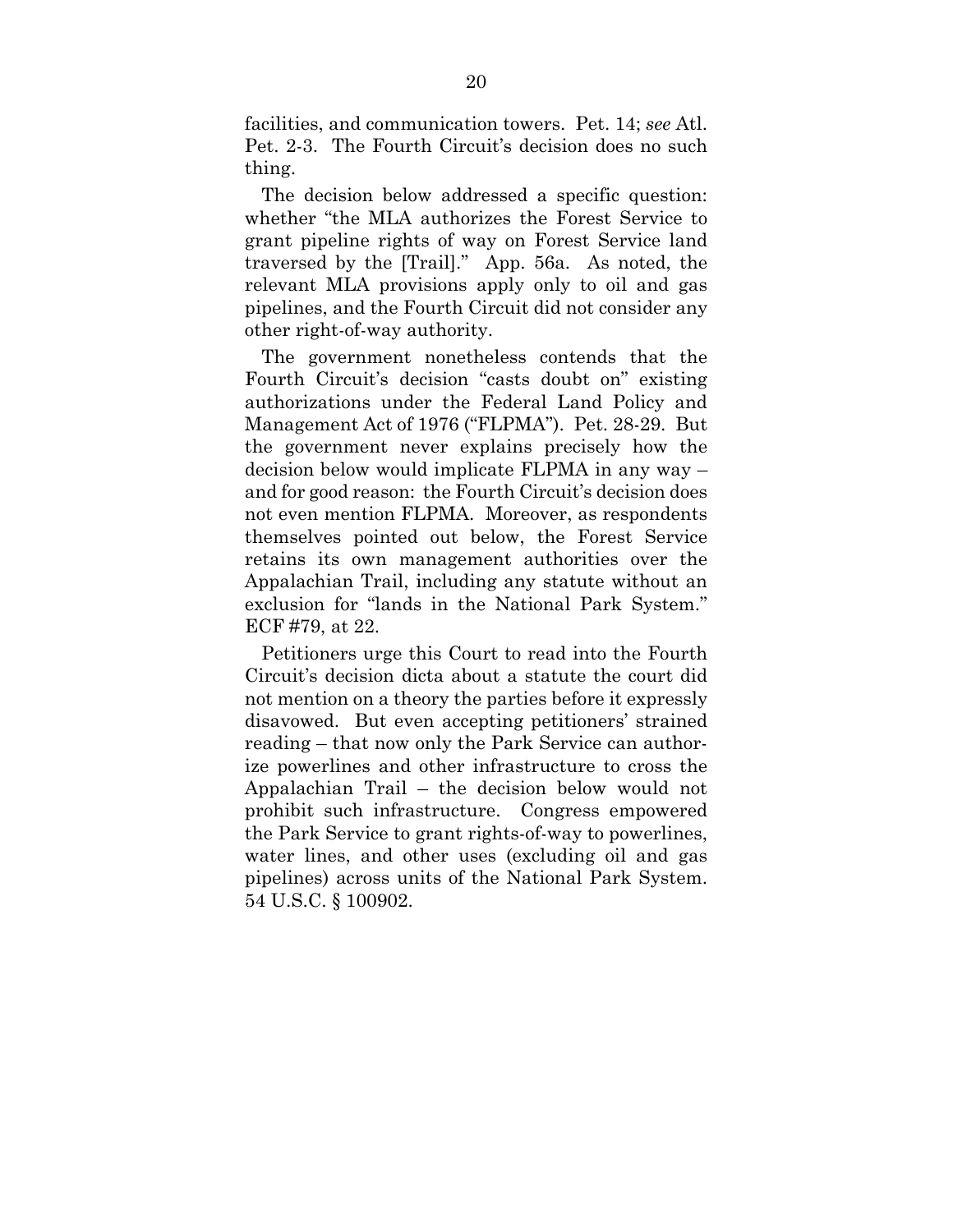facilities, and communication towers. Pet. 14; *see* Atl. Pet. 2-3. The Fourth Circuit's decision does no such thing.

The decision below addressed a specific question: whether "the MLA authorizes the Forest Service to grant pipeline rights of way on Forest Service land traversed by the [Trail]." App. 56a. As noted, the relevant MLA provisions apply only to oil and gas pipelines, and the Fourth Circuit did not consider any other right-of-way authority.

The government nonetheless contends that the Fourth Circuit's decision "casts doubt on" existing authorizations under the Federal Land Policy and Management Act of 1976 ("FLPMA"). Pet. 28-29. But the government never explains precisely how the decision below would implicate FLPMA in any way – and for good reason: the Fourth Circuit's decision does not even mention FLPMA. Moreover, as respondents themselves pointed out below, the Forest Service retains its own management authorities over the Appalachian Trail, including any statute without an exclusion for "lands in the National Park System." ECF #79, at 22.

Petitioners urge this Court to read into the Fourth Circuit's decision dicta about a statute the court did not mention on a theory the parties before it expressly disavowed. But even accepting petitioners' strained reading – that now only the Park Service can authorize powerlines and other infrastructure to cross the Appalachian Trail – the decision below would not prohibit such infrastructure. Congress empowered the Park Service to grant rights-of-way to powerlines, water lines, and other uses (excluding oil and gas pipelines) across units of the National Park System. 54 U.S.C. § 100902.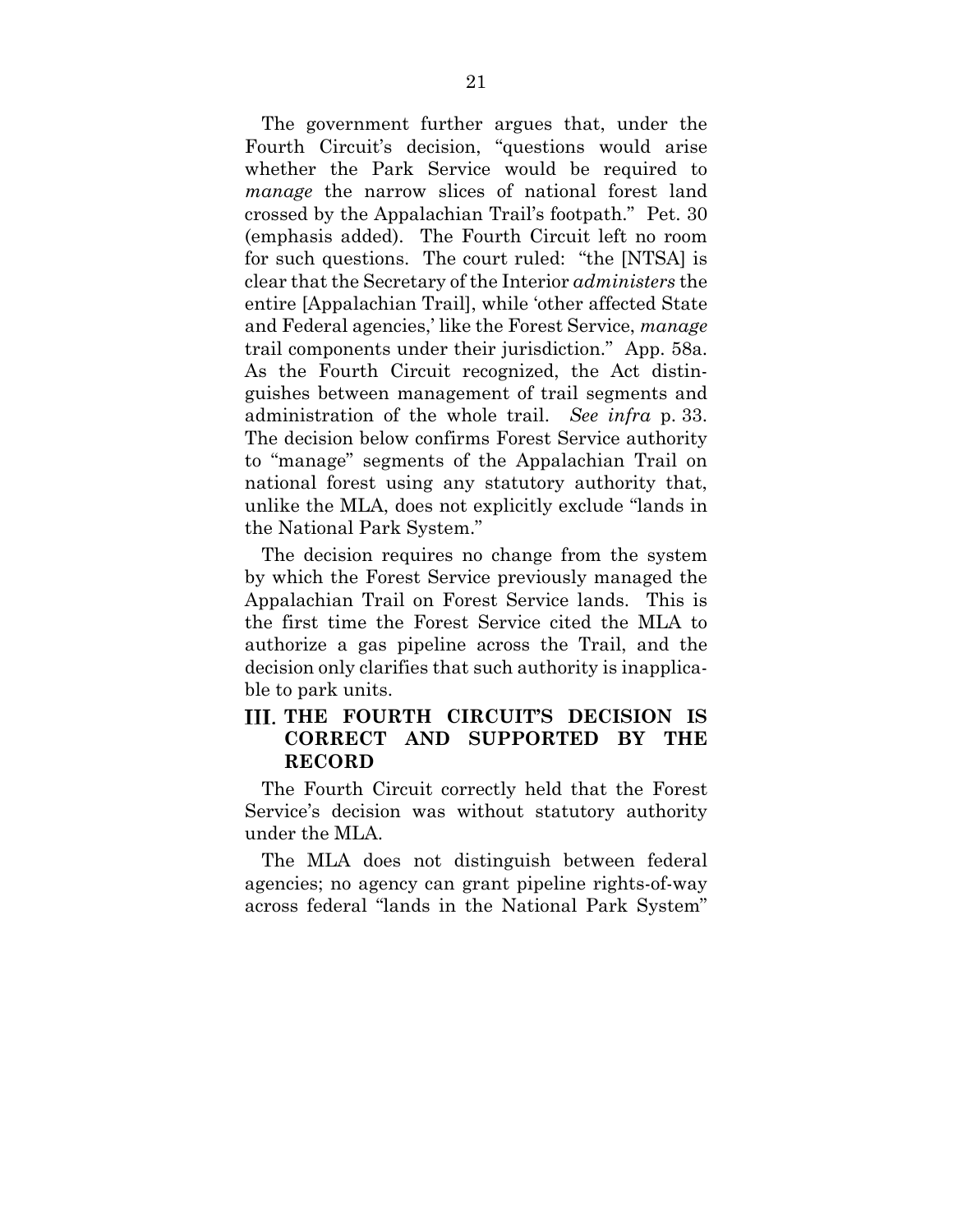The government further argues that, under the Fourth Circuit's decision, "questions would arise whether the Park Service would be required to *manage* the narrow slices of national forest land crossed by the Appalachian Trail's footpath." Pet. 30 (emphasis added). The Fourth Circuit left no room for such questions. The court ruled: "the [NTSA] is clear that the Secretary of the Interior *administers* the entire [Appalachian Trail], while 'other affected State and Federal agencies,' like the Forest Service, *manage* trail components under their jurisdiction." App. 58a. As the Fourth Circuit recognized, the Act distinguishes between management of trail segments and administration of the whole trail. *See infra* p. 33. The decision below confirms Forest Service authority to "manage" segments of the Appalachian Trail on national forest using any statutory authority that, unlike the MLA, does not explicitly exclude "lands in the National Park System."

The decision requires no change from the system by which the Forest Service previously managed the Appalachian Trail on Forest Service lands. This is the first time the Forest Service cited the MLA to authorize a gas pipeline across the Trail, and the decision only clarifies that such authority is inapplicable to park units.

## **THE FOURTH CIRCUIT'S DECISION IS CORRECT AND SUPPORTED BY THE RECORD**

The Fourth Circuit correctly held that the Forest Service's decision was without statutory authority under the MLA.

The MLA does not distinguish between federal agencies; no agency can grant pipeline rights-of-way across federal "lands in the National Park System"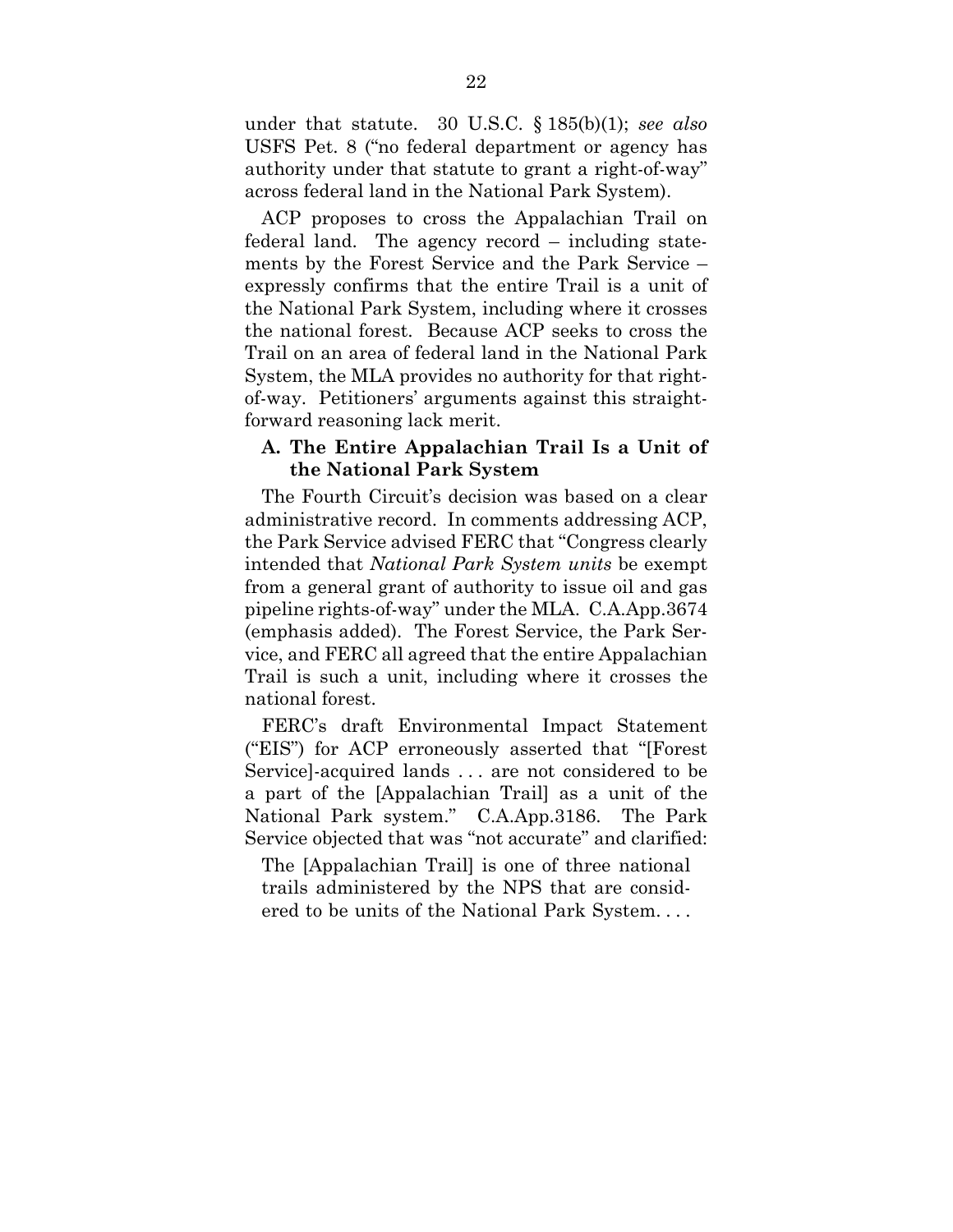under that statute. 30 U.S.C. § 185(b)(1); *see also* USFS Pet. 8 ("no federal department or agency has authority under that statute to grant a right-of-way" across federal land in the National Park System).

ACP proposes to cross the Appalachian Trail on federal land. The agency record – including statements by the Forest Service and the Park Service – expressly confirms that the entire Trail is a unit of the National Park System, including where it crosses the national forest. Because ACP seeks to cross the Trail on an area of federal land in the National Park System, the MLA provides no authority for that rightof-way. Petitioners' arguments against this straightforward reasoning lack merit.

### **A. The Entire Appalachian Trail Is a Unit of the National Park System**

The Fourth Circuit's decision was based on a clear administrative record. In comments addressing ACP, the Park Service advised FERC that "Congress clearly intended that *National Park System units* be exempt from a general grant of authority to issue oil and gas pipeline rights-of-way" under the MLA. C.A.App.3674 (emphasis added). The Forest Service, the Park Service, and FERC all agreed that the entire Appalachian Trail is such a unit, including where it crosses the national forest.

FERC's draft Environmental Impact Statement ("EIS") for ACP erroneously asserted that "[Forest Service]-acquired lands . . . are not considered to be a part of the [Appalachian Trail] as a unit of the National Park system." C.A.App.3186. The Park Service objected that was "not accurate" and clarified:

The [Appalachian Trail] is one of three national trails administered by the NPS that are considered to be units of the National Park System. . . .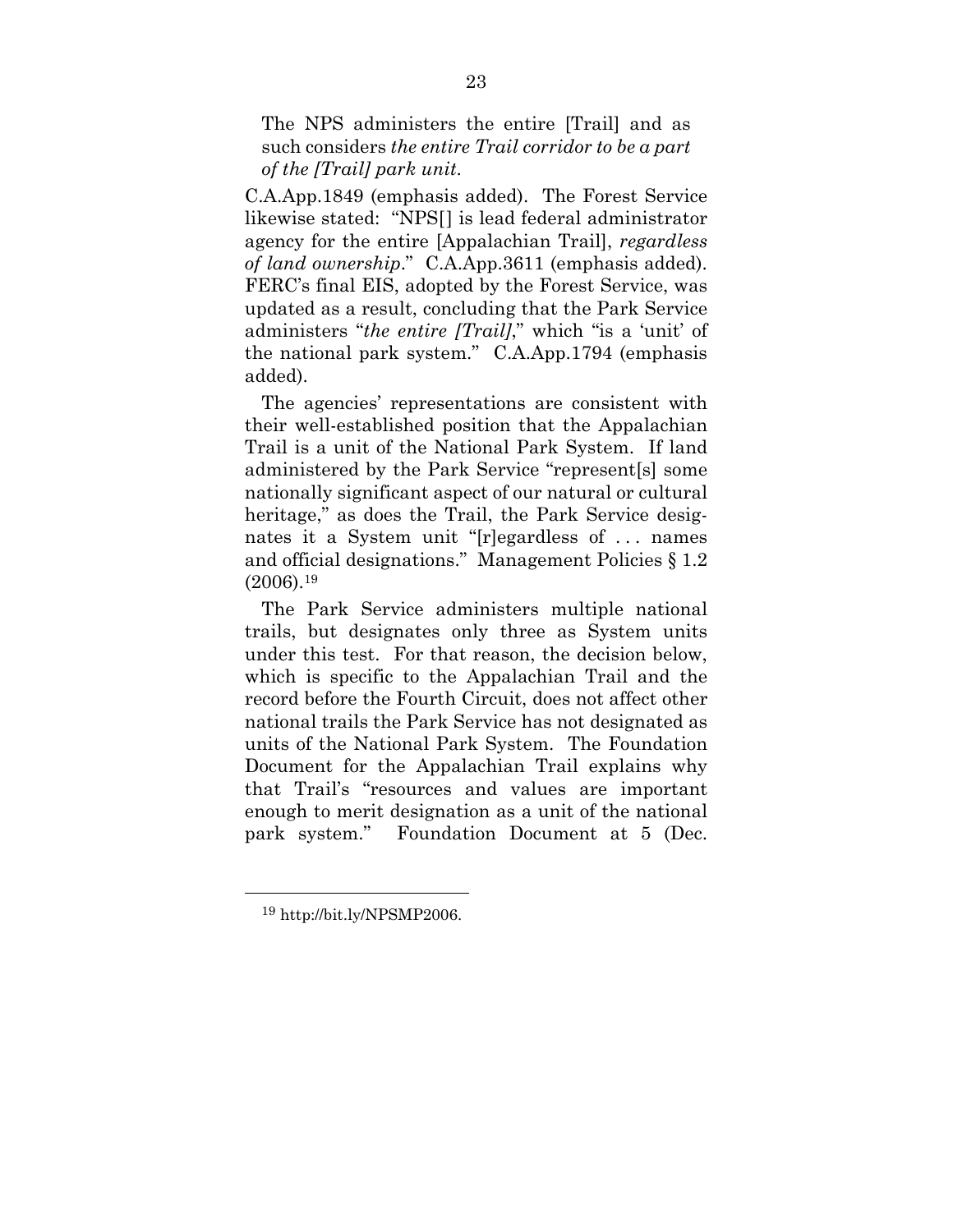The NPS administers the entire [Trail] and as such considers *the entire Trail corridor to be a part of the [Trail] park unit*.

C.A.App.1849 (emphasis added). The Forest Service likewise stated: "NPS[] is lead federal administrator agency for the entire [Appalachian Trail], *regardless of land ownership*." C.A.App.3611 (emphasis added). FERC's final EIS, adopted by the Forest Service, was updated as a result, concluding that the Park Service administers "*the entire [Trail]*," which "is a 'unit' of the national park system." C.A.App.1794 (emphasis added).

The agencies' representations are consistent with their well-established position that the Appalachian Trail is a unit of the National Park System. If land administered by the Park Service "represent[s] some nationally significant aspect of our natural or cultural heritage," as does the Trail, the Park Service designates it a System unit "[r]egardless of . . . names and official designations." Management Policies § 1.2  $(2006).^{19}$ 

The Park Service administers multiple national trails, but designates only three as System units under this test. For that reason, the decision below, which is specific to the Appalachian Trail and the record before the Fourth Circuit, does not affect other national trails the Park Service has not designated as units of the National Park System. The Foundation Document for the Appalachian Trail explains why that Trail's "resources and values are important enough to merit designation as a unit of the national park system." Foundation Document at 5 (Dec.

<sup>19</sup> http://bit.ly/NPSMP2006.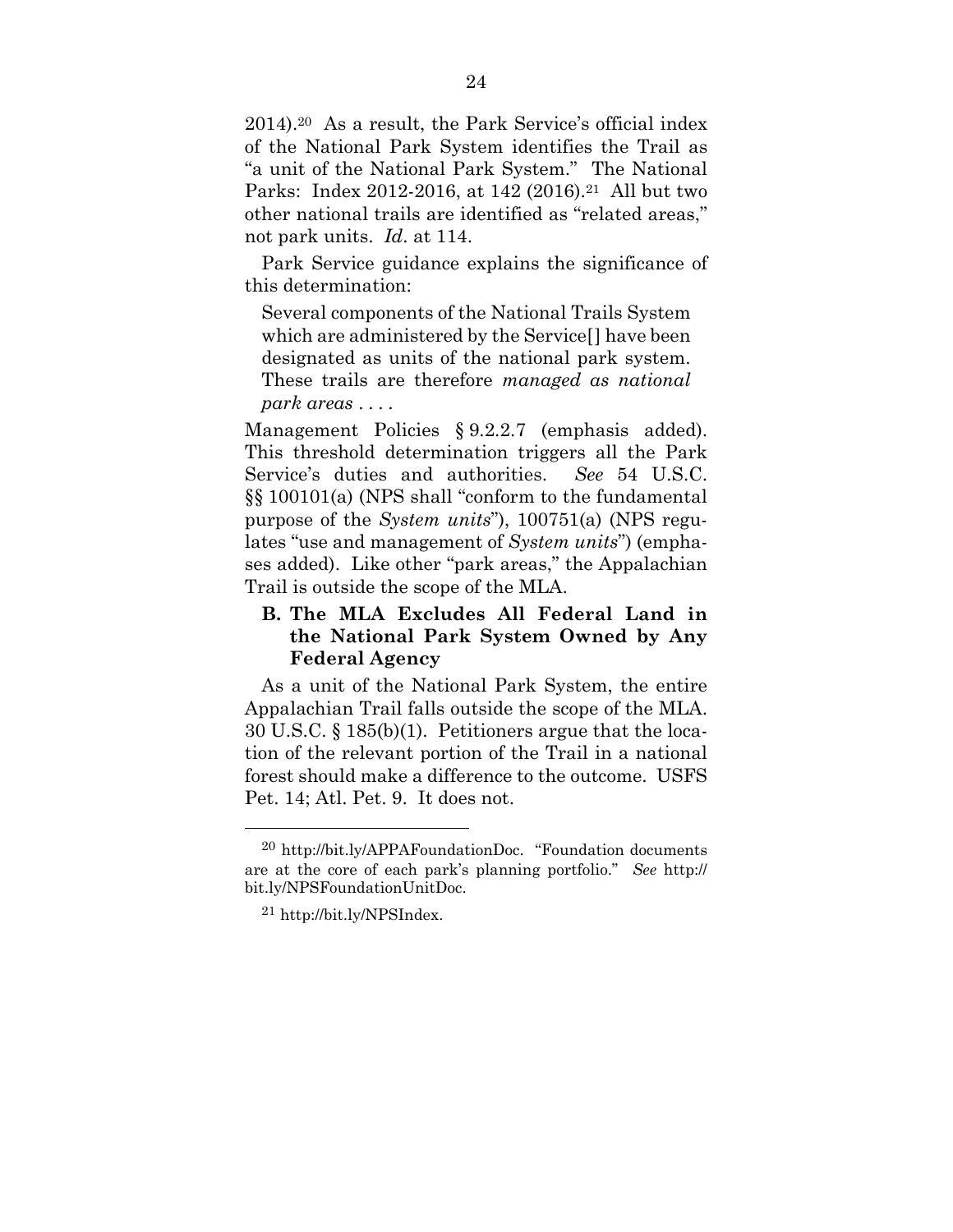2014).20 As a result, the Park Service's official index of the National Park System identifies the Trail as "a unit of the National Park System." The National Parks: Index 2012-2016, at 142 (2016).<sup>21</sup> All but two other national trails are identified as "related areas," not park units. *Id*. at 114.

Park Service guidance explains the significance of this determination:

Several components of the National Trails System which are administered by the Service[] have been designated as units of the national park system. These trails are therefore *managed as national park areas* . . . .

Management Policies § 9.2.2.7 (emphasis added). This threshold determination triggers all the Park Service's duties and authorities. *See* 54 U.S.C. §§ 100101(a) (NPS shall "conform to the fundamental purpose of the *System units*"), 100751(a) (NPS regulates "use and management of *System units*") (emphases added). Like other "park areas," the Appalachian Trail is outside the scope of the MLA.

## **B. The MLA Excludes All Federal Land in the National Park System Owned by Any Federal Agency**

As a unit of the National Park System, the entire Appalachian Trail falls outside the scope of the MLA. 30 U.S.C. § 185(b)(1). Petitioners argue that the location of the relevant portion of the Trail in a national forest should make a difference to the outcome. USFS Pet. 14; Atl. Pet. 9. It does not.

<sup>20</sup> http://bit.ly/APPAFoundationDoc. "Foundation documents are at the core of each park's planning portfolio." *See* http:// bit.ly/NPSFoundationUnitDoc.

<sup>21</sup> http://bit.ly/NPSIndex.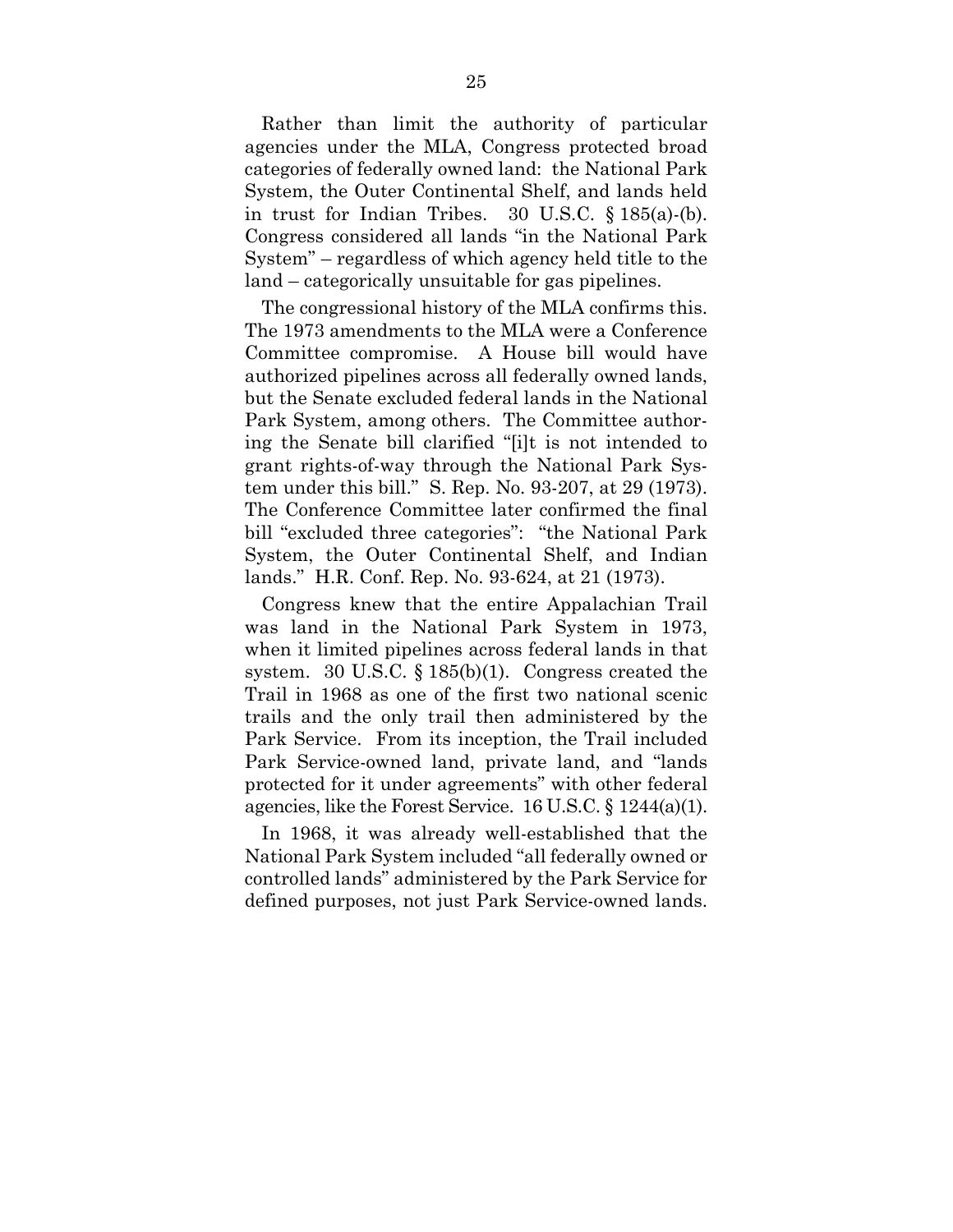Rather than limit the authority of particular agencies under the MLA, Congress protected broad categories of federally owned land: the National Park System, the Outer Continental Shelf, and lands held in trust for Indian Tribes. 30 U.S.C. § 185(a)-(b). Congress considered all lands "in the National Park System" – regardless of which agency held title to the land – categorically unsuitable for gas pipelines.

The congressional history of the MLA confirms this. The 1973 amendments to the MLA were a Conference Committee compromise. A House bill would have authorized pipelines across all federally owned lands, but the Senate excluded federal lands in the National Park System, among others. The Committee authoring the Senate bill clarified "[i]t is not intended to grant rights-of-way through the National Park System under this bill." S. Rep. No. 93-207, at 29 (1973). The Conference Committee later confirmed the final bill "excluded three categories": "the National Park System, the Outer Continental Shelf, and Indian lands." H.R. Conf. Rep. No. 93-624, at 21 (1973).

Congress knew that the entire Appalachian Trail was land in the National Park System in 1973, when it limited pipelines across federal lands in that system. 30 U.S.C. § 185(b)(1). Congress created the Trail in 1968 as one of the first two national scenic trails and the only trail then administered by the Park Service. From its inception, the Trail included Park Service-owned land, private land, and "lands protected for it under agreements" with other federal agencies, like the Forest Service. 16 U.S.C. § 1244(a)(1).

In 1968, it was already well-established that the National Park System included "all federally owned or controlled lands" administered by the Park Service for defined purposes, not just Park Service-owned lands.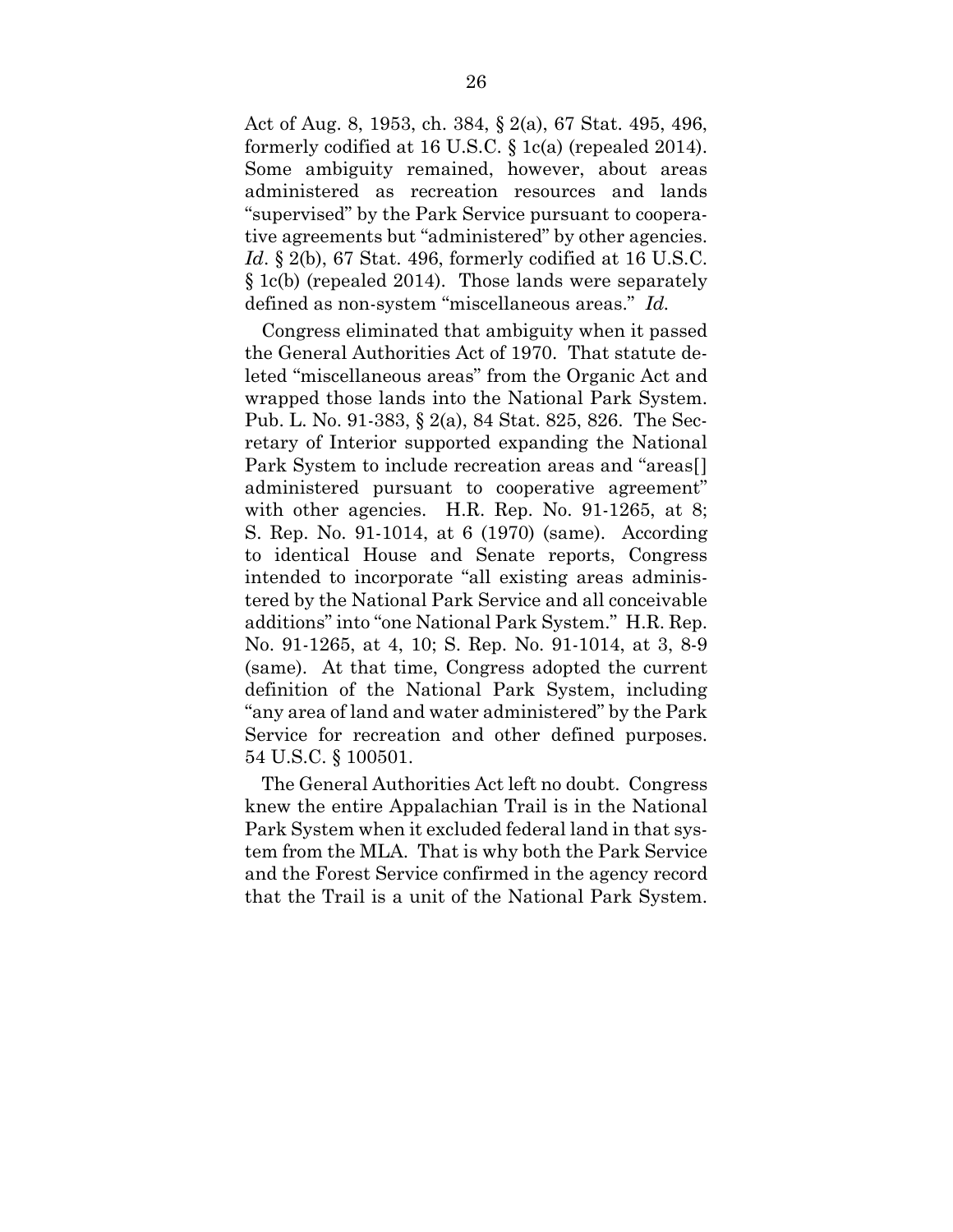Act of Aug. 8, 1953, ch. 384, § 2(a), 67 Stat. 495, 496, formerly codified at 16 U.S.C. § 1c(a) (repealed 2014). Some ambiguity remained, however, about areas administered as recreation resources and lands "supervised" by the Park Service pursuant to cooperative agreements but "administered" by other agencies. *Id*. § 2(b), 67 Stat. 496, formerly codified at 16 U.S.C. § 1c(b) (repealed 2014). Those lands were separately defined as non-system "miscellaneous areas." *Id.*

Congress eliminated that ambiguity when it passed the General Authorities Act of 1970. That statute deleted "miscellaneous areas" from the Organic Act and wrapped those lands into the National Park System. Pub. L. No. 91-383, § 2(a), 84 Stat. 825, 826. The Secretary of Interior supported expanding the National Park System to include recreation areas and "areas[] administered pursuant to cooperative agreement" with other agencies. H.R. Rep. No. 91-1265, at 8; S. Rep. No. 91-1014, at 6 (1970) (same). According to identical House and Senate reports, Congress intended to incorporate "all existing areas administered by the National Park Service and all conceivable additions" into "one National Park System." H.R. Rep. No. 91-1265, at 4, 10; S. Rep. No. 91-1014, at 3, 8-9 (same). At that time, Congress adopted the current definition of the National Park System, including "any area of land and water administered" by the Park Service for recreation and other defined purposes. 54 U.S.C. § 100501.

The General Authorities Act left no doubt. Congress knew the entire Appalachian Trail is in the National Park System when it excluded federal land in that system from the MLA. That is why both the Park Service and the Forest Service confirmed in the agency record that the Trail is a unit of the National Park System.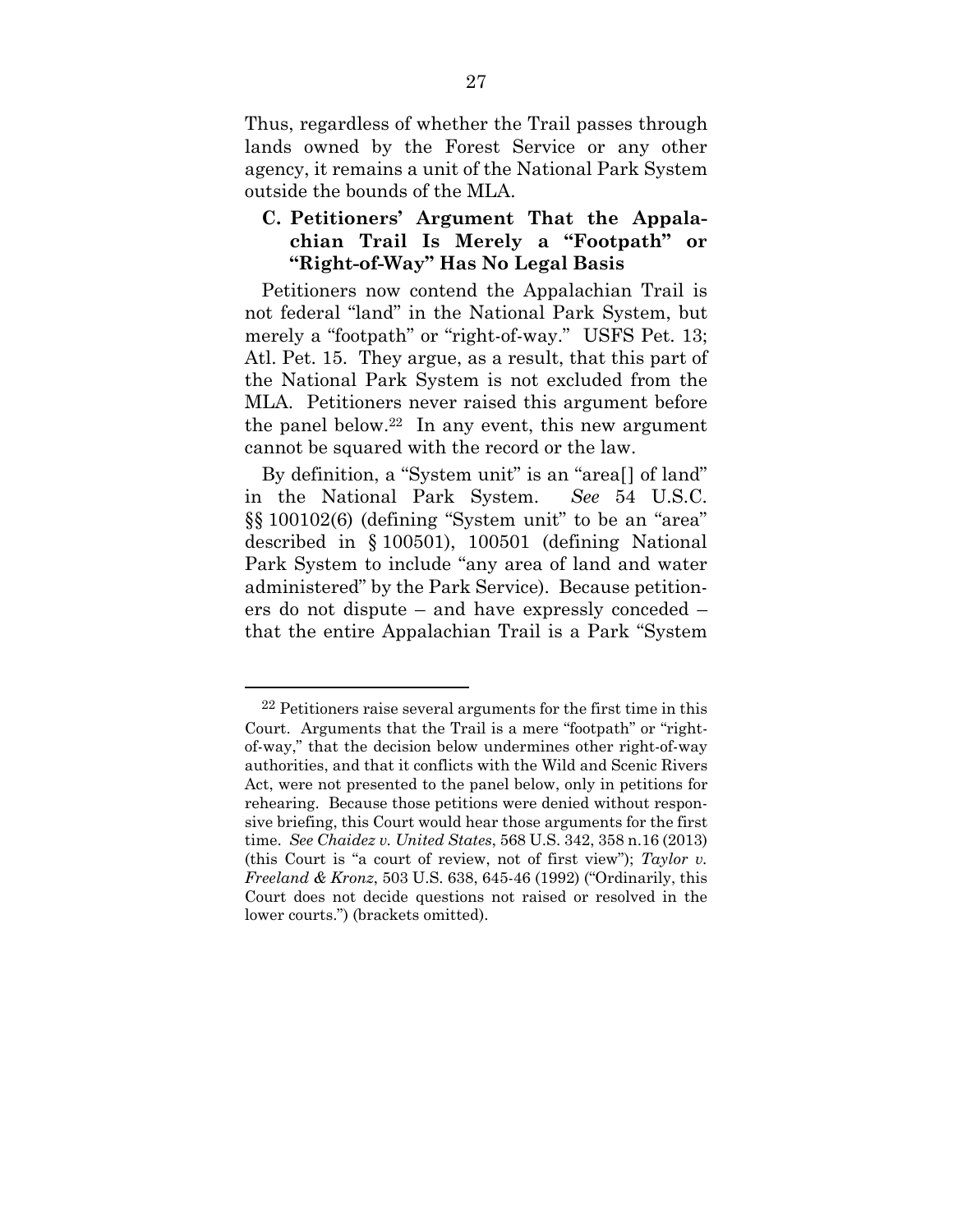Thus, regardless of whether the Trail passes through lands owned by the Forest Service or any other agency, it remains a unit of the National Park System outside the bounds of the MLA.

## **C. Petitioners' Argument That the Appalachian Trail Is Merely a "Footpath" or "Right-of-Way" Has No Legal Basis**

Petitioners now contend the Appalachian Trail is not federal "land" in the National Park System, but merely a "footpath" or "right-of-way." USFS Pet. 13; Atl. Pet. 15. They argue, as a result, that this part of the National Park System is not excluded from the MLA. Petitioners never raised this argument before the panel below.<sup>22</sup> In any event, this new argument cannot be squared with the record or the law.

By definition, a "System unit" is an "area<sup>[]</sup> of land" in the National Park System. *See* 54 U.S.C. §§ 100102(6) (defining "System unit" to be an "area" described in § 100501), 100501 (defining National Park System to include "any area of land and water administered" by the Park Service). Because petitioners do not dispute – and have expressly conceded – that the entire Appalachian Trail is a Park "System

 $22$  Petitioners raise several arguments for the first time in this Court. Arguments that the Trail is a mere "footpath" or "rightof-way," that the decision below undermines other right-of-way authorities, and that it conflicts with the Wild and Scenic Rivers Act, were not presented to the panel below, only in petitions for rehearing. Because those petitions were denied without responsive briefing, this Court would hear those arguments for the first time. *See Chaidez v. United States*, 568 U.S. 342, 358 n.16 (2013) (this Court is "a court of review, not of first view"); *Taylor v. Freeland & Kronz*, 503 U.S. 638, 645-46 (1992) ("Ordinarily, this Court does not decide questions not raised or resolved in the lower courts.") (brackets omitted).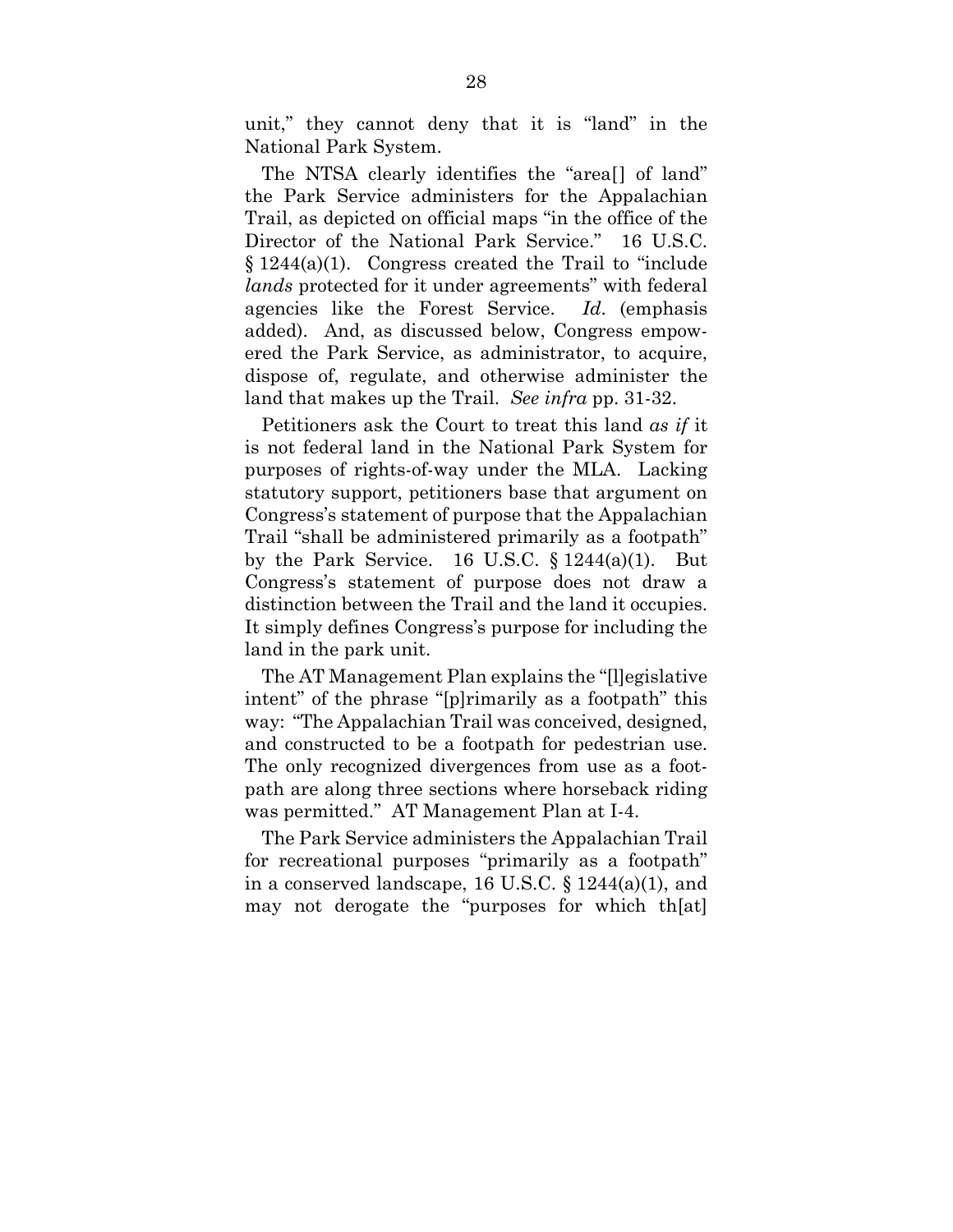unit," they cannot deny that it is "land" in the National Park System.

The NTSA clearly identifies the "area[] of land" the Park Service administers for the Appalachian Trail, as depicted on official maps "in the office of the Director of the National Park Service." 16 U.S.C.  $§ 1244(a)(1)$ . Congress created the Trail to "include" *lands* protected for it under agreements" with federal agencies like the Forest Service. *Id*. (emphasis added). And, as discussed below, Congress empowered the Park Service, as administrator, to acquire, dispose of, regulate, and otherwise administer the land that makes up the Trail. *See infra* pp. 31-32.

Petitioners ask the Court to treat this land *as if* it is not federal land in the National Park System for purposes of rights-of-way under the MLA. Lacking statutory support, petitioners base that argument on Congress's statement of purpose that the Appalachian Trail "shall be administered primarily as a footpath" by the Park Service. 16 U.S.C.  $\S 1244(a)(1)$ . But Congress's statement of purpose does not draw a distinction between the Trail and the land it occupies. It simply defines Congress's purpose for including the land in the park unit.

The AT Management Plan explains the "[l]egislative intent" of the phrase "[p]rimarily as a footpath" this way: "The Appalachian Trail was conceived, designed, and constructed to be a footpath for pedestrian use. The only recognized divergences from use as a footpath are along three sections where horseback riding was permitted." AT Management Plan at I-4.

The Park Service administers the Appalachian Trail for recreational purposes "primarily as a footpath" in a conserved landscape, 16 U.S.C. § 1244(a)(1), and may not derogate the "purposes for which th[at]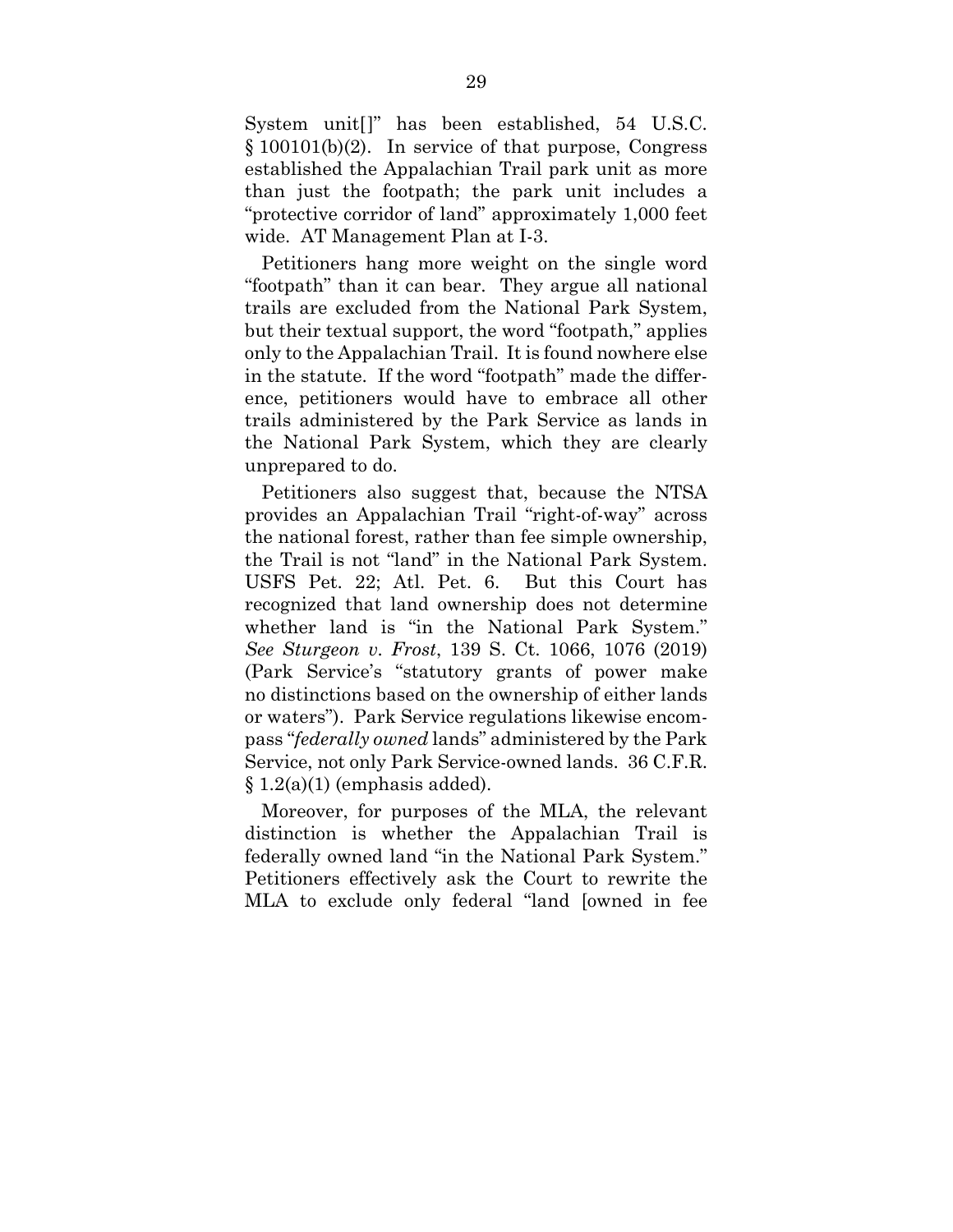System unit[]" has been established, 54 U.S.C. § 100101(b)(2). In service of that purpose, Congress established the Appalachian Trail park unit as more than just the footpath; the park unit includes a "protective corridor of land" approximately 1,000 feet wide. AT Management Plan at I-3.

Petitioners hang more weight on the single word "footpath" than it can bear. They argue all national trails are excluded from the National Park System, but their textual support, the word "footpath," applies only to the Appalachian Trail. It is found nowhere else in the statute. If the word "footpath" made the difference, petitioners would have to embrace all other trails administered by the Park Service as lands in the National Park System, which they are clearly unprepared to do.

Petitioners also suggest that, because the NTSA provides an Appalachian Trail "right-of-way" across the national forest, rather than fee simple ownership, the Trail is not "land" in the National Park System. USFS Pet. 22; Atl. Pet. 6. But this Court has recognized that land ownership does not determine whether land is "in the National Park System." *See Sturgeon v. Frost*, 139 S. Ct. 1066, 1076 (2019) (Park Service's "statutory grants of power make no distinctions based on the ownership of either lands or waters"). Park Service regulations likewise encompass "*federally owned* lands" administered by the Park Service, not only Park Service-owned lands. 36 C.F.R.  $\S 1.2(a)(1)$  (emphasis added).

Moreover, for purposes of the MLA, the relevant distinction is whether the Appalachian Trail is federally owned land "in the National Park System." Petitioners effectively ask the Court to rewrite the MLA to exclude only federal "land [owned in fee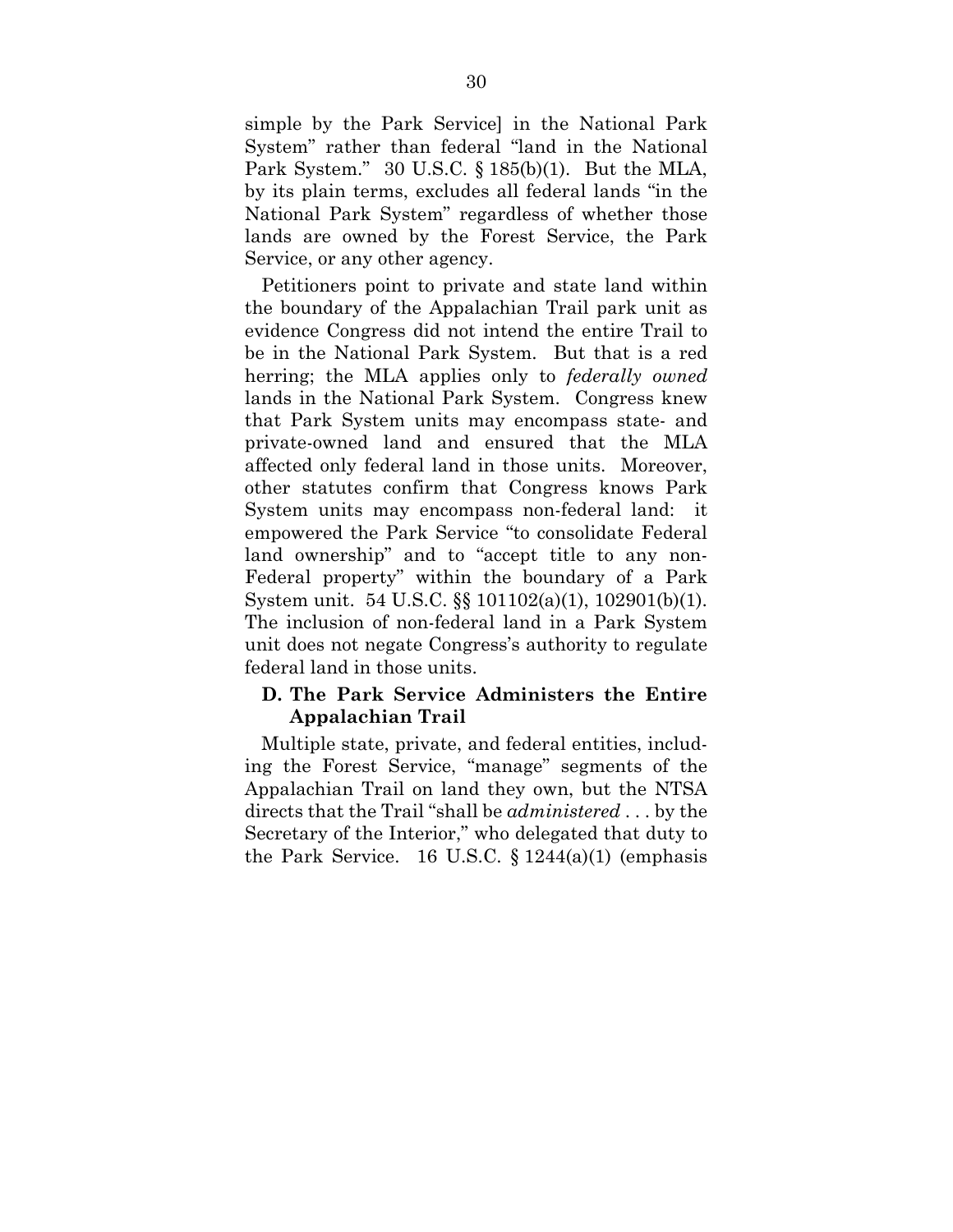simple by the Park Service] in the National Park System" rather than federal "land in the National Park System." 30 U.S.C. § 185(b)(1). But the MLA, by its plain terms, excludes all federal lands "in the National Park System" regardless of whether those lands are owned by the Forest Service, the Park Service, or any other agency.

Petitioners point to private and state land within the boundary of the Appalachian Trail park unit as evidence Congress did not intend the entire Trail to be in the National Park System. But that is a red herring; the MLA applies only to *federally owned* lands in the National Park System. Congress knew that Park System units may encompass state- and private-owned land and ensured that the MLA affected only federal land in those units. Moreover, other statutes confirm that Congress knows Park System units may encompass non-federal land: it empowered the Park Service "to consolidate Federal land ownership" and to "accept title to any non-Federal property" within the boundary of a Park System unit. 54 U.S.C. §§ 101102(a)(1), 102901(b)(1). The inclusion of non-federal land in a Park System unit does not negate Congress's authority to regulate federal land in those units.

## **D. The Park Service Administers the Entire Appalachian Trail**

Multiple state, private, and federal entities, including the Forest Service, "manage" segments of the Appalachian Trail on land they own, but the NTSA directs that the Trail "shall be *administered* . . . by the Secretary of the Interior," who delegated that duty to the Park Service. 16 U.S.C.  $\{1244(a)(1)$  (emphasis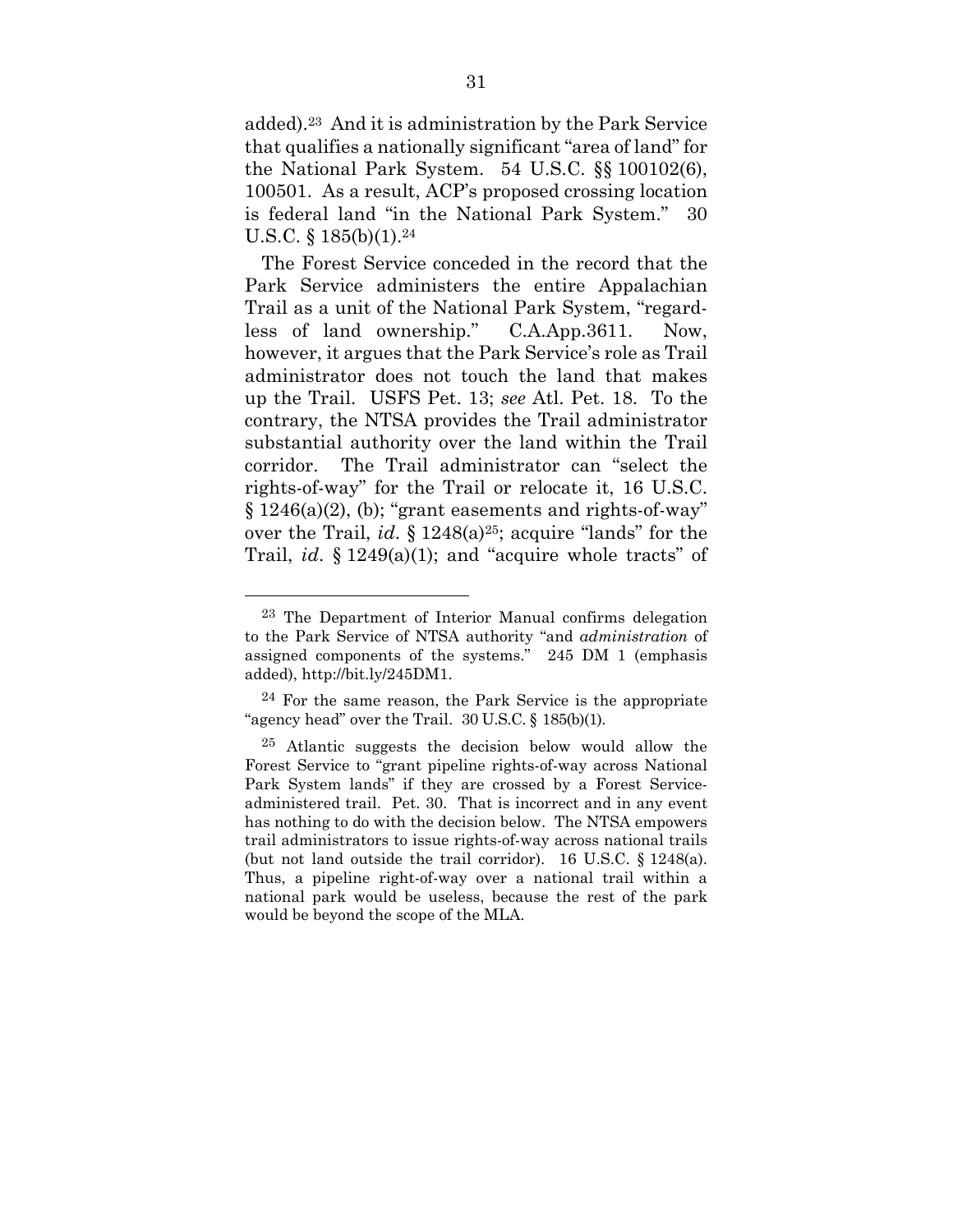added).23 And it is administration by the Park Service that qualifies a nationally significant "area of land" for the National Park System. 54 U.S.C. §§ 100102(6), 100501. As a result, ACP's proposed crossing location is federal land "in the National Park System." 30 U.S.C. §  $185(b)(1)$ .<sup>24</sup>

The Forest Service conceded in the record that the Park Service administers the entire Appalachian Trail as a unit of the National Park System, "regardless of land ownership." C.A.App.3611. Now, however, it argues that the Park Service's role as Trail administrator does not touch the land that makes up the Trail. USFS Pet. 13; *see* Atl. Pet. 18. To the contrary, the NTSA provides the Trail administrator substantial authority over the land within the Trail corridor. The Trail administrator can "select the rights-of-way" for the Trail or relocate it, 16 U.S.C.  $\S 1246(a)(2)$ , (b); "grant easements and rights-of-way" over the Trail, *id*. § 1248(a)25; acquire "lands" for the Trail, *id*. § 1249(a)(1); and "acquire whole tracts" of

<sup>&</sup>lt;sup>23</sup> The Department of Interior Manual confirms delegation to the Park Service of NTSA authority "and *administration* of assigned components of the systems." 245 DM 1 (emphasis added), http://bit.ly/245DM1.

<sup>24</sup> For the same reason, the Park Service is the appropriate "agency head" over the Trail.  $30$  U.S.C. §  $185(b)(1)$ .

<sup>25</sup> Atlantic suggests the decision below would allow the Forest Service to "grant pipeline rights-of-way across National Park System lands" if they are crossed by a Forest Serviceadministered trail. Pet. 30. That is incorrect and in any event has nothing to do with the decision below. The NTSA empowers trail administrators to issue rights-of-way across national trails (but not land outside the trail corridor). 16 U.S.C. § 1248(a). Thus, a pipeline right-of-way over a national trail within a national park would be useless, because the rest of the park would be beyond the scope of the MLA.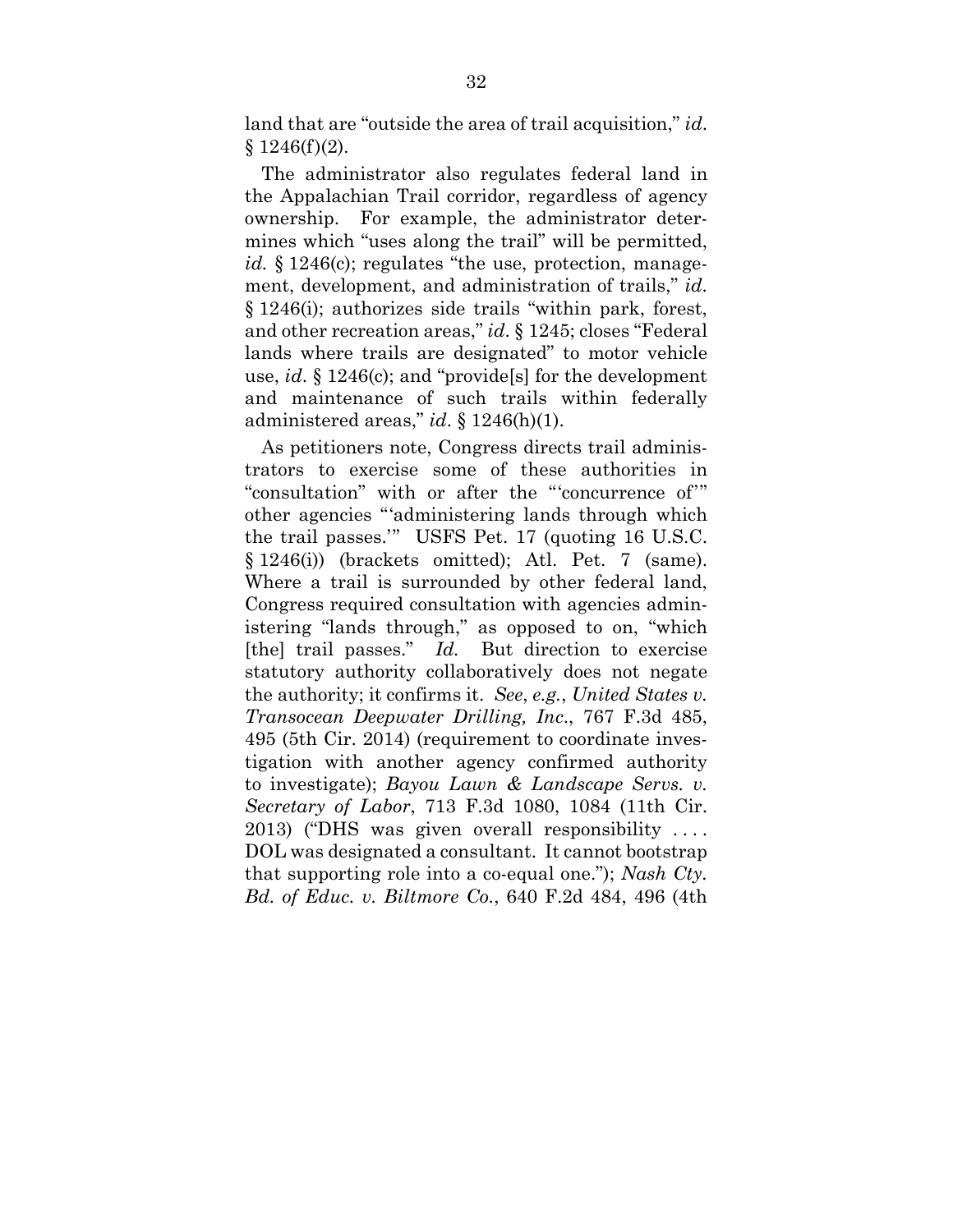land that are "outside the area of trail acquisition," *id*.  $§ 1246(f)(2).$ 

The administrator also regulates federal land in the Appalachian Trail corridor, regardless of agency ownership. For example, the administrator determines which "uses along the trail" will be permitted, *id.* § 1246(c); regulates "the use, protection, management, development, and administration of trails," *id*. § 1246(i); authorizes side trails "within park, forest, and other recreation areas," *id*. § 1245; closes "Federal lands where trails are designated" to motor vehicle use, *id*. § 1246(c); and "provide[s] for the development and maintenance of such trails within federally administered areas," *id*. § 1246(h)(1).

As petitioners note, Congress directs trail administrators to exercise some of these authorities in "consultation" with or after the "'concurrence of'" other agencies "'administering lands through which the trail passes.'" USFS Pet. 17 (quoting 16 U.S.C. § 1246(i)) (brackets omitted); Atl. Pet. 7 (same). Where a trail is surrounded by other federal land, Congress required consultation with agencies administering "lands through," as opposed to on, "which [the] trail passes." *Id.* But direction to exercise statutory authority collaboratively does not negate the authority; it confirms it. *See*, *e.g.*, *United States v. Transocean Deepwater Drilling, Inc*., 767 F.3d 485, 495 (5th Cir. 2014) (requirement to coordinate investigation with another agency confirmed authority to investigate); *Bayou Lawn & Landscape Servs. v. Secretary of Labor*, 713 F.3d 1080, 1084 (11th Cir. 2013) ("DHS was given overall responsibility . . . . DOL was designated a consultant. It cannot bootstrap that supporting role into a co-equal one."); *Nash Cty. Bd. of Educ. v. Biltmore Co.*, 640 F.2d 484, 496 (4th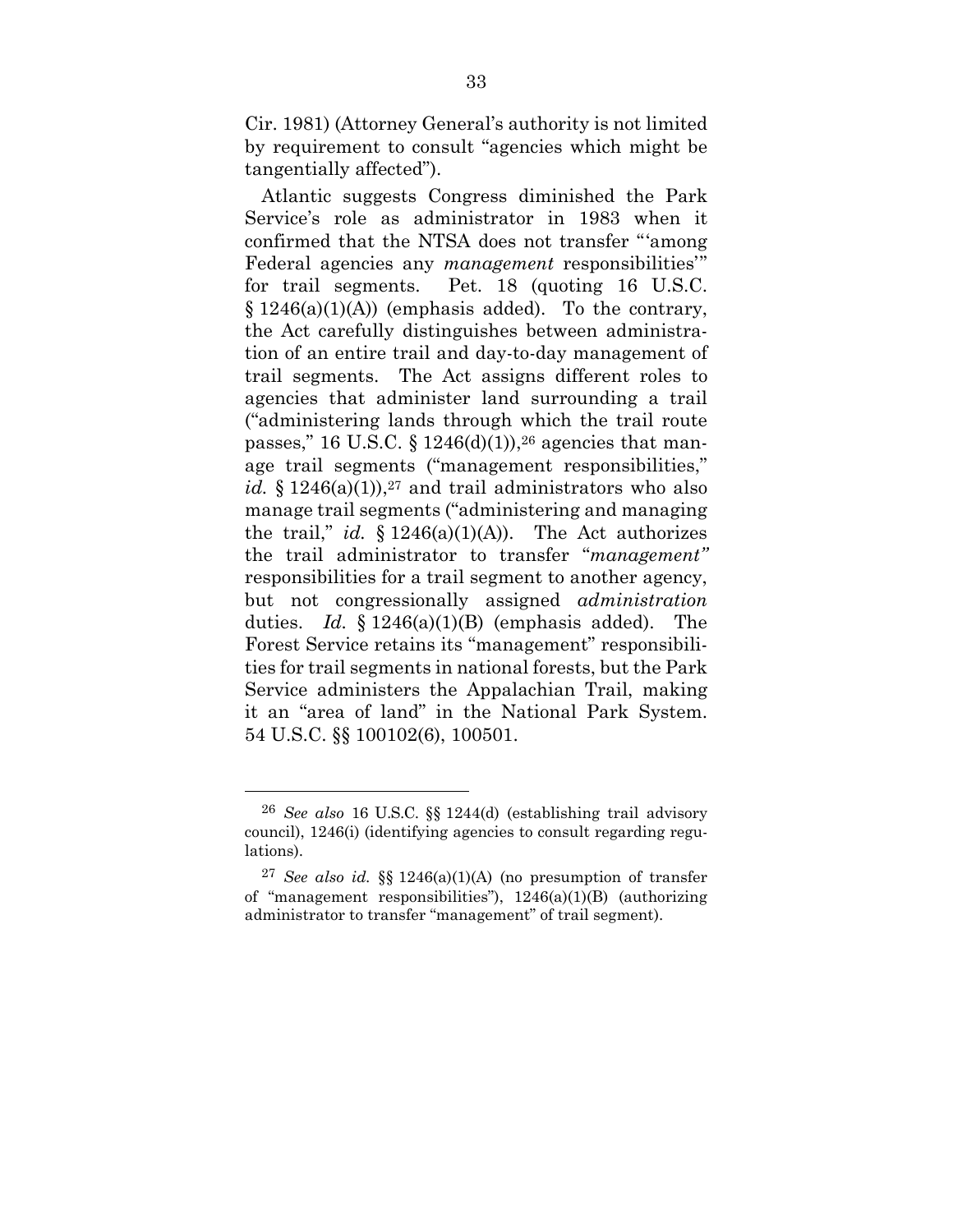Cir. 1981) (Attorney General's authority is not limited by requirement to consult "agencies which might be tangentially affected").

Atlantic suggests Congress diminished the Park Service's role as administrator in 1983 when it confirmed that the NTSA does not transfer "'among Federal agencies any *management* responsibilities'" for trail segments. Pet. 18 (quoting 16 U.S.C.  $\S 1246(a)(1)(A)$  (emphasis added). To the contrary, the Act carefully distinguishes between administration of an entire trail and day-to-day management of trail segments. The Act assigns different roles to agencies that administer land surrounding a trail ("administering lands through which the trail route passes," 16 U.S.C. § 1246(d)(1)), $26$  agencies that manage trail segments ("management responsibilities," *id.*  $\S 1246(a)(1)$ ,  $27$  and trail administrators who also manage trail segments ("administering and managing the trail," *id.*  $\S 1246(a)(1)(A)$ ). The Act authorizes the trail administrator to transfer "*management"* responsibilities for a trail segment to another agency, but not congressionally assigned *administration* duties. *Id.* § 1246(a)(1)(B) (emphasis added). The Forest Service retains its "management" responsibilities for trail segments in national forests, but the Park Service administers the Appalachian Trail, making it an "area of land" in the National Park System. 54 U.S.C. §§ 100102(6), 100501.

<sup>26</sup> *See also* 16 U.S.C. §§ 1244(d) (establishing trail advisory council), 1246(i) (identifying agencies to consult regarding regulations).

<sup>27</sup> *See also id.* §§ 1246(a)(1)(A) (no presumption of transfer of "management responsibilities"),  $1246(a)(1)(B)$  (authorizing administrator to transfer "management" of trail segment).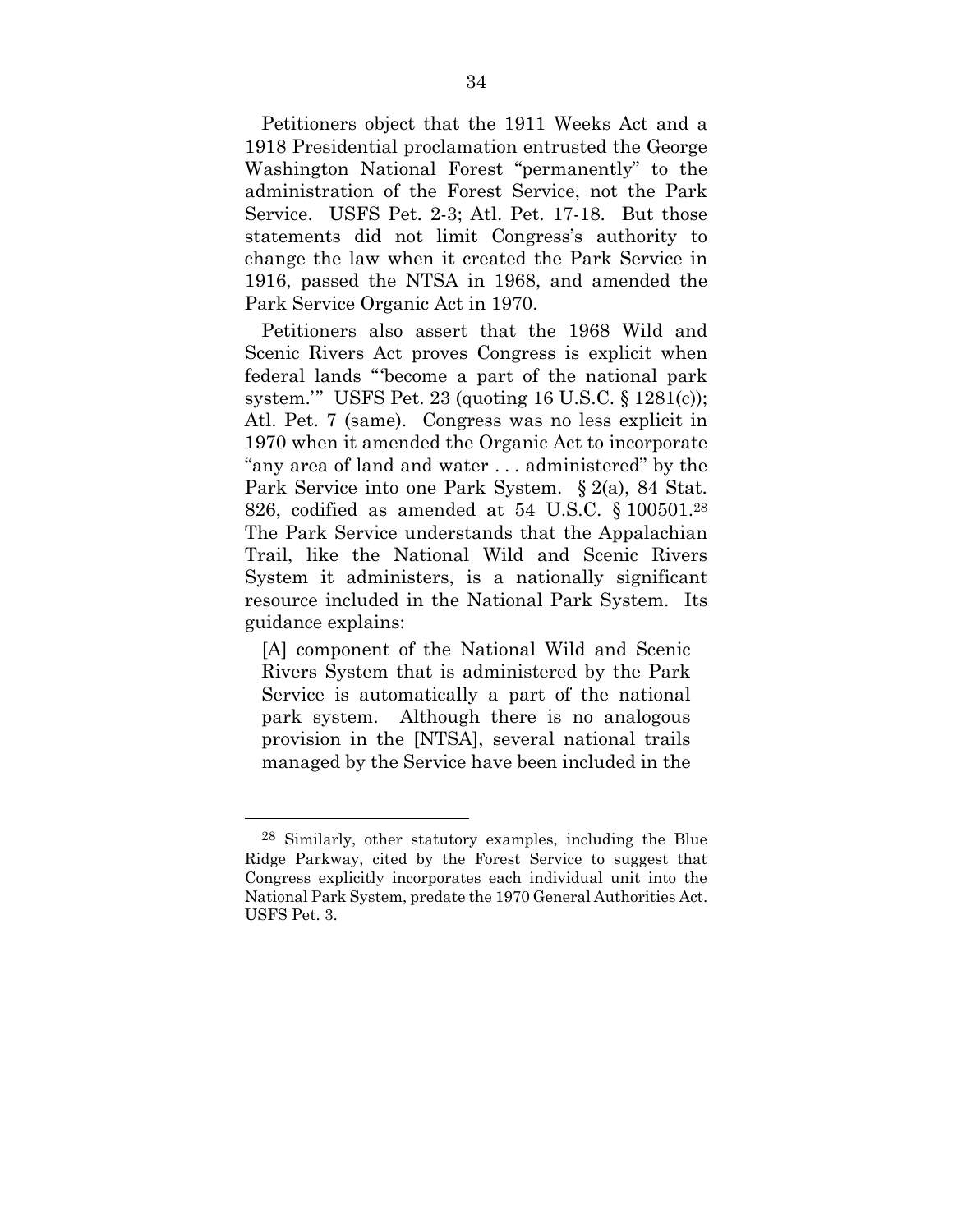Petitioners object that the 1911 Weeks Act and a 1918 Presidential proclamation entrusted the George Washington National Forest "permanently" to the administration of the Forest Service, not the Park Service. USFS Pet. 2-3; Atl. Pet. 17-18. But those statements did not limit Congress's authority to change the law when it created the Park Service in 1916, passed the NTSA in 1968, and amended the Park Service Organic Act in 1970.

Petitioners also assert that the 1968 Wild and Scenic Rivers Act proves Congress is explicit when federal lands "'become a part of the national park system.'" USFS Pet. 23 (quoting 16 U.S.C. § 1281(c)); Atl. Pet. 7 (same). Congress was no less explicit in 1970 when it amended the Organic Act to incorporate "any area of land and water . . . administered" by the Park Service into one Park System. § 2(a), 84 Stat. 826, codified as amended at 54 U.S.C. § 100501.28 The Park Service understands that the Appalachian Trail, like the National Wild and Scenic Rivers System it administers, is a nationally significant resource included in the National Park System. Its guidance explains:

[A] component of the National Wild and Scenic Rivers System that is administered by the Park Service is automatically a part of the national park system. Although there is no analogous provision in the [NTSA], several national trails managed by the Service have been included in the

<sup>28</sup> Similarly, other statutory examples, including the Blue Ridge Parkway, cited by the Forest Service to suggest that Congress explicitly incorporates each individual unit into the National Park System, predate the 1970 General Authorities Act. USFS Pet. 3.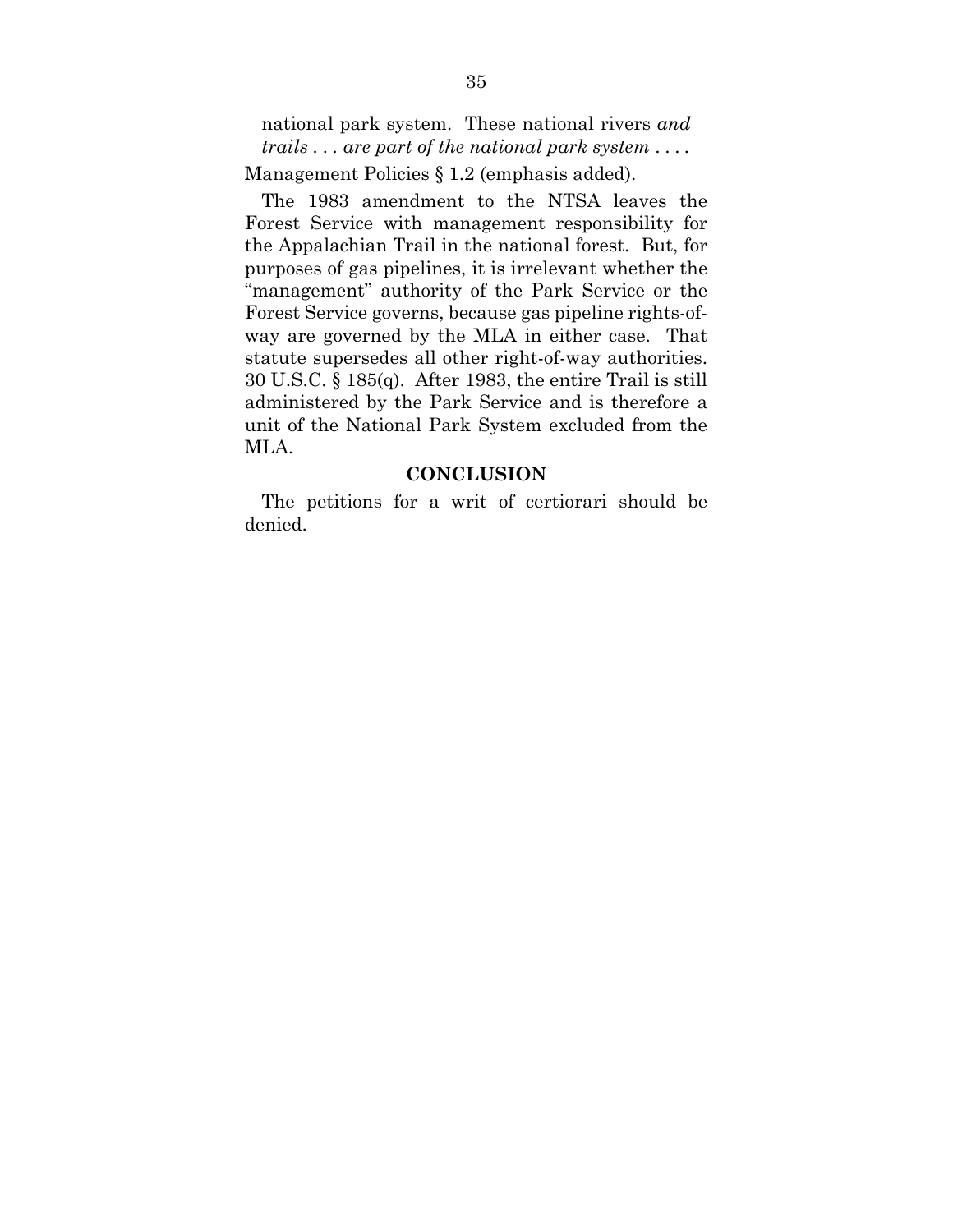national park system. These national rivers *and trails . . . are part of the national park system* ... *.* Management Policies § 1.2 (emphasis added).

The 1983 amendment to the NTSA leaves the Forest Service with management responsibility for the Appalachian Trail in the national forest. But, for purposes of gas pipelines, it is irrelevant whether the "management" authority of the Park Service or the Forest Service governs, because gas pipeline rights-ofway are governed by the MLA in either case. That statute supersedes all other right-of-way authorities. 30 U.S.C. § 185(q). After 1983, the entire Trail is still administered by the Park Service and is therefore a unit of the National Park System excluded from the MLA.

#### **CONCLUSION**

The petitions for a writ of certiorari should be denied.